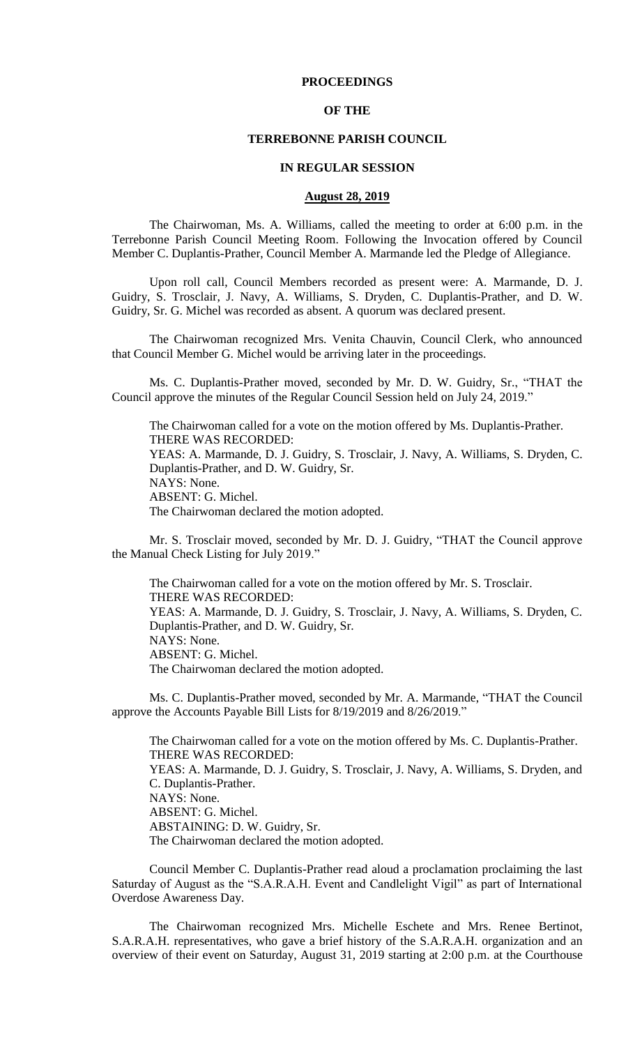## **PROCEEDINGS**

## **OF THE**

#### **TERREBONNE PARISH COUNCIL**

#### **IN REGULAR SESSION**

#### **August 28, 2019**

The Chairwoman, Ms. A. Williams, called the meeting to order at 6:00 p.m. in the Terrebonne Parish Council Meeting Room. Following the Invocation offered by Council Member C. Duplantis-Prather, Council Member A. Marmande led the Pledge of Allegiance.

Upon roll call, Council Members recorded as present were: A. Marmande, D. J. Guidry, S. Trosclair, J. Navy, A. Williams, S. Dryden, C. Duplantis-Prather, and D. W. Guidry, Sr. G. Michel was recorded as absent. A quorum was declared present.

The Chairwoman recognized Mrs. Venita Chauvin, Council Clerk, who announced that Council Member G. Michel would be arriving later in the proceedings.

Ms. C. Duplantis-Prather moved, seconded by Mr. D. W. Guidry, Sr., "THAT the Council approve the minutes of the Regular Council Session held on July 24, 2019."

The Chairwoman called for a vote on the motion offered by Ms. Duplantis-Prather. THERE WAS RECORDED: YEAS: A. Marmande, D. J. Guidry, S. Trosclair, J. Navy, A. Williams, S. Dryden, C. Duplantis-Prather, and D. W. Guidry, Sr. NAYS: None. ABSENT: G. Michel. The Chairwoman declared the motion adopted.

Mr. S. Trosclair moved, seconded by Mr. D. J. Guidry, "THAT the Council approve the Manual Check Listing for July 2019."

The Chairwoman called for a vote on the motion offered by Mr. S. Trosclair. THERE WAS RECORDED: YEAS: A. Marmande, D. J. Guidry, S. Trosclair, J. Navy, A. Williams, S. Dryden, C. Duplantis-Prather, and D. W. Guidry, Sr. NAYS: None. ABSENT: G. Michel. The Chairwoman declared the motion adopted.

Ms. C. Duplantis-Prather moved, seconded by Mr. A. Marmande, "THAT the Council approve the Accounts Payable Bill Lists for 8/19/2019 and 8/26/2019."

The Chairwoman called for a vote on the motion offered by Ms. C. Duplantis-Prather. THERE WAS RECORDED: YEAS: A. Marmande, D. J. Guidry, S. Trosclair, J. Navy, A. Williams, S. Dryden, and C. Duplantis-Prather. NAYS: None. ABSENT: G. Michel. ABSTAINING: D. W. Guidry, Sr. The Chairwoman declared the motion adopted.

Council Member C. Duplantis-Prather read aloud a proclamation proclaiming the last Saturday of August as the "S.A.R.A.H. Event and Candlelight Vigil" as part of International Overdose Awareness Day.

The Chairwoman recognized Mrs. Michelle Eschete and Mrs. Renee Bertinot, S.A.R.A.H. representatives, who gave a brief history of the S.A.R.A.H. organization and an overview of their event on Saturday, August 31, 2019 starting at 2:00 p.m. at the Courthouse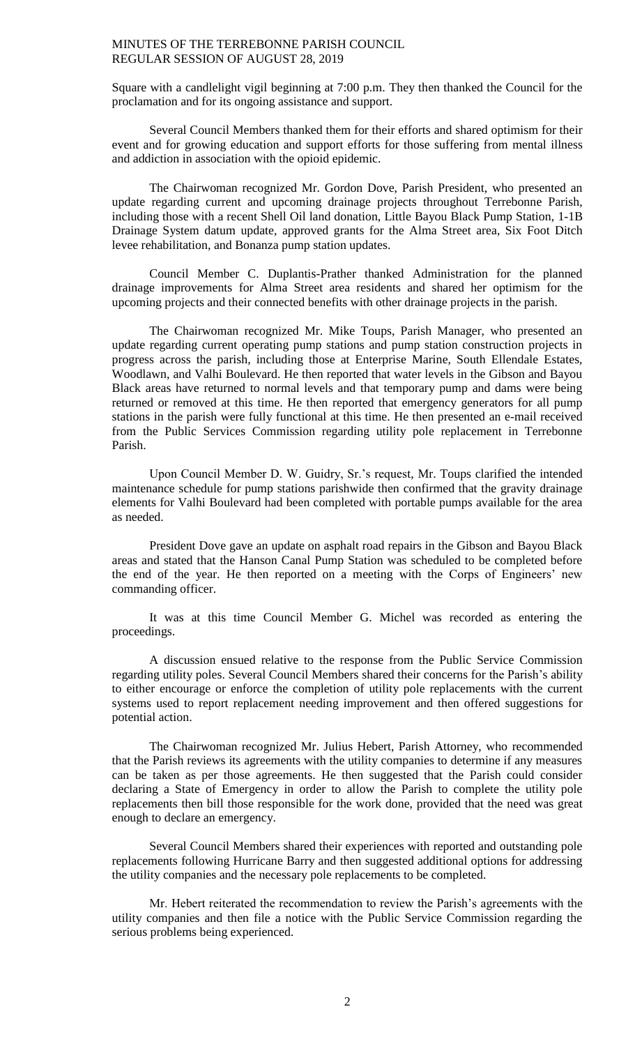Square with a candlelight vigil beginning at 7:00 p.m. They then thanked the Council for the proclamation and for its ongoing assistance and support.

Several Council Members thanked them for their efforts and shared optimism for their event and for growing education and support efforts for those suffering from mental illness and addiction in association with the opioid epidemic.

The Chairwoman recognized Mr. Gordon Dove, Parish President, who presented an update regarding current and upcoming drainage projects throughout Terrebonne Parish, including those with a recent Shell Oil land donation, Little Bayou Black Pump Station, 1-1B Drainage System datum update, approved grants for the Alma Street area, Six Foot Ditch levee rehabilitation, and Bonanza pump station updates.

Council Member C. Duplantis-Prather thanked Administration for the planned drainage improvements for Alma Street area residents and shared her optimism for the upcoming projects and their connected benefits with other drainage projects in the parish.

The Chairwoman recognized Mr. Mike Toups, Parish Manager, who presented an update regarding current operating pump stations and pump station construction projects in progress across the parish, including those at Enterprise Marine, South Ellendale Estates, Woodlawn, and Valhi Boulevard. He then reported that water levels in the Gibson and Bayou Black areas have returned to normal levels and that temporary pump and dams were being returned or removed at this time. He then reported that emergency generators for all pump stations in the parish were fully functional at this time. He then presented an e-mail received from the Public Services Commission regarding utility pole replacement in Terrebonne Parish.

Upon Council Member D. W. Guidry, Sr.'s request, Mr. Toups clarified the intended maintenance schedule for pump stations parishwide then confirmed that the gravity drainage elements for Valhi Boulevard had been completed with portable pumps available for the area as needed.

President Dove gave an update on asphalt road repairs in the Gibson and Bayou Black areas and stated that the Hanson Canal Pump Station was scheduled to be completed before the end of the year. He then reported on a meeting with the Corps of Engineers' new commanding officer.

It was at this time Council Member G. Michel was recorded as entering the proceedings.

A discussion ensued relative to the response from the Public Service Commission regarding utility poles. Several Council Members shared their concerns for the Parish's ability to either encourage or enforce the completion of utility pole replacements with the current systems used to report replacement needing improvement and then offered suggestions for potential action.

The Chairwoman recognized Mr. Julius Hebert, Parish Attorney, who recommended that the Parish reviews its agreements with the utility companies to determine if any measures can be taken as per those agreements. He then suggested that the Parish could consider declaring a State of Emergency in order to allow the Parish to complete the utility pole replacements then bill those responsible for the work done, provided that the need was great enough to declare an emergency.

Several Council Members shared their experiences with reported and outstanding pole replacements following Hurricane Barry and then suggested additional options for addressing the utility companies and the necessary pole replacements to be completed.

Mr. Hebert reiterated the recommendation to review the Parish's agreements with the utility companies and then file a notice with the Public Service Commission regarding the serious problems being experienced.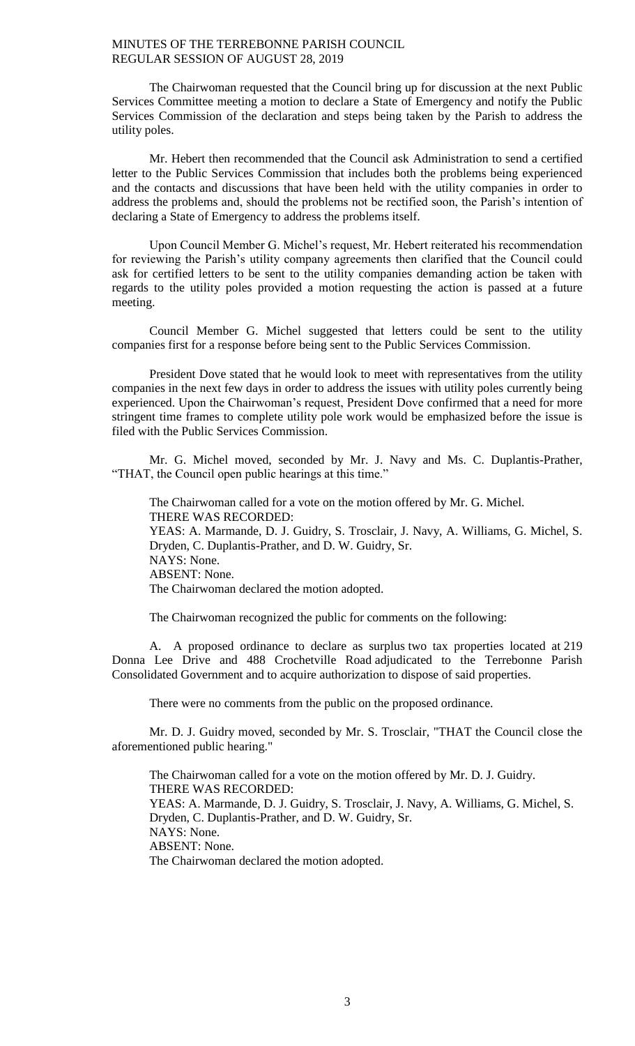The Chairwoman requested that the Council bring up for discussion at the next Public Services Committee meeting a motion to declare a State of Emergency and notify the Public Services Commission of the declaration and steps being taken by the Parish to address the utility poles.

Mr. Hebert then recommended that the Council ask Administration to send a certified letter to the Public Services Commission that includes both the problems being experienced and the contacts and discussions that have been held with the utility companies in order to address the problems and, should the problems not be rectified soon, the Parish's intention of declaring a State of Emergency to address the problems itself.

Upon Council Member G. Michel's request, Mr. Hebert reiterated his recommendation for reviewing the Parish's utility company agreements then clarified that the Council could ask for certified letters to be sent to the utility companies demanding action be taken with regards to the utility poles provided a motion requesting the action is passed at a future meeting.

Council Member G. Michel suggested that letters could be sent to the utility companies first for a response before being sent to the Public Services Commission.

President Dove stated that he would look to meet with representatives from the utility companies in the next few days in order to address the issues with utility poles currently being experienced. Upon the Chairwoman's request, President Dove confirmed that a need for more stringent time frames to complete utility pole work would be emphasized before the issue is filed with the Public Services Commission.

Mr. G. Michel moved, seconded by Mr. J. Navy and Ms. C. Duplantis-Prather, "THAT, the Council open public hearings at this time."

The Chairwoman called for a vote on the motion offered by Mr. G. Michel. THERE WAS RECORDED: YEAS: A. Marmande, D. J. Guidry, S. Trosclair, J. Navy, A. Williams, G. Michel, S. Dryden, C. Duplantis-Prather, and D. W. Guidry, Sr. NAYS: None. ABSENT: None. The Chairwoman declared the motion adopted.

The Chairwoman recognized the public for comments on the following:

A. A proposed ordinance to declare as surplus two tax properties located at 219 Donna Lee Drive and 488 Crochetville Road adjudicated to the Terrebonne Parish Consolidated Government and to acquire authorization to dispose of said properties.

There were no comments from the public on the proposed ordinance.

Mr. D. J. Guidry moved, seconded by Mr. S. Trosclair, "THAT the Council close the aforementioned public hearing."

The Chairwoman called for a vote on the motion offered by Mr. D. J. Guidry. THERE WAS RECORDED: YEAS: A. Marmande, D. J. Guidry, S. Trosclair, J. Navy, A. Williams, G. Michel, S. Dryden, C. Duplantis-Prather, and D. W. Guidry, Sr. NAYS: None. ABSENT: None. The Chairwoman declared the motion adopted.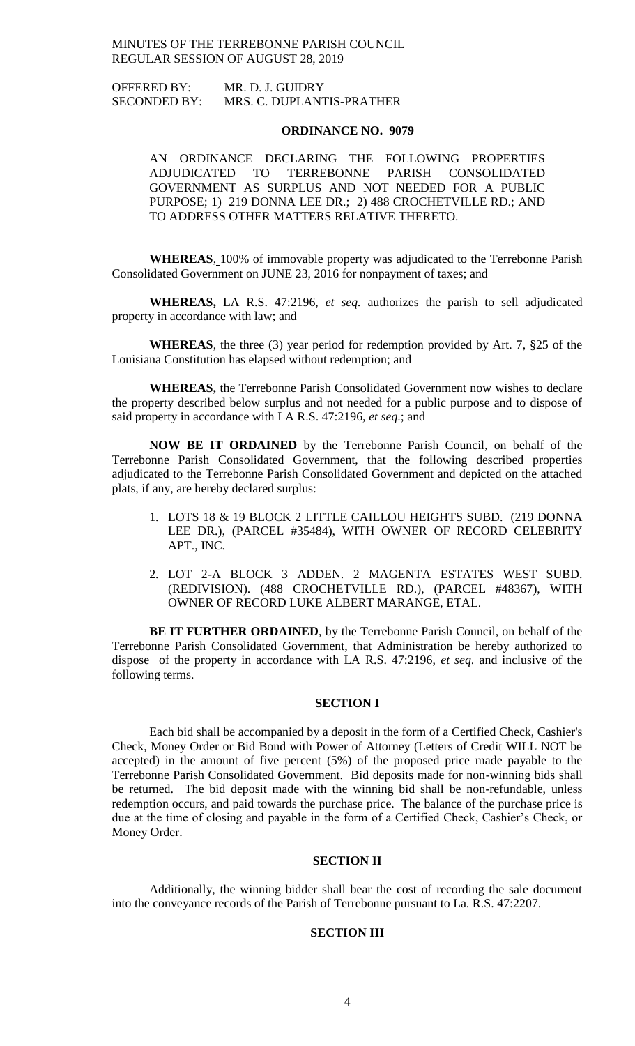OFFERED BY: MR. D. J. GUIDRY SECONDED BY: MRS. C. DUPLANTIS-PRATHER

#### **ORDINANCE NO. 9079**

AN ORDINANCE DECLARING THE FOLLOWING PROPERTIES ADJUDICATED TO TERREBONNE PARISH CONSOLIDATED GOVERNMENT AS SURPLUS AND NOT NEEDED FOR A PUBLIC PURPOSE; 1) 219 DONNA LEE DR.; 2) 488 CROCHETVILLE RD.; AND TO ADDRESS OTHER MATTERS RELATIVE THERETO.

**WHEREAS**, 100% of immovable property was adjudicated to the Terrebonne Parish Consolidated Government on JUNE 23, 2016 for nonpayment of taxes; and

**WHEREAS,** LA R.S. 47:2196, *et seq.* authorizes the parish to sell adjudicated property in accordance with law; and

**WHEREAS**, the three (3) year period for redemption provided by Art. 7, §25 of the Louisiana Constitution has elapsed without redemption; and

**WHEREAS,** the Terrebonne Parish Consolidated Government now wishes to declare the property described below surplus and not needed for a public purpose and to dispose of said property in accordance with LA R.S. 47:2196, *et seq*.; and

**NOW BE IT ORDAINED** by the Terrebonne Parish Council, on behalf of the Terrebonne Parish Consolidated Government, that the following described properties adjudicated to the Terrebonne Parish Consolidated Government and depicted on the attached plats, if any, are hereby declared surplus:

- 1. LOTS 18 & 19 BLOCK 2 LITTLE CAILLOU HEIGHTS SUBD. (219 DONNA LEE DR.), (PARCEL #35484), WITH OWNER OF RECORD CELEBRITY APT., INC.
- 2. LOT 2-A BLOCK 3 ADDEN. 2 MAGENTA ESTATES WEST SUBD. (REDIVISION). (488 CROCHETVILLE RD.), (PARCEL #48367), WITH OWNER OF RECORD LUKE ALBERT MARANGE, ETAL.

**BE IT FURTHER ORDAINED**, by the Terrebonne Parish Council, on behalf of the Terrebonne Parish Consolidated Government, that Administration be hereby authorized to dispose of the property in accordance with LA R.S. 47:2196, *et seq*. and inclusive of the following terms.

#### **SECTION I**

Each bid shall be accompanied by a deposit in the form of a Certified Check, Cashier's Check, Money Order or Bid Bond with Power of Attorney (Letters of Credit WILL NOT be accepted) in the amount of five percent (5%) of the proposed price made payable to the Terrebonne Parish Consolidated Government. Bid deposits made for non-winning bids shall be returned. The bid deposit made with the winning bid shall be non-refundable, unless redemption occurs, and paid towards the purchase price. The balance of the purchase price is due at the time of closing and payable in the form of a Certified Check, Cashier's Check, or Money Order.

## **SECTION II**

Additionally, the winning bidder shall bear the cost of recording the sale document into the conveyance records of the Parish of Terrebonne pursuant to La. R.S. 47:2207.

## **SECTION III**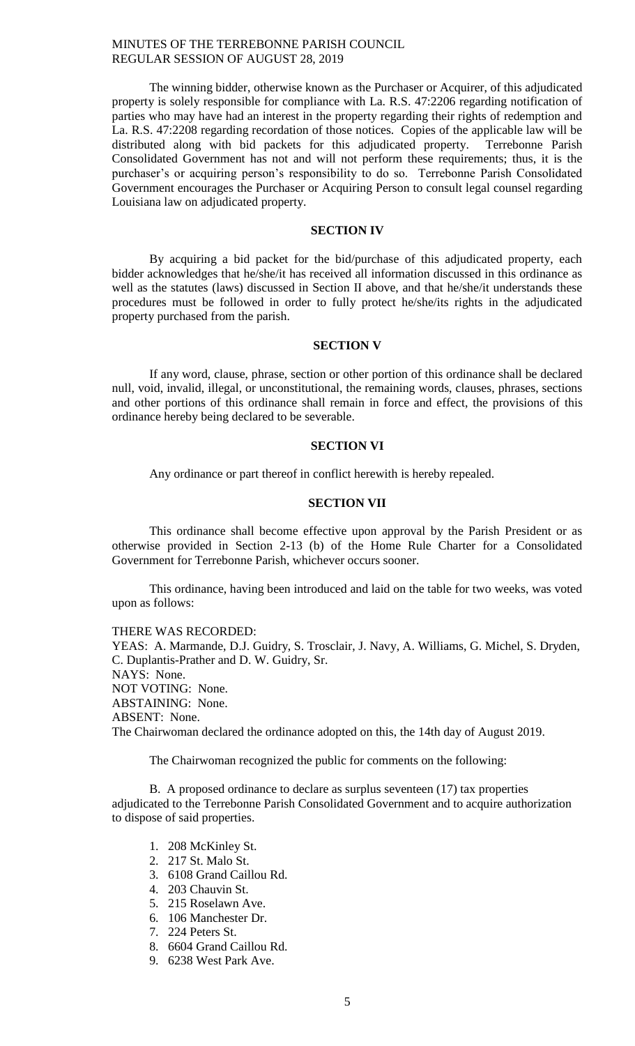The winning bidder, otherwise known as the Purchaser or Acquirer, of this adjudicated property is solely responsible for compliance with La. R.S. 47:2206 regarding notification of parties who may have had an interest in the property regarding their rights of redemption and La. R.S. 47:2208 regarding recordation of those notices. Copies of the applicable law will be distributed along with bid packets for this adjudicated property. Terrebonne Parish Consolidated Government has not and will not perform these requirements; thus, it is the purchaser's or acquiring person's responsibility to do so. Terrebonne Parish Consolidated Government encourages the Purchaser or Acquiring Person to consult legal counsel regarding Louisiana law on adjudicated property.

## **SECTION IV**

By acquiring a bid packet for the bid/purchase of this adjudicated property, each bidder acknowledges that he/she/it has received all information discussed in this ordinance as well as the statutes (laws) discussed in Section II above, and that he/she/it understands these procedures must be followed in order to fully protect he/she/its rights in the adjudicated property purchased from the parish.

## **SECTION V**

If any word, clause, phrase, section or other portion of this ordinance shall be declared null, void, invalid, illegal, or unconstitutional, the remaining words, clauses, phrases, sections and other portions of this ordinance shall remain in force and effect, the provisions of this ordinance hereby being declared to be severable.

#### **SECTION VI**

Any ordinance or part thereof in conflict herewith is hereby repealed.

## **SECTION VII**

This ordinance shall become effective upon approval by the Parish President or as otherwise provided in Section 2-13 (b) of the Home Rule Charter for a Consolidated Government for Terrebonne Parish, whichever occurs sooner.

This ordinance, having been introduced and laid on the table for two weeks, was voted upon as follows:

THERE WAS RECORDED:

YEAS: A. Marmande, D.J. Guidry, S. Trosclair, J. Navy, A. Williams, G. Michel, S. Dryden, C. Duplantis-Prather and D. W. Guidry, Sr. NAYS: None. NOT VOTING: None. ABSTAINING: None. ABSENT: None. The Chairwoman declared the ordinance adopted on this, the 14th day of August 2019.

The Chairwoman recognized the public for comments on the following:

B. A proposed ordinance to declare as surplus seventeen (17) tax properties adjudicated to the Terrebonne Parish Consolidated Government and to acquire authorization to dispose of said properties.

- 1. 208 McKinley St.
- 2. 217 St. Malo St.
- 3. 6108 Grand Caillou Rd.
- 4. 203 Chauvin St.
- 5. 215 Roselawn Ave.
- 6. 106 Manchester Dr.
- 7. 224 Peters St.
- 8. 6604 Grand Caillou Rd.
- 9. 6238 West Park Ave.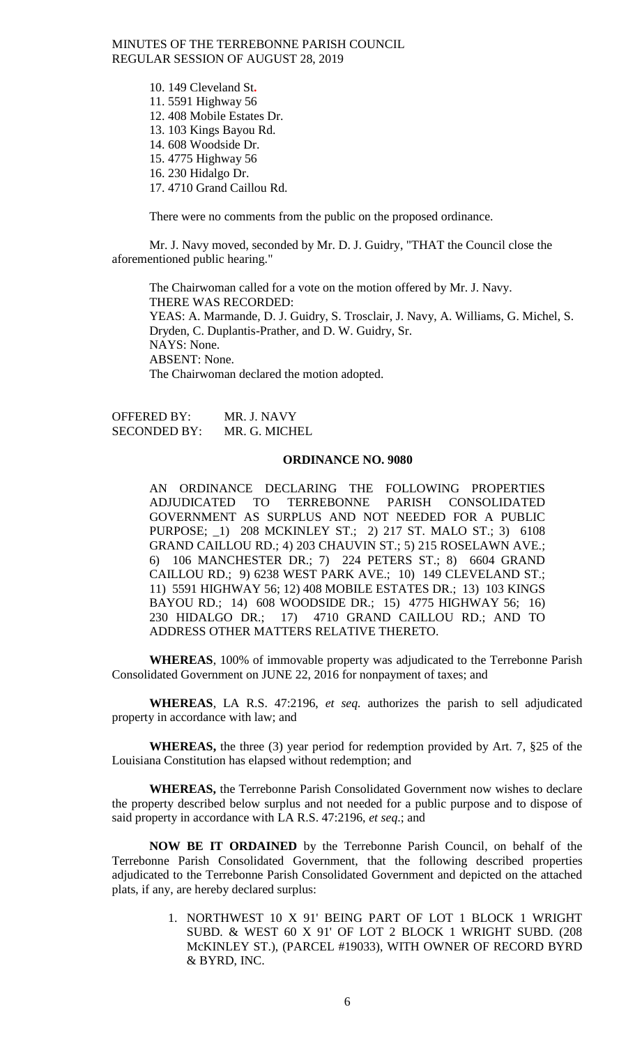> 10. 149 Cleveland St**.** 11. 5591 Highway 56 12. 408 Mobile Estates Dr. 13. 103 Kings Bayou Rd. 14. 608 Woodside Dr. 15. 4775 Highway 56 16. 230 Hidalgo Dr. 17. 4710 Grand Caillou Rd.

There were no comments from the public on the proposed ordinance.

Mr. J. Navy moved, seconded by Mr. D. J. Guidry, "THAT the Council close the aforementioned public hearing."

The Chairwoman called for a vote on the motion offered by Mr. J. Navy. THERE WAS RECORDED: YEAS: A. Marmande, D. J. Guidry, S. Trosclair, J. Navy, A. Williams, G. Michel, S. Dryden, C. Duplantis-Prather, and D. W. Guidry, Sr. NAYS: None. ABSENT: None. The Chairwoman declared the motion adopted.

OFFERED BY: MR. J. NAVY SECONDED BY: MR. G. MICHEL

## **ORDINANCE NO. 9080**

AN ORDINANCE DECLARING THE FOLLOWING PROPERTIES ADJUDICATED TO TERREBONNE PARISH CONSOLIDATED GOVERNMENT AS SURPLUS AND NOT NEEDED FOR A PUBLIC PURPOSE; \_1) 208 MCKINLEY ST.; 2) 217 ST. MALO ST.; 3) 6108 GRAND CAILLOU RD.; 4) 203 CHAUVIN ST.; 5) 215 ROSELAWN AVE.; 6) 106 MANCHESTER DR.; 7) 224 PETERS ST.; 8) 6604 GRAND CAILLOU RD.; 9) 6238 WEST PARK AVE.; 10) 149 CLEVELAND ST.; 11) 5591 HIGHWAY 56; 12) 408 MOBILE ESTATES DR.; 13) 103 KINGS BAYOU RD.; 14) 608 WOODSIDE DR.; 15) 4775 HIGHWAY 56; 16) 230 HIDALGO DR.; 17) 4710 GRAND CAILLOU RD.; AND TO ADDRESS OTHER MATTERS RELATIVE THERETO.

**WHEREAS**, 100% of immovable property was adjudicated to the Terrebonne Parish Consolidated Government on JUNE 22, 2016 for nonpayment of taxes; and

**WHEREAS**, LA R.S. 47:2196, *et seq.* authorizes the parish to sell adjudicated property in accordance with law; and

**WHEREAS,** the three (3) year period for redemption provided by Art. 7, §25 of the Louisiana Constitution has elapsed without redemption; and

**WHEREAS,** the Terrebonne Parish Consolidated Government now wishes to declare the property described below surplus and not needed for a public purpose and to dispose of said property in accordance with LA R.S. 47:2196, *et seq*.; and

**NOW BE IT ORDAINED** by the Terrebonne Parish Council, on behalf of the Terrebonne Parish Consolidated Government, that the following described properties adjudicated to the Terrebonne Parish Consolidated Government and depicted on the attached plats, if any, are hereby declared surplus:

> 1. NORTHWEST 10 X 91' BEING PART OF LOT 1 BLOCK 1 WRIGHT SUBD. & WEST 60 X 91' OF LOT 2 BLOCK 1 WRIGHT SUBD. (208 McKINLEY ST.), (PARCEL #19033), WITH OWNER OF RECORD BYRD & BYRD, INC.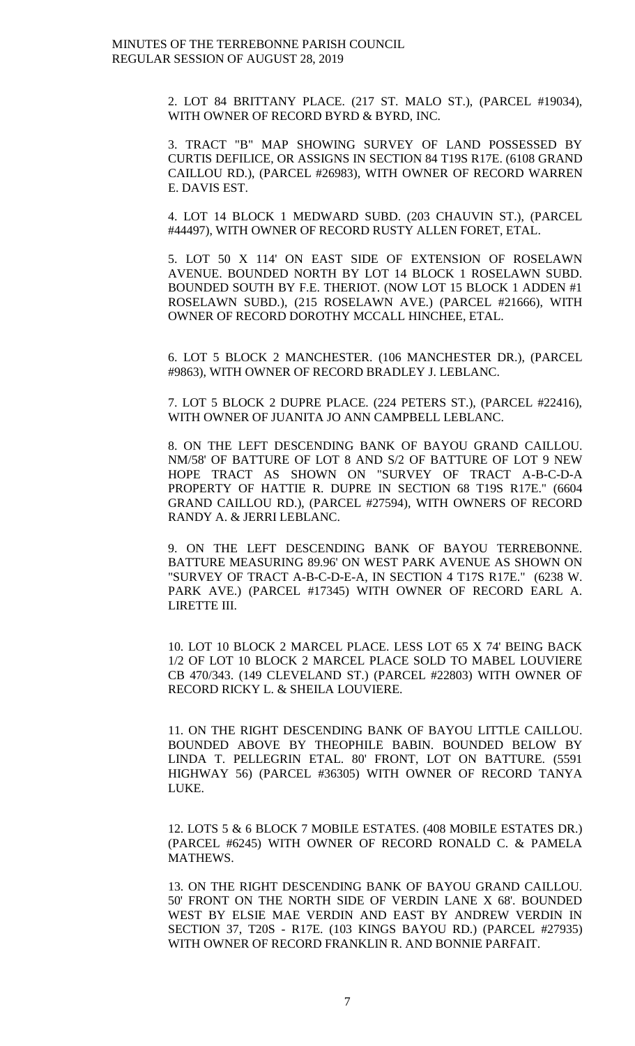2. LOT 84 BRITTANY PLACE. (217 ST. MALO ST.), (PARCEL #19034), WITH OWNER OF RECORD BYRD & BYRD, INC.

3. TRACT "B" MAP SHOWING SURVEY OF LAND POSSESSED BY CURTIS DEFILICE, OR ASSIGNS IN SECTION 84 T19S R17E. (6108 GRAND CAILLOU RD.), (PARCEL #26983), WITH OWNER OF RECORD WARREN E. DAVIS EST.

4. LOT 14 BLOCK 1 MEDWARD SUBD. (203 CHAUVIN ST.), (PARCEL #44497), WITH OWNER OF RECORD RUSTY ALLEN FORET, ETAL.

5. LOT 50 X 114' ON EAST SIDE OF EXTENSION OF ROSELAWN AVENUE. BOUNDED NORTH BY LOT 14 BLOCK 1 ROSELAWN SUBD. BOUNDED SOUTH BY F.E. THERIOT. (NOW LOT 15 BLOCK 1 ADDEN #1 ROSELAWN SUBD.), (215 ROSELAWN AVE.) (PARCEL #21666), WITH OWNER OF RECORD DOROTHY MCCALL HINCHEE, ETAL.

6. LOT 5 BLOCK 2 MANCHESTER. (106 MANCHESTER DR.), (PARCEL #9863), WITH OWNER OF RECORD BRADLEY J. LEBLANC.

7. LOT 5 BLOCK 2 DUPRE PLACE. (224 PETERS ST.), (PARCEL #22416), WITH OWNER OF JUANITA JO ANN CAMPBELL LEBLANC.

8. ON THE LEFT DESCENDING BANK OF BAYOU GRAND CAILLOU. NM/58' OF BATTURE OF LOT 8 AND S/2 OF BATTURE OF LOT 9 NEW HOPE TRACT AS SHOWN ON "SURVEY OF TRACT A-B-C-D-A PROPERTY OF HATTIE R. DUPRE IN SECTION 68 T19S R17E." (6604 GRAND CAILLOU RD.), (PARCEL #27594), WITH OWNERS OF RECORD RANDY A. & JERRI LEBLANC.

9. ON THE LEFT DESCENDING BANK OF BAYOU TERREBONNE. BATTURE MEASURING 89.96' ON WEST PARK AVENUE AS SHOWN ON "SURVEY OF TRACT A-B-C-D-E-A, IN SECTION 4 T17S R17E." (6238 W. PARK AVE.) (PARCEL #17345) WITH OWNER OF RECORD EARL A. LIRETTE III.

10. LOT 10 BLOCK 2 MARCEL PLACE. LESS LOT 65 X 74' BEING BACK 1/2 OF LOT 10 BLOCK 2 MARCEL PLACE SOLD TO MABEL LOUVIERE CB 470/343. (149 CLEVELAND ST.) (PARCEL #22803) WITH OWNER OF RECORD RICKY L. & SHEILA LOUVIERE.

11. ON THE RIGHT DESCENDING BANK OF BAYOU LITTLE CAILLOU. BOUNDED ABOVE BY THEOPHILE BABIN. BOUNDED BELOW BY LINDA T. PELLEGRIN ETAL. 80' FRONT, LOT ON BATTURE. (5591 HIGHWAY 56) (PARCEL #36305) WITH OWNER OF RECORD TANYA LUKE.

12. LOTS 5 & 6 BLOCK 7 MOBILE ESTATES. (408 MOBILE ESTATES DR.) (PARCEL #6245) WITH OWNER OF RECORD RONALD C. & PAMELA MATHEWS.

13. ON THE RIGHT DESCENDING BANK OF BAYOU GRAND CAILLOU. 50' FRONT ON THE NORTH SIDE OF VERDIN LANE X 68'. BOUNDED WEST BY ELSIE MAE VERDIN AND EAST BY ANDREW VERDIN IN SECTION 37, T20S - R17E. (103 KINGS BAYOU RD.) (PARCEL #27935) WITH OWNER OF RECORD FRANKLIN R. AND BONNIE PARFAIT.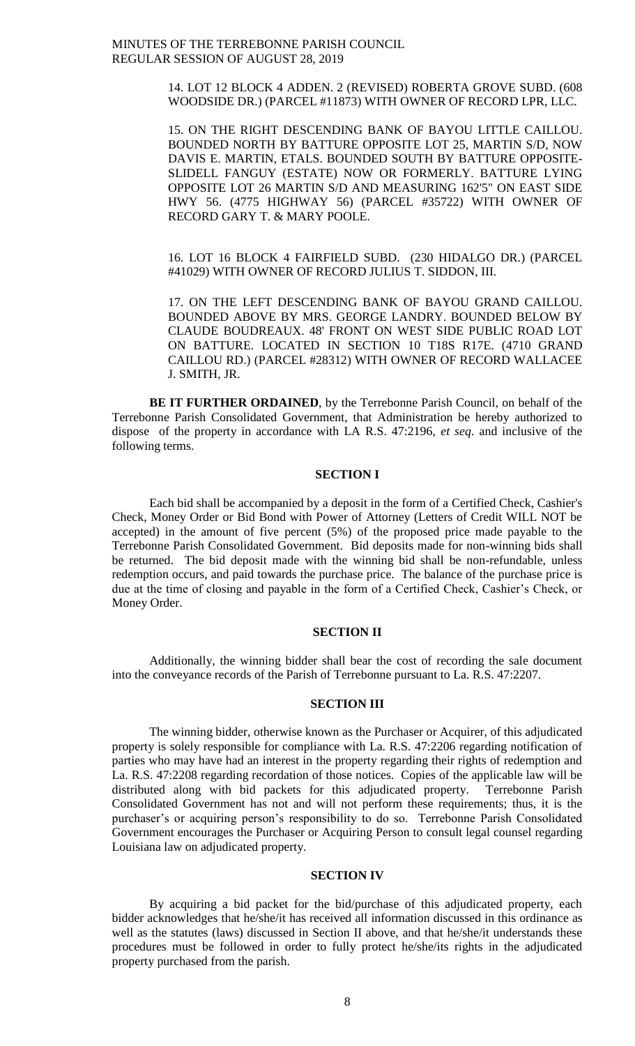> 14. LOT 12 BLOCK 4 ADDEN. 2 (REVISED) ROBERTA GROVE SUBD. (608 WOODSIDE DR.) (PARCEL #11873) WITH OWNER OF RECORD LPR, LLC.

> 15. ON THE RIGHT DESCENDING BANK OF BAYOU LITTLE CAILLOU. BOUNDED NORTH BY BATTURE OPPOSITE LOT 25, MARTIN S/D, NOW DAVIS E. MARTIN, ETALS. BOUNDED SOUTH BY BATTURE OPPOSITE-SLIDELL FANGUY (ESTATE) NOW OR FORMERLY. BATTURE LYING OPPOSITE LOT 26 MARTIN S/D AND MEASURING 162'5" ON EAST SIDE HWY 56. (4775 HIGHWAY 56) (PARCEL #35722) WITH OWNER OF RECORD GARY T. & MARY POOLE.

> 16. LOT 16 BLOCK 4 FAIRFIELD SUBD. (230 HIDALGO DR.) (PARCEL #41029) WITH OWNER OF RECORD JULIUS T. SIDDON, III.

> 17. ON THE LEFT DESCENDING BANK OF BAYOU GRAND CAILLOU. BOUNDED ABOVE BY MRS. GEORGE LANDRY. BOUNDED BELOW BY CLAUDE BOUDREAUX. 48' FRONT ON WEST SIDE PUBLIC ROAD LOT ON BATTURE. LOCATED IN SECTION 10 T18S R17E. (4710 GRAND CAILLOU RD.) (PARCEL #28312) WITH OWNER OF RECORD WALLACEE J. SMITH, JR.

**BE IT FURTHER ORDAINED**, by the Terrebonne Parish Council, on behalf of the Terrebonne Parish Consolidated Government, that Administration be hereby authorized to dispose of the property in accordance with LA R.S. 47:2196, *et seq*. and inclusive of the following terms.

### **SECTION I**

Each bid shall be accompanied by a deposit in the form of a Certified Check, Cashier's Check, Money Order or Bid Bond with Power of Attorney (Letters of Credit WILL NOT be accepted) in the amount of five percent (5%) of the proposed price made payable to the Terrebonne Parish Consolidated Government. Bid deposits made for non-winning bids shall be returned. The bid deposit made with the winning bid shall be non-refundable, unless redemption occurs, and paid towards the purchase price. The balance of the purchase price is due at the time of closing and payable in the form of a Certified Check, Cashier's Check, or Money Order.

#### **SECTION II**

Additionally, the winning bidder shall bear the cost of recording the sale document into the conveyance records of the Parish of Terrebonne pursuant to La. R.S. 47:2207.

#### **SECTION III**

The winning bidder, otherwise known as the Purchaser or Acquirer, of this adjudicated property is solely responsible for compliance with La. R.S. 47:2206 regarding notification of parties who may have had an interest in the property regarding their rights of redemption and La. R.S. 47:2208 regarding recordation of those notices. Copies of the applicable law will be distributed along with bid packets for this adjudicated property. Terrebonne Parish Consolidated Government has not and will not perform these requirements; thus, it is the purchaser's or acquiring person's responsibility to do so. Terrebonne Parish Consolidated Government encourages the Purchaser or Acquiring Person to consult legal counsel regarding Louisiana law on adjudicated property.

#### **SECTION IV**

By acquiring a bid packet for the bid/purchase of this adjudicated property, each bidder acknowledges that he/she/it has received all information discussed in this ordinance as well as the statutes (laws) discussed in Section II above, and that he/she/it understands these procedures must be followed in order to fully protect he/she/its rights in the adjudicated property purchased from the parish.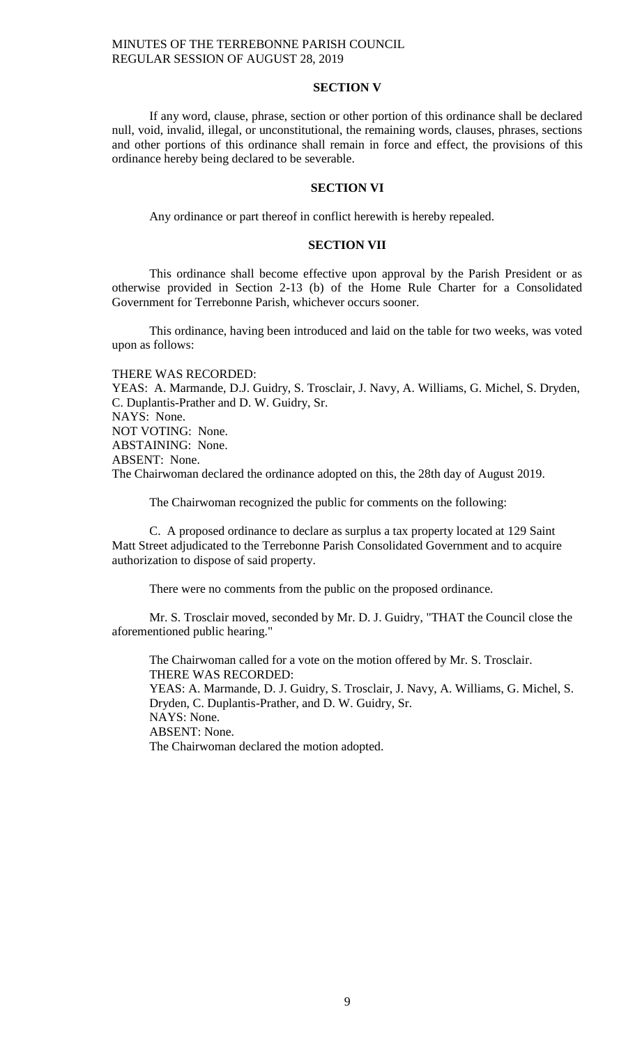## **SECTION V**

If any word, clause, phrase, section or other portion of this ordinance shall be declared null, void, invalid, illegal, or unconstitutional, the remaining words, clauses, phrases, sections and other portions of this ordinance shall remain in force and effect, the provisions of this ordinance hereby being declared to be severable.

#### **SECTION VI**

Any ordinance or part thereof in conflict herewith is hereby repealed.

#### **SECTION VII**

This ordinance shall become effective upon approval by the Parish President or as otherwise provided in Section 2-13 (b) of the Home Rule Charter for a Consolidated Government for Terrebonne Parish, whichever occurs sooner.

This ordinance, having been introduced and laid on the table for two weeks, was voted upon as follows:

THERE WAS RECORDED:

YEAS: A. Marmande, D.J. Guidry, S. Trosclair, J. Navy, A. Williams, G. Michel, S. Dryden, C. Duplantis-Prather and D. W. Guidry, Sr. NAYS: None. NOT VOTING: None. ABSTAINING: None. ABSENT: None. The Chairwoman declared the ordinance adopted on this, the 28th day of August 2019.

The Chairwoman recognized the public for comments on the following:

C. A proposed ordinance to declare as surplus a tax property located at 129 Saint Matt Street adjudicated to the Terrebonne Parish Consolidated Government and to acquire authorization to dispose of said property.

There were no comments from the public on the proposed ordinance.

Mr. S. Trosclair moved, seconded by Mr. D. J. Guidry, "THAT the Council close the aforementioned public hearing."

The Chairwoman called for a vote on the motion offered by Mr. S. Trosclair. THERE WAS RECORDED: YEAS: A. Marmande, D. J. Guidry, S. Trosclair, J. Navy, A. Williams, G. Michel, S. Dryden, C. Duplantis-Prather, and D. W. Guidry, Sr.

NAYS: None.

ABSENT: None.

The Chairwoman declared the motion adopted.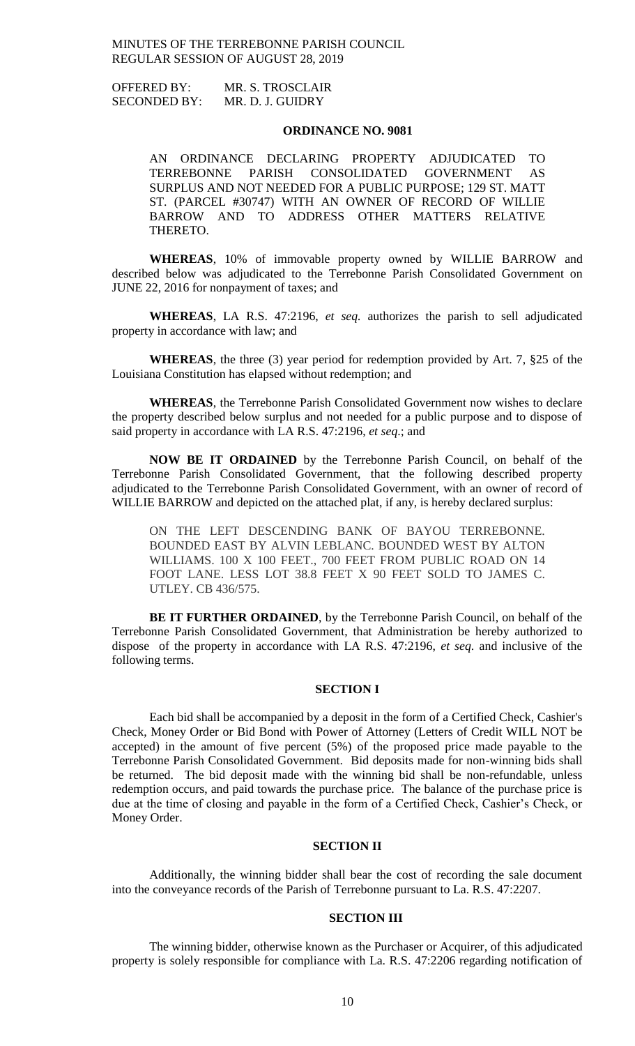OFFERED BY: MR. S. TROSCLAIR SECONDED BY: MR. D. J. GUIDRY

### **ORDINANCE NO. 9081**

AN ORDINANCE DECLARING PROPERTY ADJUDICATED TO TERREBONNE PARISH CONSOLIDATED GOVERNMENT AS SURPLUS AND NOT NEEDED FOR A PUBLIC PURPOSE; 129 ST. MATT ST. (PARCEL #30747) WITH AN OWNER OF RECORD OF WILLIE BARROW AND TO ADDRESS OTHER MATTERS RELATIVE THERETO.

**WHEREAS**, 10% of immovable property owned by WILLIE BARROW and described below was adjudicated to the Terrebonne Parish Consolidated Government on JUNE 22, 2016 for nonpayment of taxes; and

**WHEREAS**, LA R.S. 47:2196, *et seq.* authorizes the parish to sell adjudicated property in accordance with law; and

**WHEREAS**, the three (3) year period for redemption provided by Art. 7, §25 of the Louisiana Constitution has elapsed without redemption; and

**WHEREAS**, the Terrebonne Parish Consolidated Government now wishes to declare the property described below surplus and not needed for a public purpose and to dispose of said property in accordance with LA R.S. 47:2196, *et seq*.; and

**NOW BE IT ORDAINED** by the Terrebonne Parish Council, on behalf of the Terrebonne Parish Consolidated Government, that the following described property adjudicated to the Terrebonne Parish Consolidated Government, with an owner of record of WILLIE BARROW and depicted on the attached plat, if any, is hereby declared surplus:

ON THE LEFT DESCENDING BANK OF BAYOU TERREBONNE. BOUNDED EAST BY ALVIN LEBLANC. BOUNDED WEST BY ALTON WILLIAMS. 100 X 100 FEET., 700 FEET FROM PUBLIC ROAD ON 14 FOOT LANE. LESS LOT 38.8 FEET X 90 FEET SOLD TO JAMES C. UTLEY. CB 436/575.

**BE IT FURTHER ORDAINED**, by the Terrebonne Parish Council, on behalf of the Terrebonne Parish Consolidated Government, that Administration be hereby authorized to dispose of the property in accordance with LA R.S. 47:2196, *et seq*. and inclusive of the following terms.

#### **SECTION I**

Each bid shall be accompanied by a deposit in the form of a Certified Check, Cashier's Check, Money Order or Bid Bond with Power of Attorney (Letters of Credit WILL NOT be accepted) in the amount of five percent (5%) of the proposed price made payable to the Terrebonne Parish Consolidated Government. Bid deposits made for non-winning bids shall be returned. The bid deposit made with the winning bid shall be non-refundable, unless redemption occurs, and paid towards the purchase price. The balance of the purchase price is due at the time of closing and payable in the form of a Certified Check, Cashier's Check, or Money Order.

## **SECTION II**

Additionally, the winning bidder shall bear the cost of recording the sale document into the conveyance records of the Parish of Terrebonne pursuant to La. R.S. 47:2207.

## **SECTION III**

The winning bidder, otherwise known as the Purchaser or Acquirer, of this adjudicated property is solely responsible for compliance with La. R.S. 47:2206 regarding notification of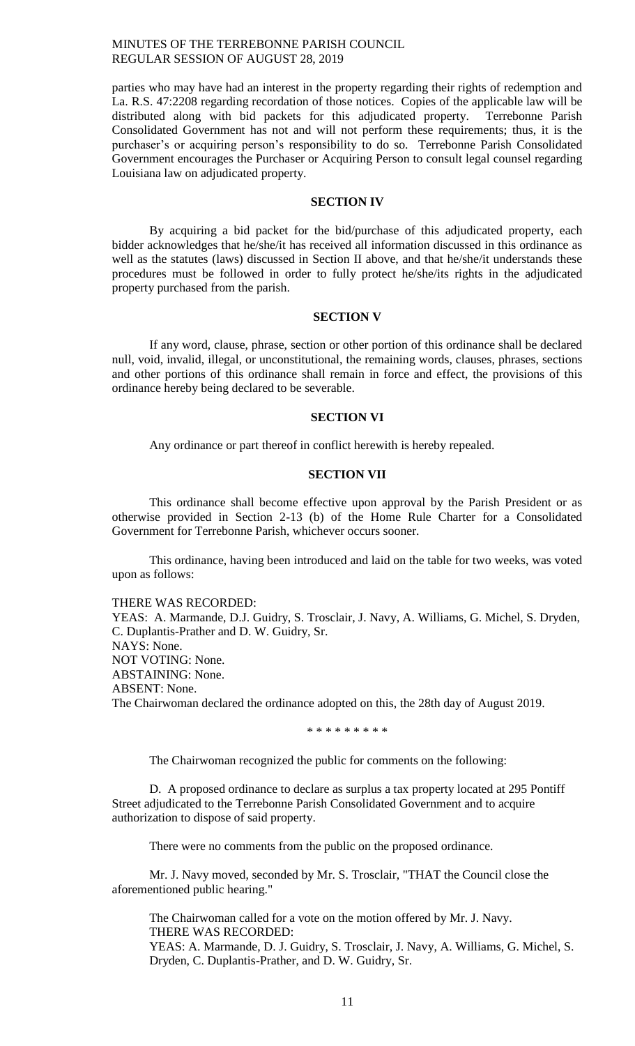parties who may have had an interest in the property regarding their rights of redemption and La. R.S. 47:2208 regarding recordation of those notices. Copies of the applicable law will be distributed along with bid packets for this adjudicated property. Terrebonne Parish Consolidated Government has not and will not perform these requirements; thus, it is the purchaser's or acquiring person's responsibility to do so. Terrebonne Parish Consolidated Government encourages the Purchaser or Acquiring Person to consult legal counsel regarding Louisiana law on adjudicated property.

#### **SECTION IV**

By acquiring a bid packet for the bid/purchase of this adjudicated property, each bidder acknowledges that he/she/it has received all information discussed in this ordinance as well as the statutes (laws) discussed in Section II above, and that he/she/it understands these procedures must be followed in order to fully protect he/she/its rights in the adjudicated property purchased from the parish.

#### **SECTION V**

If any word, clause, phrase, section or other portion of this ordinance shall be declared null, void, invalid, illegal, or unconstitutional, the remaining words, clauses, phrases, sections and other portions of this ordinance shall remain in force and effect, the provisions of this ordinance hereby being declared to be severable.

## **SECTION VI**

Any ordinance or part thereof in conflict herewith is hereby repealed.

### **SECTION VII**

This ordinance shall become effective upon approval by the Parish President or as otherwise provided in Section 2-13 (b) of the Home Rule Charter for a Consolidated Government for Terrebonne Parish, whichever occurs sooner.

This ordinance, having been introduced and laid on the table for two weeks, was voted upon as follows:

#### THERE WAS RECORDED:

YEAS: A. Marmande, D.J. Guidry, S. Trosclair, J. Navy, A. Williams, G. Michel, S. Dryden, C. Duplantis-Prather and D. W. Guidry, Sr. NAYS: None. NOT VOTING: None. ABSTAINING: None.

ABSENT: None.

The Chairwoman declared the ordinance adopted on this, the 28th day of August 2019.

\* \* \* \* \* \* \* \* \*

The Chairwoman recognized the public for comments on the following:

D. A proposed ordinance to declare as surplus a tax property located at 295 Pontiff Street adjudicated to the Terrebonne Parish Consolidated Government and to acquire authorization to dispose of said property.

There were no comments from the public on the proposed ordinance.

Mr. J. Navy moved, seconded by Mr. S. Trosclair, "THAT the Council close the aforementioned public hearing."

The Chairwoman called for a vote on the motion offered by Mr. J. Navy. THERE WAS RECORDED: YEAS: A. Marmande, D. J. Guidry, S. Trosclair, J. Navy, A. Williams, G. Michel, S. Dryden, C. Duplantis-Prather, and D. W. Guidry, Sr.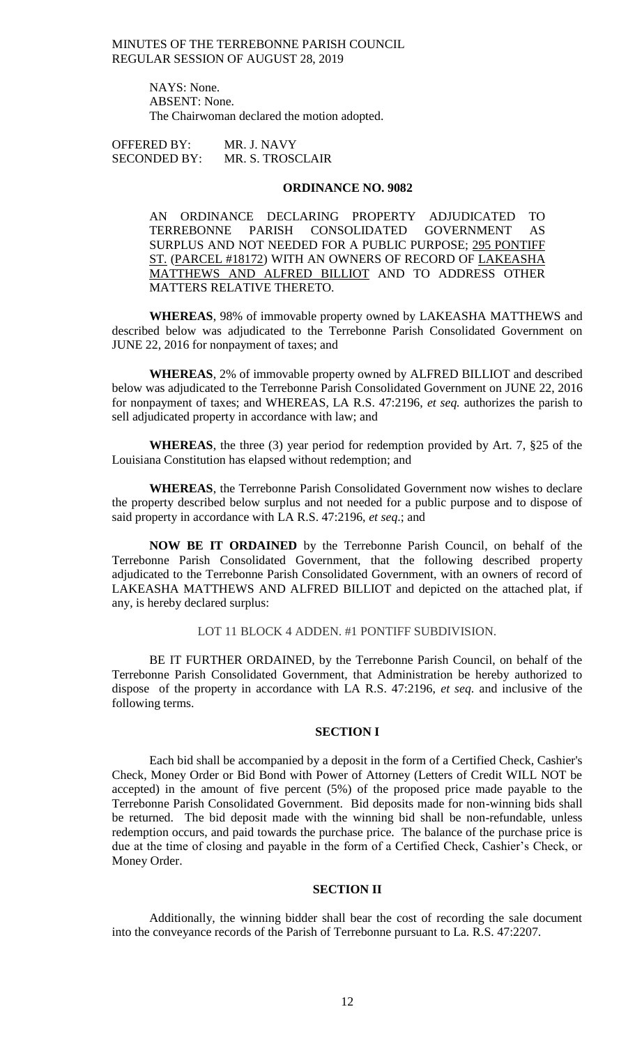> NAYS: None. ABSENT: None. The Chairwoman declared the motion adopted.

OFFERED BY: MR. J. NAVY SECONDED BY: MR. S. TROSCLAIR

#### **ORDINANCE NO. 9082**

AN ORDINANCE DECLARING PROPERTY ADJUDICATED TO TERREBONNE PARISH CONSOLIDATED GOVERNMENT AS SURPLUS AND NOT NEEDED FOR A PUBLIC PURPOSE; 295 PONTIFF ST. (PARCEL #18172) WITH AN OWNERS OF RECORD OF LAKEASHA MATTHEWS AND ALFRED BILLIOT AND TO ADDRESS OTHER MATTERS RELATIVE THERETO.

**WHEREAS**, 98% of immovable property owned by LAKEASHA MATTHEWS and described below was adjudicated to the Terrebonne Parish Consolidated Government on JUNE 22, 2016 for nonpayment of taxes; and

**WHEREAS**, 2% of immovable property owned by ALFRED BILLIOT and described below was adjudicated to the Terrebonne Parish Consolidated Government on JUNE 22, 2016 for nonpayment of taxes; and WHEREAS, LA R.S. 47:2196, *et seq.* authorizes the parish to sell adjudicated property in accordance with law; and

**WHEREAS**, the three (3) year period for redemption provided by Art. 7, §25 of the Louisiana Constitution has elapsed without redemption; and

**WHEREAS**, the Terrebonne Parish Consolidated Government now wishes to declare the property described below surplus and not needed for a public purpose and to dispose of said property in accordance with LA R.S. 47:2196, *et seq*.; and

**NOW BE IT ORDAINED** by the Terrebonne Parish Council, on behalf of the Terrebonne Parish Consolidated Government, that the following described property adjudicated to the Terrebonne Parish Consolidated Government, with an owners of record of LAKEASHA MATTHEWS AND ALFRED BILLIOT and depicted on the attached plat, if any, is hereby declared surplus:

## LOT 11 BLOCK 4 ADDEN. #1 PONTIFF SUBDIVISION.

BE IT FURTHER ORDAINED, by the Terrebonne Parish Council, on behalf of the Terrebonne Parish Consolidated Government, that Administration be hereby authorized to dispose of the property in accordance with LA R.S. 47:2196, *et seq*. and inclusive of the following terms.

#### **SECTION I**

Each bid shall be accompanied by a deposit in the form of a Certified Check, Cashier's Check, Money Order or Bid Bond with Power of Attorney (Letters of Credit WILL NOT be accepted) in the amount of five percent (5%) of the proposed price made payable to the Terrebonne Parish Consolidated Government. Bid deposits made for non-winning bids shall be returned. The bid deposit made with the winning bid shall be non-refundable, unless redemption occurs, and paid towards the purchase price. The balance of the purchase price is due at the time of closing and payable in the form of a Certified Check, Cashier's Check, or Money Order.

#### **SECTION II**

Additionally, the winning bidder shall bear the cost of recording the sale document into the conveyance records of the Parish of Terrebonne pursuant to La. R.S. 47:2207.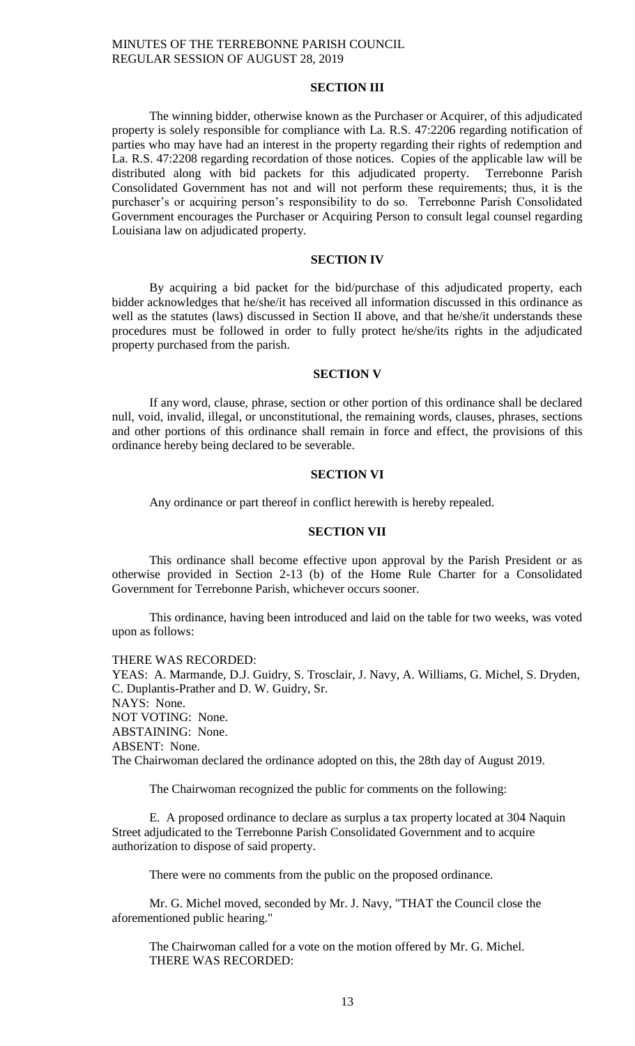## **SECTION III**

The winning bidder, otherwise known as the Purchaser or Acquirer, of this adjudicated property is solely responsible for compliance with La. R.S. 47:2206 regarding notification of parties who may have had an interest in the property regarding their rights of redemption and La. R.S. 47:2208 regarding recordation of those notices. Copies of the applicable law will be distributed along with bid packets for this adjudicated property. Terrebonne Parish Consolidated Government has not and will not perform these requirements; thus, it is the purchaser's or acquiring person's responsibility to do so. Terrebonne Parish Consolidated Government encourages the Purchaser or Acquiring Person to consult legal counsel regarding Louisiana law on adjudicated property.

## **SECTION IV**

By acquiring a bid packet for the bid/purchase of this adjudicated property, each bidder acknowledges that he/she/it has received all information discussed in this ordinance as well as the statutes (laws) discussed in Section II above, and that he/she/it understands these procedures must be followed in order to fully protect he/she/its rights in the adjudicated property purchased from the parish.

#### **SECTION V**

If any word, clause, phrase, section or other portion of this ordinance shall be declared null, void, invalid, illegal, or unconstitutional, the remaining words, clauses, phrases, sections and other portions of this ordinance shall remain in force and effect, the provisions of this ordinance hereby being declared to be severable.

### **SECTION VI**

Any ordinance or part thereof in conflict herewith is hereby repealed.

#### **SECTION VII**

This ordinance shall become effective upon approval by the Parish President or as otherwise provided in Section 2-13 (b) of the Home Rule Charter for a Consolidated Government for Terrebonne Parish, whichever occurs sooner.

This ordinance, having been introduced and laid on the table for two weeks, was voted upon as follows:

THERE WAS RECORDED:

YEAS: A. Marmande, D.J. Guidry, S. Trosclair, J. Navy, A. Williams, G. Michel, S. Dryden, C. Duplantis-Prather and D. W. Guidry, Sr. NAYS: None. NOT VOTING: None. ABSTAINING: None. ABSENT: None. The Chairwoman declared the ordinance adopted on this, the 28th day of August 2019.

The Chairwoman recognized the public for comments on the following:

E. A proposed ordinance to declare as surplus a tax property located at 304 Naquin Street adjudicated to the Terrebonne Parish Consolidated Government and to acquire authorization to dispose of said property.

There were no comments from the public on the proposed ordinance.

Mr. G. Michel moved, seconded by Mr. J. Navy, "THAT the Council close the aforementioned public hearing."

The Chairwoman called for a vote on the motion offered by Mr. G. Michel. THERE WAS RECORDED: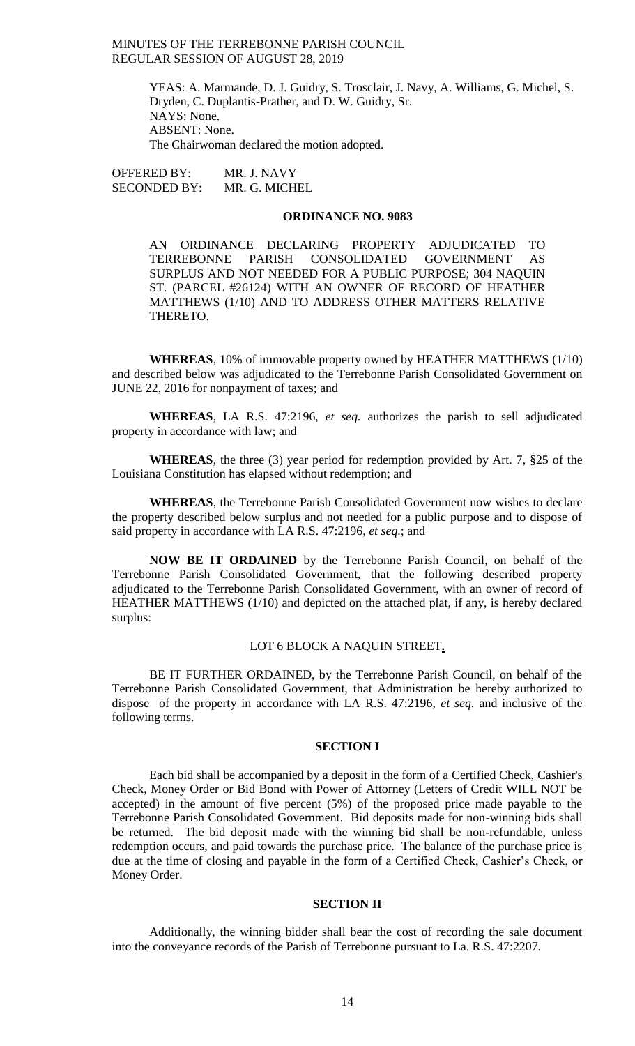YEAS: A. Marmande, D. J. Guidry, S. Trosclair, J. Navy, A. Williams, G. Michel, S. Dryden, C. Duplantis-Prather, and D. W. Guidry, Sr. NAYS: None. ABSENT: None. The Chairwoman declared the motion adopted.

OFFERED BY: MR. J. NAVY SECONDED BY: MR. G. MICHEL

#### **ORDINANCE NO. 9083**

AN ORDINANCE DECLARING PROPERTY ADJUDICATED TO TERREBONNE PARISH CONSOLIDATED GOVERNMENT AS SURPLUS AND NOT NEEDED FOR A PUBLIC PURPOSE; 304 NAQUIN ST. (PARCEL #26124) WITH AN OWNER OF RECORD OF HEATHER MATTHEWS (1/10) AND TO ADDRESS OTHER MATTERS RELATIVE THERETO.

**WHEREAS**, 10% of immovable property owned by HEATHER MATTHEWS (1/10) and described below was adjudicated to the Terrebonne Parish Consolidated Government on JUNE 22, 2016 for nonpayment of taxes; and

**WHEREAS**, LA R.S. 47:2196, *et seq.* authorizes the parish to sell adjudicated property in accordance with law; and

**WHEREAS**, the three (3) year period for redemption provided by Art. 7, §25 of the Louisiana Constitution has elapsed without redemption; and

**WHEREAS**, the Terrebonne Parish Consolidated Government now wishes to declare the property described below surplus and not needed for a public purpose and to dispose of said property in accordance with LA R.S. 47:2196, *et seq*.; and

**NOW BE IT ORDAINED** by the Terrebonne Parish Council, on behalf of the Terrebonne Parish Consolidated Government, that the following described property adjudicated to the Terrebonne Parish Consolidated Government, with an owner of record of HEATHER MATTHEWS (1/10) and depicted on the attached plat, if any, is hereby declared surplus:

## LOT 6 BLOCK A NAQUIN STREET**.**

BE IT FURTHER ORDAINED, by the Terrebonne Parish Council, on behalf of the Terrebonne Parish Consolidated Government, that Administration be hereby authorized to dispose of the property in accordance with LA R.S. 47:2196, *et seq*. and inclusive of the following terms.

#### **SECTION I**

Each bid shall be accompanied by a deposit in the form of a Certified Check, Cashier's Check, Money Order or Bid Bond with Power of Attorney (Letters of Credit WILL NOT be accepted) in the amount of five percent (5%) of the proposed price made payable to the Terrebonne Parish Consolidated Government. Bid deposits made for non-winning bids shall be returned. The bid deposit made with the winning bid shall be non-refundable, unless redemption occurs, and paid towards the purchase price. The balance of the purchase price is due at the time of closing and payable in the form of a Certified Check, Cashier's Check, or Money Order.

## **SECTION II**

Additionally, the winning bidder shall bear the cost of recording the sale document into the conveyance records of the Parish of Terrebonne pursuant to La. R.S. 47:2207.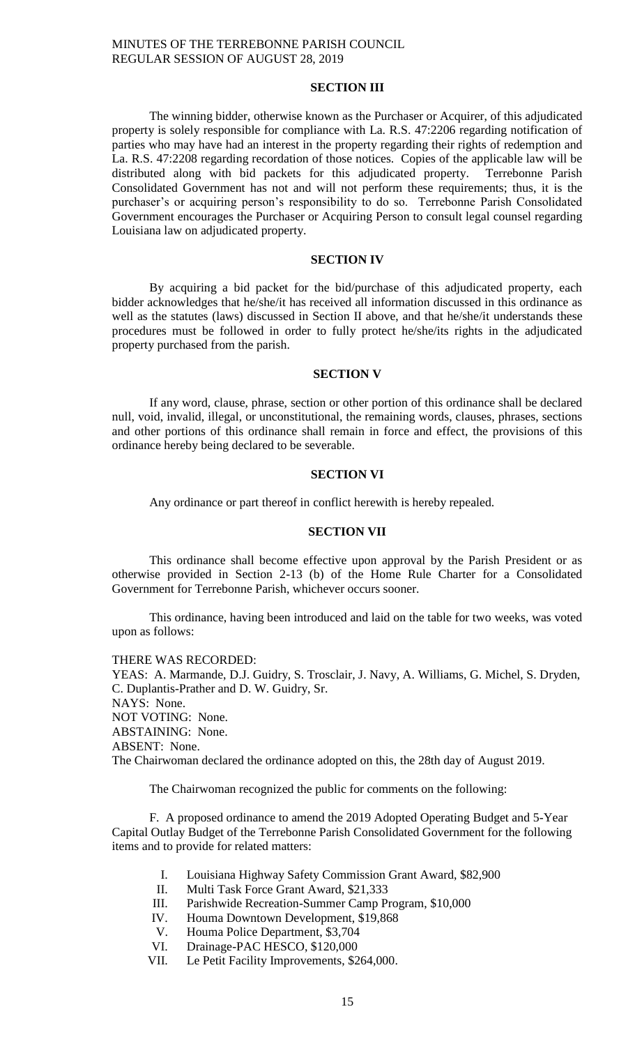## **SECTION III**

The winning bidder, otherwise known as the Purchaser or Acquirer, of this adjudicated property is solely responsible for compliance with La. R.S. 47:2206 regarding notification of parties who may have had an interest in the property regarding their rights of redemption and La. R.S. 47:2208 regarding recordation of those notices. Copies of the applicable law will be distributed along with bid packets for this adjudicated property. Terrebonne Parish Consolidated Government has not and will not perform these requirements; thus, it is the purchaser's or acquiring person's responsibility to do so. Terrebonne Parish Consolidated Government encourages the Purchaser or Acquiring Person to consult legal counsel regarding Louisiana law on adjudicated property.

## **SECTION IV**

By acquiring a bid packet for the bid/purchase of this adjudicated property, each bidder acknowledges that he/she/it has received all information discussed in this ordinance as well as the statutes (laws) discussed in Section II above, and that he/she/it understands these procedures must be followed in order to fully protect he/she/its rights in the adjudicated property purchased from the parish.

#### **SECTION V**

If any word, clause, phrase, section or other portion of this ordinance shall be declared null, void, invalid, illegal, or unconstitutional, the remaining words, clauses, phrases, sections and other portions of this ordinance shall remain in force and effect, the provisions of this ordinance hereby being declared to be severable.

### **SECTION VI**

Any ordinance or part thereof in conflict herewith is hereby repealed.

#### **SECTION VII**

This ordinance shall become effective upon approval by the Parish President or as otherwise provided in Section 2-13 (b) of the Home Rule Charter for a Consolidated Government for Terrebonne Parish, whichever occurs sooner.

This ordinance, having been introduced and laid on the table for two weeks, was voted upon as follows:

THERE WAS RECORDED:

YEAS: A. Marmande, D.J. Guidry, S. Trosclair, J. Navy, A. Williams, G. Michel, S. Dryden, C. Duplantis-Prather and D. W. Guidry, Sr. NAYS: None. NOT VOTING: None. ABSTAINING: None. ABSENT: None. The Chairwoman declared the ordinance adopted on this, the 28th day of August 2019.

The Chairwoman recognized the public for comments on the following:

F. A proposed ordinance to amend the 2019 Adopted Operating Budget and 5-Year Capital Outlay Budget of the Terrebonne Parish Consolidated Government for the following items and to provide for related matters:

- I. Louisiana Highway Safety Commission Grant Award, \$82,900
- II. Multi Task Force Grant Award, \$21,333
- III. Parishwide Recreation-Summer Camp Program, \$10,000
- IV. Houma Downtown Development, \$19,868
- V. Houma Police Department, \$3,704<br>VI. Drainage-PAC HESCO, \$120,000
- Drainage-PAC HESCO, \$120,000
- VII. Le Petit Facility Improvements, \$264,000.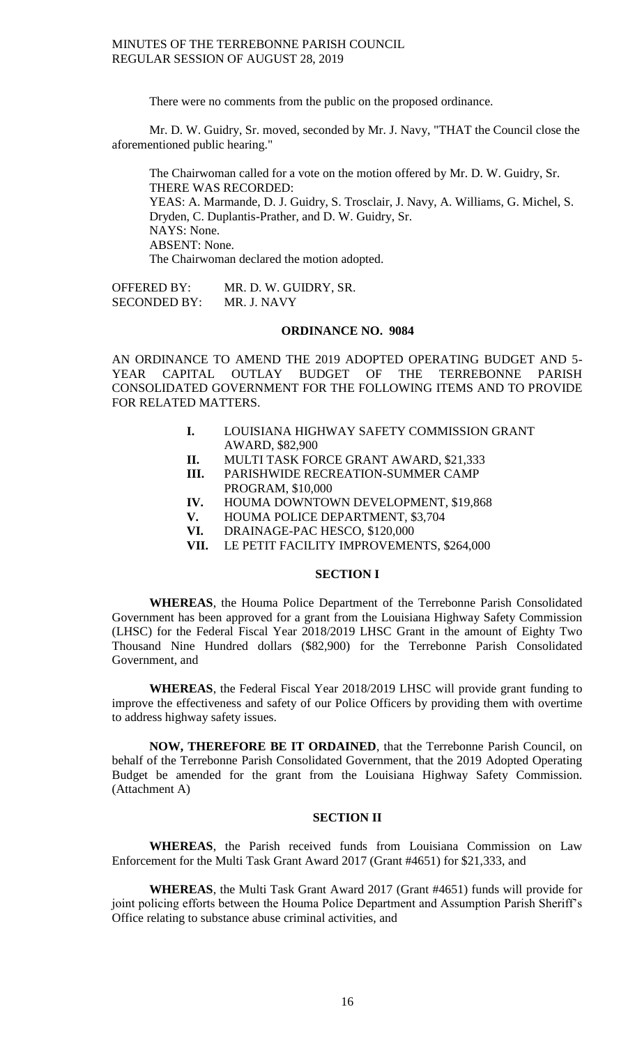There were no comments from the public on the proposed ordinance.

Mr. D. W. Guidry, Sr. moved, seconded by Mr. J. Navy, "THAT the Council close the aforementioned public hearing."

The Chairwoman called for a vote on the motion offered by Mr. D. W. Guidry, Sr. THERE WAS RECORDED: YEAS: A. Marmande, D. J. Guidry, S. Trosclair, J. Navy, A. Williams, G. Michel, S. Dryden, C. Duplantis-Prather, and D. W. Guidry, Sr. NAYS: None. ABSENT: None. The Chairwoman declared the motion adopted.

OFFERED BY: MR. D. W. GUIDRY, SR. SECONDED BY: MR. J. NAVY

## **ORDINANCE NO. 9084**

AN ORDINANCE TO AMEND THE 2019 ADOPTED OPERATING BUDGET AND 5- YEAR CAPITAL OUTLAY BUDGET OF THE TERREBONNE PARISH CONSOLIDATED GOVERNMENT FOR THE FOLLOWING ITEMS AND TO PROVIDE FOR RELATED MATTERS.

- **I.** LOUISIANA HIGHWAY SAFETY COMMISSION GRANT AWARD, \$82,900
- **II.** MULTI TASK FORCE GRANT AWARD, \$21,333
- **III.** PARISHWIDE RECREATION-SUMMER CAMP PROGRAM, \$10,000
- **IV.** HOUMA DOWNTOWN DEVELOPMENT, \$19,868
- **V.** HOUMA POLICE DEPARTMENT, \$3,704
- **VI.** DRAINAGE-PAC HESCO, \$120,000
- **VII.** LE PETIT FACILITY IMPROVEMENTS, \$264,000

## **SECTION I**

**WHEREAS**, the Houma Police Department of the Terrebonne Parish Consolidated Government has been approved for a grant from the Louisiana Highway Safety Commission (LHSC) for the Federal Fiscal Year 2018/2019 LHSC Grant in the amount of Eighty Two Thousand Nine Hundred dollars (\$82,900) for the Terrebonne Parish Consolidated Government, and

**WHEREAS**, the Federal Fiscal Year 2018/2019 LHSC will provide grant funding to improve the effectiveness and safety of our Police Officers by providing them with overtime to address highway safety issues.

**NOW, THEREFORE BE IT ORDAINED**, that the Terrebonne Parish Council, on behalf of the Terrebonne Parish Consolidated Government, that the 2019 Adopted Operating Budget be amended for the grant from the Louisiana Highway Safety Commission. (Attachment A)

## **SECTION II**

**WHEREAS**, the Parish received funds from Louisiana Commission on Law Enforcement for the Multi Task Grant Award 2017 (Grant #4651) for \$21,333, and

**WHEREAS**, the Multi Task Grant Award 2017 (Grant #4651) funds will provide for joint policing efforts between the Houma Police Department and Assumption Parish Sheriff's Office relating to substance abuse criminal activities, and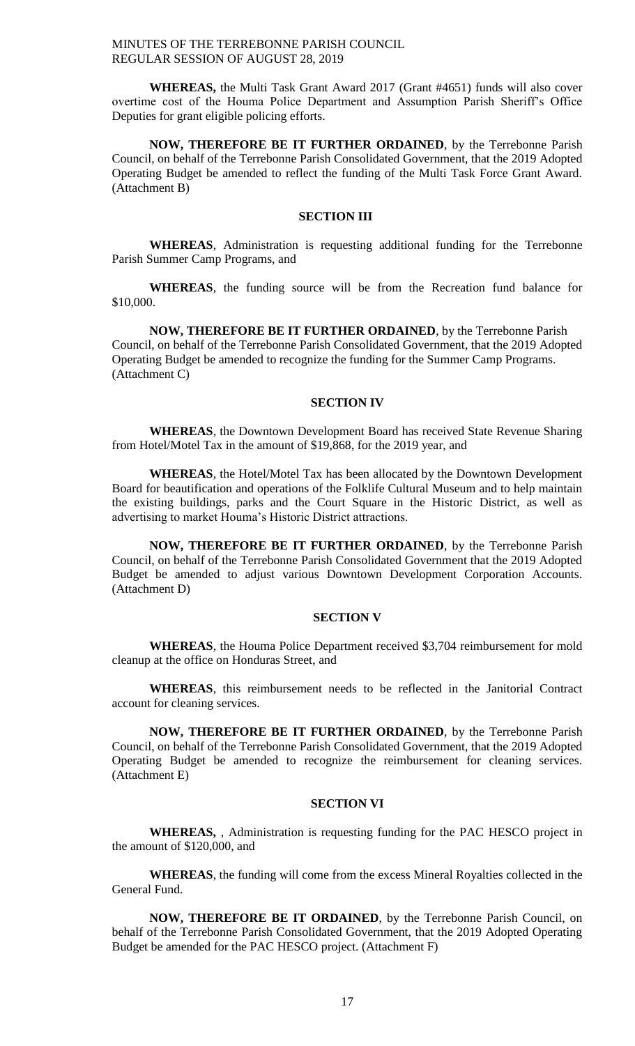**WHEREAS,** the Multi Task Grant Award 2017 (Grant #4651) funds will also cover overtime cost of the Houma Police Department and Assumption Parish Sheriff's Office Deputies for grant eligible policing efforts.

**NOW, THEREFORE BE IT FURTHER ORDAINED**, by the Terrebonne Parish Council, on behalf of the Terrebonne Parish Consolidated Government, that the 2019 Adopted Operating Budget be amended to reflect the funding of the Multi Task Force Grant Award. (Attachment B)

#### **SECTION III**

**WHEREAS**, Administration is requesting additional funding for the Terrebonne Parish Summer Camp Programs, and

**WHEREAS**, the funding source will be from the Recreation fund balance for \$10,000.

**NOW, THEREFORE BE IT FURTHER ORDAINED**, by the Terrebonne Parish Council, on behalf of the Terrebonne Parish Consolidated Government, that the 2019 Adopted Operating Budget be amended to recognize the funding for the Summer Camp Programs. (Attachment C)

#### **SECTION IV**

**WHEREAS**, the Downtown Development Board has received State Revenue Sharing from Hotel/Motel Tax in the amount of \$19,868, for the 2019 year, and

**WHEREAS**, the Hotel/Motel Tax has been allocated by the Downtown Development Board for beautification and operations of the Folklife Cultural Museum and to help maintain the existing buildings, parks and the Court Square in the Historic District, as well as advertising to market Houma's Historic District attractions.

**NOW, THEREFORE BE IT FURTHER ORDAINED**, by the Terrebonne Parish Council, on behalf of the Terrebonne Parish Consolidated Government that the 2019 Adopted Budget be amended to adjust various Downtown Development Corporation Accounts. (Attachment D)

#### **SECTION V**

**WHEREAS**, the Houma Police Department received \$3,704 reimbursement for mold cleanup at the office on Honduras Street, and

**WHEREAS**, this reimbursement needs to be reflected in the Janitorial Contract account for cleaning services.

**NOW, THEREFORE BE IT FURTHER ORDAINED**, by the Terrebonne Parish Council, on behalf of the Terrebonne Parish Consolidated Government, that the 2019 Adopted Operating Budget be amended to recognize the reimbursement for cleaning services. (Attachment E)

## **SECTION VI**

**WHEREAS,** , Administration is requesting funding for the PAC HESCO project in the amount of \$120,000, and

**WHEREAS**, the funding will come from the excess Mineral Royalties collected in the General Fund.

**NOW, THEREFORE BE IT ORDAINED**, by the Terrebonne Parish Council, on behalf of the Terrebonne Parish Consolidated Government, that the 2019 Adopted Operating Budget be amended for the PAC HESCO project. (Attachment F)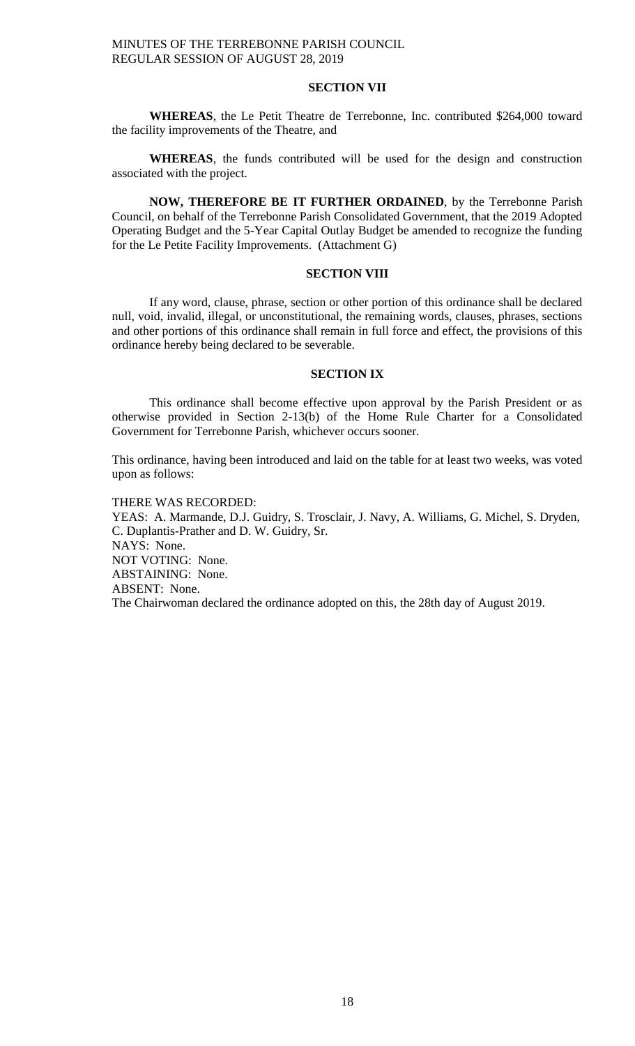### **SECTION VII**

**WHEREAS**, the Le Petit Theatre de Terrebonne, Inc. contributed \$264,000 toward the facility improvements of the Theatre, and

**WHEREAS**, the funds contributed will be used for the design and construction associated with the project.

**NOW, THEREFORE BE IT FURTHER ORDAINED**, by the Terrebonne Parish Council, on behalf of the Terrebonne Parish Consolidated Government, that the 2019 Adopted Operating Budget and the 5-Year Capital Outlay Budget be amended to recognize the funding for the Le Petite Facility Improvements. (Attachment G)

## **SECTION VIII**

If any word, clause, phrase, section or other portion of this ordinance shall be declared null, void, invalid, illegal, or unconstitutional, the remaining words, clauses, phrases, sections and other portions of this ordinance shall remain in full force and effect, the provisions of this ordinance hereby being declared to be severable.

## **SECTION IX**

This ordinance shall become effective upon approval by the Parish President or as otherwise provided in Section 2-13(b) of the Home Rule Charter for a Consolidated Government for Terrebonne Parish, whichever occurs sooner.

This ordinance, having been introduced and laid on the table for at least two weeks, was voted upon as follows:

THERE WAS RECORDED:

YEAS: A. Marmande, D.J. Guidry, S. Trosclair, J. Navy, A. Williams, G. Michel, S. Dryden, C. Duplantis-Prather and D. W. Guidry, Sr. NAYS: None. NOT VOTING: None. ABSTAINING: None. ABSENT: None. The Chairwoman declared the ordinance adopted on this, the 28th day of August 2019.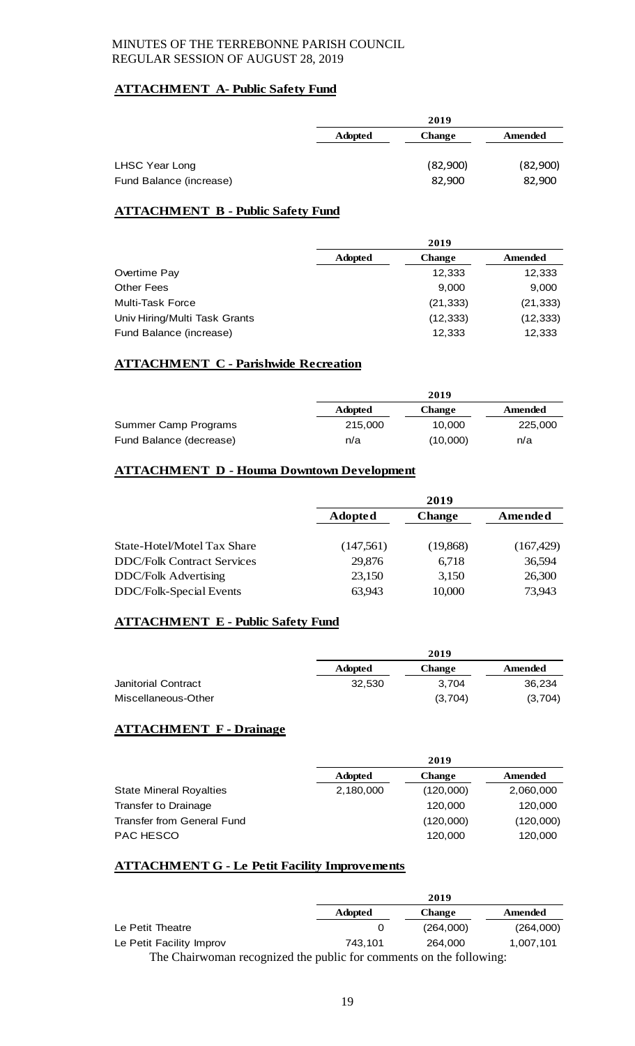## **ATTACHMENT A- Public Safety Fund**

|                         | 2019                            |          |          |
|-------------------------|---------------------------------|----------|----------|
|                         | <b>Adopted</b><br><b>Change</b> |          | Amended  |
|                         |                                 |          |          |
| LHSC Year Long          |                                 | (82,900) | (82,900) |
| Fund Balance (increase) |                                 | 82,900   | 82,900   |

## **ATTACHMENT B - Public Safety Fund**

|                               | 2019           |               |           |
|-------------------------------|----------------|---------------|-----------|
|                               | <b>Adopted</b> | <b>Change</b> | Amended   |
| Overtime Pay                  |                | 12,333        | 12,333    |
| <b>Other Fees</b>             |                | 9,000         | 9,000     |
| <b>Multi-Task Force</b>       |                | (21, 333)     | (21, 333) |
| Univ Hiring/Multi Task Grants |                | (12, 333)     | (12, 333) |
| Fund Balance (increase)       |                | 12,333        | 12,333    |

## **ATTACHMENT C - Parishwide Recreation**

|                         | 2019           |          |         |
|-------------------------|----------------|----------|---------|
|                         | <b>Adopted</b> | Change   | Amended |
| Summer Camp Programs    | 215,000        | 10.000   | 225,000 |
| Fund Balance (decrease) | n/a            | (10,000) | n/a     |

## **ATTACHMENT D - Houma Downtown Development**

|                                   | 2019           |               |            |
|-----------------------------------|----------------|---------------|------------|
|                                   | <b>Adopted</b> | <b>Change</b> | Amended    |
|                                   |                |               |            |
| State-Hotel/Motel Tax Share       | (147,561)      | (19,868)      | (167, 429) |
| <b>DDC/Folk Contract Services</b> | 29,876         | 6,718         | 36,594     |
| <b>DDC/Folk Advertising</b>       | 23,150         | 3,150         | 26,300     |
| DDC/Folk-Special Events           | 63,943         | 10,000        | 73,943     |

## **ATTACHMENT E - Public Safety Fund**

|                     |                | 2019          |         |  |
|---------------------|----------------|---------------|---------|--|
|                     | <b>Adopted</b> | <b>Change</b> | Amended |  |
| Janitorial Contract | 32.530         | 3.704         | 36.234  |  |
| Miscellaneous-Other |                | (3,704)       | (3,704) |  |

## **ATTACHMENT F - Drainage**

|                                | 2019           |               |           |
|--------------------------------|----------------|---------------|-----------|
|                                | <b>Adopted</b> | <b>Change</b> | Amended   |
| <b>State Mineral Royalties</b> | 2,180,000      | (120,000)     | 2,060,000 |
| Transfer to Drainage           |                | 120,000       | 120,000   |
| Transfer from General Fund     |                | (120,000)     | (120,000) |
| <b>PAC HESCO</b>               |                | 120,000       | 120,000   |

## **ATTACHMENT G - Le Petit Facility Improvements**

|                                                                     | 2019           |               |           |
|---------------------------------------------------------------------|----------------|---------------|-----------|
|                                                                     | <b>Adopted</b> | <b>Change</b> | Amended   |
| Le Petit Theatre                                                    |                | (264,000)     | (264,000) |
| Le Petit Facility Improv                                            | 743.101        | 264.000       | 1.007.101 |
| The Chairwoman recognized the public for comments on the following: |                |               |           |

19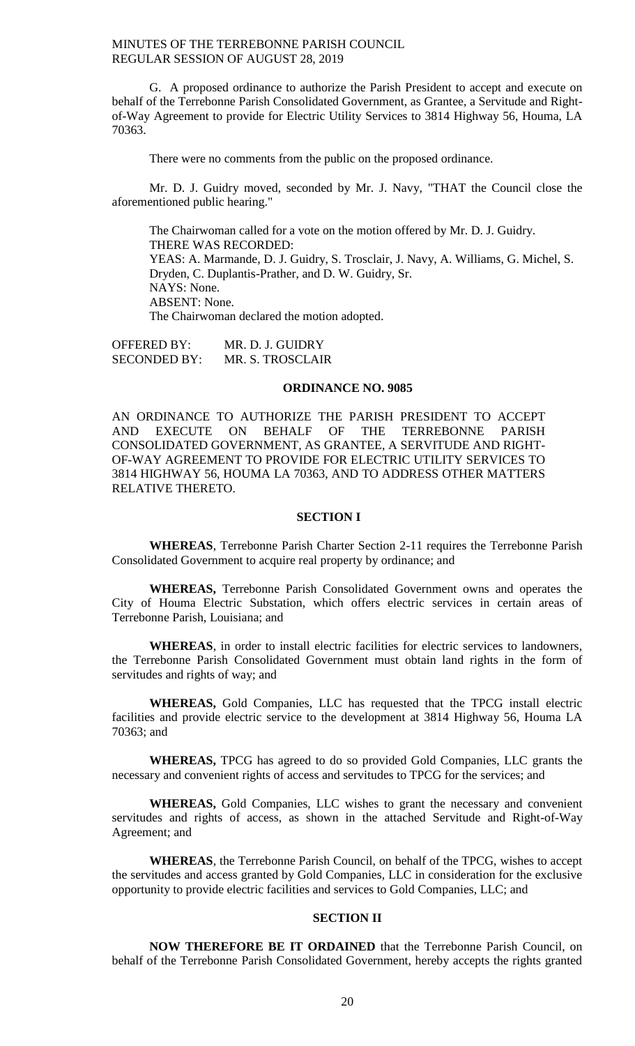G. A proposed ordinance to authorize the Parish President to accept and execute on behalf of the Terrebonne Parish Consolidated Government, as Grantee, a Servitude and Rightof-Way Agreement to provide for Electric Utility Services to 3814 Highway 56, Houma, LA 70363.

There were no comments from the public on the proposed ordinance.

Mr. D. J. Guidry moved, seconded by Mr. J. Navy, "THAT the Council close the aforementioned public hearing."

The Chairwoman called for a vote on the motion offered by Mr. D. J. Guidry. THERE WAS RECORDED: YEAS: A. Marmande, D. J. Guidry, S. Trosclair, J. Navy, A. Williams, G. Michel, S. Dryden, C. Duplantis-Prather, and D. W. Guidry, Sr. NAYS: None. ABSENT: None. The Chairwoman declared the motion adopted.

OFFERED BY: MR. D. J. GUIDRY SECONDED BY: MR. S. TROSCLAIR

#### **ORDINANCE NO. 9085**

AN ORDINANCE TO AUTHORIZE THE PARISH PRESIDENT TO ACCEPT AND EXECUTE ON BEHALF OF THE TERREBONNE PARISH CONSOLIDATED GOVERNMENT, AS GRANTEE, A SERVITUDE AND RIGHT-OF-WAY AGREEMENT TO PROVIDE FOR ELECTRIC UTILITY SERVICES TO 3814 HIGHWAY 56, HOUMA LA 70363, AND TO ADDRESS OTHER MATTERS RELATIVE THERETO.

## **SECTION I**

**WHEREAS**, Terrebonne Parish Charter Section 2-11 requires the Terrebonne Parish Consolidated Government to acquire real property by ordinance; and

**WHEREAS,** Terrebonne Parish Consolidated Government owns and operates the City of Houma Electric Substation, which offers electric services in certain areas of Terrebonne Parish, Louisiana; and

**WHEREAS**, in order to install electric facilities for electric services to landowners, the Terrebonne Parish Consolidated Government must obtain land rights in the form of servitudes and rights of way; and

**WHEREAS,** Gold Companies, LLC has requested that the TPCG install electric facilities and provide electric service to the development at 3814 Highway 56, Houma LA 70363; and

**WHEREAS,** TPCG has agreed to do so provided Gold Companies, LLC grants the necessary and convenient rights of access and servitudes to TPCG for the services; and

**WHEREAS,** Gold Companies, LLC wishes to grant the necessary and convenient servitudes and rights of access, as shown in the attached Servitude and Right-of-Way Agreement; and

**WHEREAS**, the Terrebonne Parish Council, on behalf of the TPCG, wishes to accept the servitudes and access granted by Gold Companies, LLC in consideration for the exclusive opportunity to provide electric facilities and services to Gold Companies, LLC; and

## **SECTION II**

**NOW THEREFORE BE IT ORDAINED** that the Terrebonne Parish Council, on behalf of the Terrebonne Parish Consolidated Government, hereby accepts the rights granted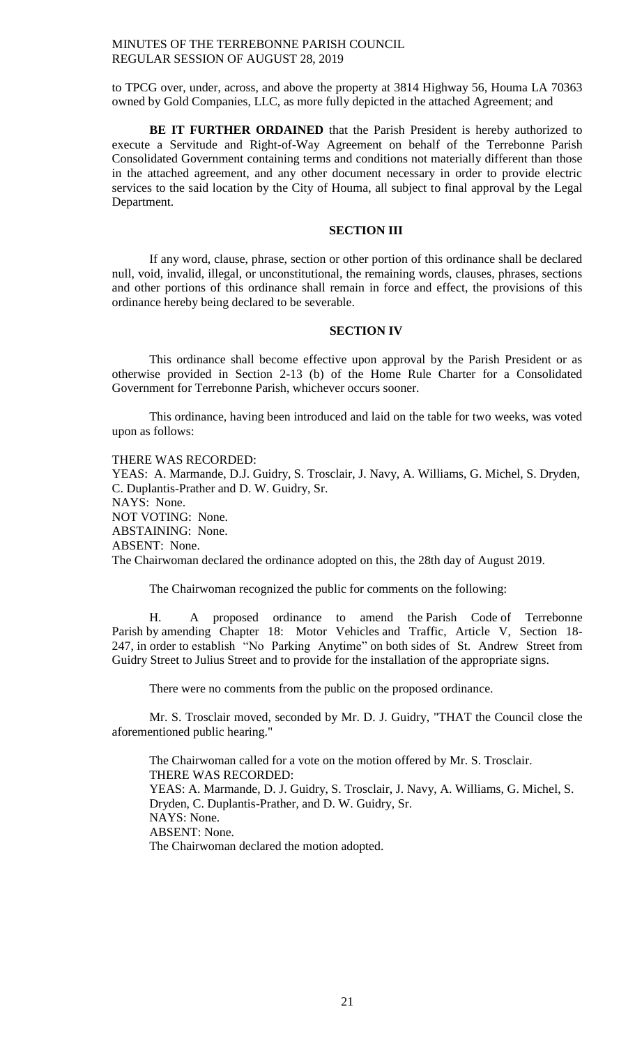to TPCG over, under, across, and above the property at 3814 Highway 56, Houma LA 70363 owned by Gold Companies, LLC, as more fully depicted in the attached Agreement; and

**BE IT FURTHER ORDAINED** that the Parish President is hereby authorized to execute a Servitude and Right-of-Way Agreement on behalf of the Terrebonne Parish Consolidated Government containing terms and conditions not materially different than those in the attached agreement, and any other document necessary in order to provide electric services to the said location by the City of Houma, all subject to final approval by the Legal Department.

## **SECTION III**

If any word, clause, phrase, section or other portion of this ordinance shall be declared null, void, invalid, illegal, or unconstitutional, the remaining words, clauses, phrases, sections and other portions of this ordinance shall remain in force and effect, the provisions of this ordinance hereby being declared to be severable.

#### **SECTION IV**

This ordinance shall become effective upon approval by the Parish President or as otherwise provided in Section 2-13 (b) of the Home Rule Charter for a Consolidated Government for Terrebonne Parish, whichever occurs sooner.

This ordinance, having been introduced and laid on the table for two weeks, was voted upon as follows:

### THERE WAS RECORDED:

YEAS: A. Marmande, D.J. Guidry, S. Trosclair, J. Navy, A. Williams, G. Michel, S. Dryden, C. Duplantis-Prather and D. W. Guidry, Sr. NAYS: None. NOT VOTING: None. ABSTAINING: None. ABSENT: None.

The Chairwoman declared the ordinance adopted on this, the 28th day of August 2019.

The Chairwoman recognized the public for comments on the following:

H. A proposed ordinance to amend the Parish Code of Terrebonne Parish by amending Chapter 18: Motor Vehicles and Traffic, Article V, Section 18- 247, in order to establish "No Parking Anytime" on both sides of St. Andrew Street from Guidry Street to Julius Street and to provide for the installation of the appropriate signs.

There were no comments from the public on the proposed ordinance.

Mr. S. Trosclair moved, seconded by Mr. D. J. Guidry, "THAT the Council close the aforementioned public hearing."

The Chairwoman called for a vote on the motion offered by Mr. S. Trosclair. THERE WAS RECORDED: YEAS: A. Marmande, D. J. Guidry, S. Trosclair, J. Navy, A. Williams, G. Michel, S. Dryden, C. Duplantis-Prather, and D. W. Guidry, Sr. NAYS: None. ABSENT: None. The Chairwoman declared the motion adopted.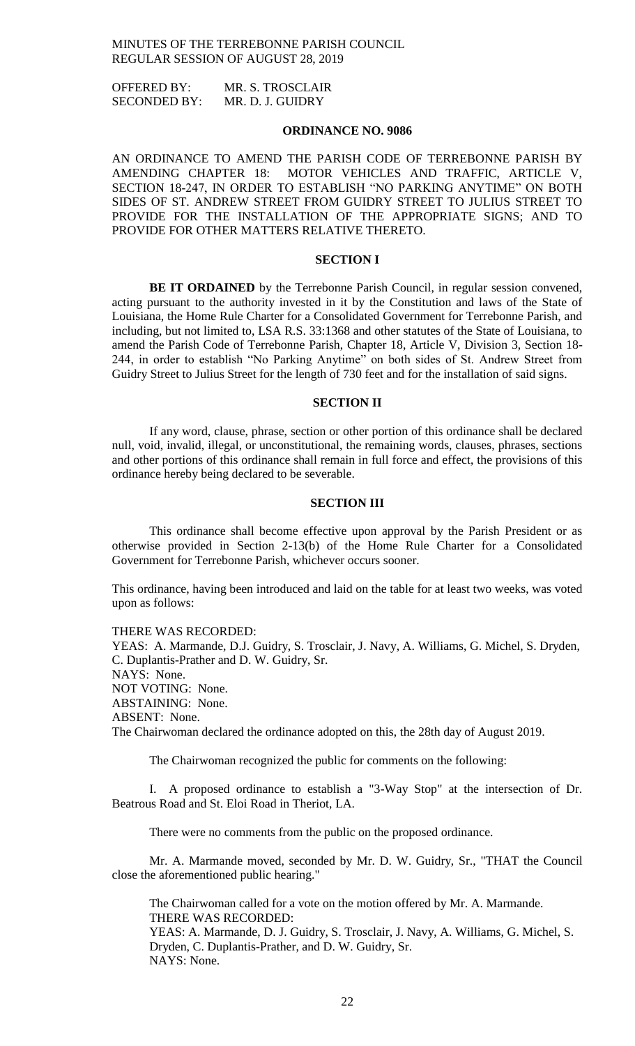OFFERED BY: MR. S. TROSCLAIR SECONDED BY: MR. D. J. GUIDRY

### **ORDINANCE NO. 9086**

AN ORDINANCE TO AMEND THE PARISH CODE OF TERREBONNE PARISH BY AMENDING CHAPTER 18: MOTOR VEHICLES AND TRAFFIC, ARTICLE V, SECTION 18-247, IN ORDER TO ESTABLISH "NO PARKING ANYTIME" ON BOTH SIDES OF ST. ANDREW STREET FROM GUIDRY STREET TO JULIUS STREET TO PROVIDE FOR THE INSTALLATION OF THE APPROPRIATE SIGNS; AND TO PROVIDE FOR OTHER MATTERS RELATIVE THERETO.

## **SECTION I**

**BE IT ORDAINED** by the Terrebonne Parish Council, in regular session convened, acting pursuant to the authority invested in it by the Constitution and laws of the State of Louisiana, the Home Rule Charter for a Consolidated Government for Terrebonne Parish, and including, but not limited to, LSA R.S. 33:1368 and other statutes of the State of Louisiana, to amend the Parish Code of Terrebonne Parish, Chapter 18, Article V, Division 3, Section 18- 244, in order to establish "No Parking Anytime" on both sides of St. Andrew Street from Guidry Street to Julius Street for the length of 730 feet and for the installation of said signs.

## **SECTION II**

If any word, clause, phrase, section or other portion of this ordinance shall be declared null, void, invalid, illegal, or unconstitutional, the remaining words, clauses, phrases, sections and other portions of this ordinance shall remain in full force and effect, the provisions of this ordinance hereby being declared to be severable.

#### **SECTION III**

This ordinance shall become effective upon approval by the Parish President or as otherwise provided in Section 2-13(b) of the Home Rule Charter for a Consolidated Government for Terrebonne Parish, whichever occurs sooner.

This ordinance, having been introduced and laid on the table for at least two weeks, was voted upon as follows:

THERE WAS RECORDED: YEAS: A. Marmande, D.J. Guidry, S. Trosclair, J. Navy, A. Williams, G. Michel, S. Dryden, C. Duplantis-Prather and D. W. Guidry, Sr. NAYS: None. NOT VOTING: None. ABSTAINING: None. ABSENT: None.

The Chairwoman declared the ordinance adopted on this, the 28th day of August 2019.

The Chairwoman recognized the public for comments on the following:

I. A proposed ordinance to establish a "3-Way Stop" at the intersection of Dr. Beatrous Road and St. Eloi Road in Theriot, LA.

There were no comments from the public on the proposed ordinance.

Mr. A. Marmande moved, seconded by Mr. D. W. Guidry, Sr., "THAT the Council close the aforementioned public hearing."

The Chairwoman called for a vote on the motion offered by Mr. A. Marmande. THERE WAS RECORDED: YEAS: A. Marmande, D. J. Guidry, S. Trosclair, J. Navy, A. Williams, G. Michel, S. Dryden, C. Duplantis-Prather, and D. W. Guidry, Sr. NAYS: None.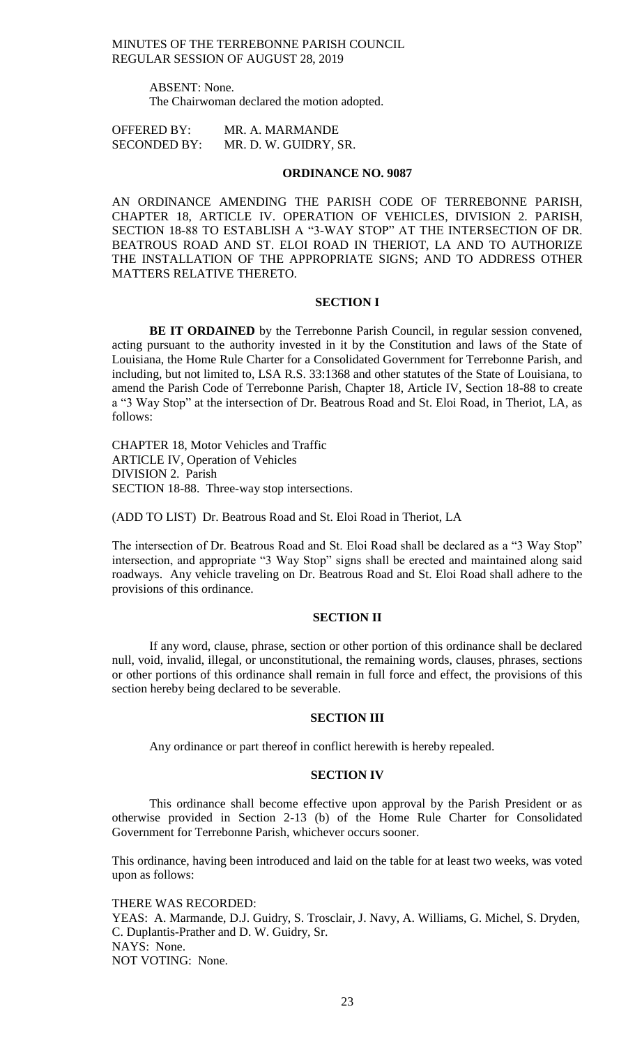> ABSENT: None. The Chairwoman declared the motion adopted.

OFFERED BY: MR. A. MARMANDE SECONDED BY: MR. D. W. GUIDRY, SR.

#### **ORDINANCE NO. 9087**

AN ORDINANCE AMENDING THE PARISH CODE OF TERREBONNE PARISH, CHAPTER 18, ARTICLE IV. OPERATION OF VEHICLES, DIVISION 2. PARISH, SECTION 18-88 TO ESTABLISH A "3-WAY STOP" AT THE INTERSECTION OF DR. BEATROUS ROAD AND ST. ELOI ROAD IN THERIOT, LA AND TO AUTHORIZE THE INSTALLATION OF THE APPROPRIATE SIGNS; AND TO ADDRESS OTHER MATTERS RELATIVE THERETO.

## **SECTION I**

**BE IT ORDAINED** by the Terrebonne Parish Council, in regular session convened, acting pursuant to the authority invested in it by the Constitution and laws of the State of Louisiana, the Home Rule Charter for a Consolidated Government for Terrebonne Parish, and including, but not limited to, LSA R.S. 33:1368 and other statutes of the State of Louisiana, to amend the Parish Code of Terrebonne Parish, Chapter 18, Article IV, Section 18-88 to create a "3 Way Stop" at the intersection of Dr. Beatrous Road and St. Eloi Road, in Theriot, LA, as follows:

CHAPTER 18, Motor Vehicles and Traffic ARTICLE IV, Operation of Vehicles DIVISION 2. Parish SECTION 18-88. Three-way stop intersections.

(ADD TO LIST) Dr. Beatrous Road and St. Eloi Road in Theriot, LA

The intersection of Dr. Beatrous Road and St. Eloi Road shall be declared as a "3 Way Stop" intersection, and appropriate "3 Way Stop" signs shall be erected and maintained along said roadways. Any vehicle traveling on Dr. Beatrous Road and St. Eloi Road shall adhere to the provisions of this ordinance.

## **SECTION II**

If any word, clause, phrase, section or other portion of this ordinance shall be declared null, void, invalid, illegal, or unconstitutional, the remaining words, clauses, phrases, sections or other portions of this ordinance shall remain in full force and effect, the provisions of this section hereby being declared to be severable.

#### **SECTION III**

Any ordinance or part thereof in conflict herewith is hereby repealed.

#### **SECTION IV**

This ordinance shall become effective upon approval by the Parish President or as otherwise provided in Section 2-13 (b) of the Home Rule Charter for Consolidated Government for Terrebonne Parish, whichever occurs sooner.

This ordinance, having been introduced and laid on the table for at least two weeks, was voted upon as follows:

THERE WAS RECORDED: YEAS: A. Marmande, D.J. Guidry, S. Trosclair, J. Navy, A. Williams, G. Michel, S. Dryden, C. Duplantis-Prather and D. W. Guidry, Sr. NAYS: None. NOT VOTING: None.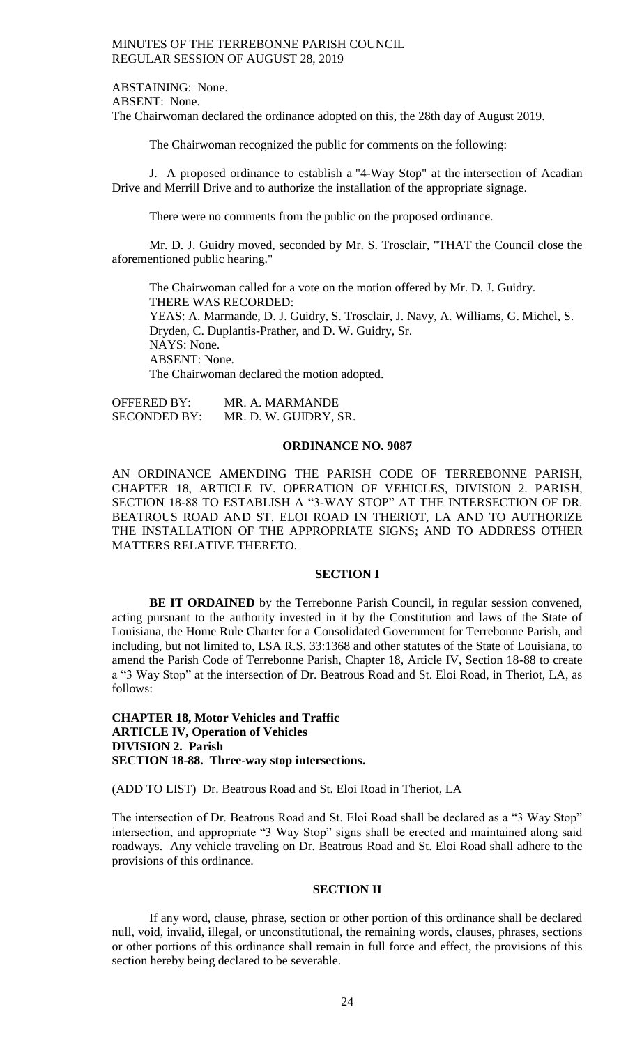ABSTAINING: None. ABSENT: None. The Chairwoman declared the ordinance adopted on this, the 28th day of August 2019.

The Chairwoman recognized the public for comments on the following:

J. A proposed ordinance to establish a "4-Way Stop" at the intersection of Acadian Drive and Merrill Drive and to authorize the installation of the appropriate signage.

There were no comments from the public on the proposed ordinance.

Mr. D. J. Guidry moved, seconded by Mr. S. Trosclair, "THAT the Council close the aforementioned public hearing."

The Chairwoman called for a vote on the motion offered by Mr. D. J. Guidry. THERE WAS RECORDED: YEAS: A. Marmande, D. J. Guidry, S. Trosclair, J. Navy, A. Williams, G. Michel, S. Dryden, C. Duplantis-Prather, and D. W. Guidry, Sr. NAYS: None. ABSENT: None. The Chairwoman declared the motion adopted.

OFFERED BY: MR. A. MARMANDE SECONDED BY: MR. D. W. GUIDRY, SR.

#### **ORDINANCE NO. 9087**

AN ORDINANCE AMENDING THE PARISH CODE OF TERREBONNE PARISH, CHAPTER 18, ARTICLE IV. OPERATION OF VEHICLES, DIVISION 2. PARISH, SECTION 18-88 TO ESTABLISH A "3-WAY STOP" AT THE INTERSECTION OF DR. BEATROUS ROAD AND ST. ELOI ROAD IN THERIOT, LA AND TO AUTHORIZE THE INSTALLATION OF THE APPROPRIATE SIGNS; AND TO ADDRESS OTHER MATTERS RELATIVE THERETO.

#### **SECTION I**

**BE IT ORDAINED** by the Terrebonne Parish Council, in regular session convened, acting pursuant to the authority invested in it by the Constitution and laws of the State of Louisiana, the Home Rule Charter for a Consolidated Government for Terrebonne Parish, and including, but not limited to, LSA R.S. 33:1368 and other statutes of the State of Louisiana, to amend the Parish Code of Terrebonne Parish, Chapter 18, Article IV, Section 18-88 to create a "3 Way Stop" at the intersection of Dr. Beatrous Road and St. Eloi Road, in Theriot, LA, as follows:

**CHAPTER 18, Motor Vehicles and Traffic ARTICLE IV, Operation of Vehicles DIVISION 2. Parish SECTION 18-88. Three-way stop intersections.**

(ADD TO LIST) Dr. Beatrous Road and St. Eloi Road in Theriot, LA

The intersection of Dr. Beatrous Road and St. Eloi Road shall be declared as a "3 Way Stop" intersection, and appropriate "3 Way Stop" signs shall be erected and maintained along said roadways. Any vehicle traveling on Dr. Beatrous Road and St. Eloi Road shall adhere to the provisions of this ordinance.

#### **SECTION II**

If any word, clause, phrase, section or other portion of this ordinance shall be declared null, void, invalid, illegal, or unconstitutional, the remaining words, clauses, phrases, sections or other portions of this ordinance shall remain in full force and effect, the provisions of this section hereby being declared to be severable.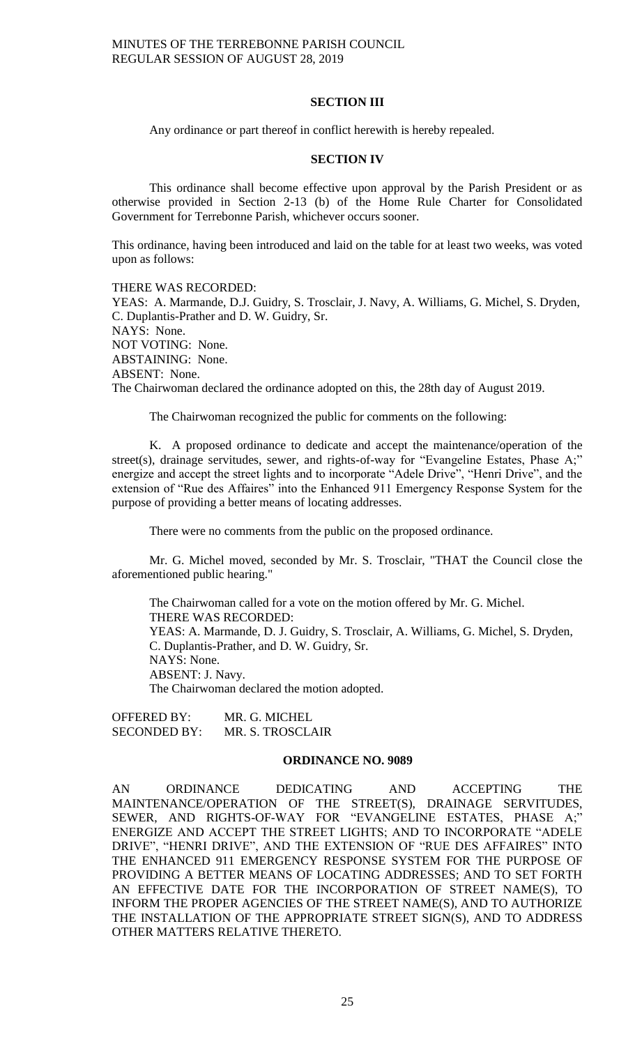### **SECTION III**

Any ordinance or part thereof in conflict herewith is hereby repealed.

#### **SECTION IV**

This ordinance shall become effective upon approval by the Parish President or as otherwise provided in Section 2-13 (b) of the Home Rule Charter for Consolidated Government for Terrebonne Parish, whichever occurs sooner.

This ordinance, having been introduced and laid on the table for at least two weeks, was voted upon as follows:

THERE WAS RECORDED: YEAS: A. Marmande, D.J. Guidry, S. Trosclair, J. Navy, A. Williams, G. Michel, S. Dryden, C. Duplantis-Prather and D. W. Guidry, Sr. NAYS: None. NOT VOTING: None. ABSTAINING: None. ABSENT: None. The Chairwoman declared the ordinance adopted on this, the 28th day of August 2019.

The Chairwoman recognized the public for comments on the following:

K. A proposed ordinance to dedicate and accept the maintenance/operation of the street(s), drainage servitudes, sewer, and rights-of-way for "Evangeline Estates, Phase A;" energize and accept the street lights and to incorporate "Adele Drive", "Henri Drive", and the extension of "Rue des Affaires" into the Enhanced 911 Emergency Response System for the purpose of providing a better means of locating addresses.

There were no comments from the public on the proposed ordinance.

Mr. G. Michel moved, seconded by Mr. S. Trosclair, "THAT the Council close the aforementioned public hearing."

The Chairwoman called for a vote on the motion offered by Mr. G. Michel. THERE WAS RECORDED: YEAS: A. Marmande, D. J. Guidry, S. Trosclair, A. Williams, G. Michel, S. Dryden, C. Duplantis-Prather, and D. W. Guidry, Sr. NAYS: None. ABSENT: J. Navy. The Chairwoman declared the motion adopted.

OFFERED BY: MR. G. MICHEL SECONDED BY: MR. S. TROSCLAIR

#### **ORDINANCE NO. 9089**

AN ORDINANCE DEDICATING AND ACCEPTING THE MAINTENANCE/OPERATION OF THE STREET(S), DRAINAGE SERVITUDES, SEWER, AND RIGHTS-OF-WAY FOR "EVANGELINE ESTATES, PHASE A;" ENERGIZE AND ACCEPT THE STREET LIGHTS; AND TO INCORPORATE "ADELE DRIVE", "HENRI DRIVE", AND THE EXTENSION OF "RUE DES AFFAIRES" INTO THE ENHANCED 911 EMERGENCY RESPONSE SYSTEM FOR THE PURPOSE OF PROVIDING A BETTER MEANS OF LOCATING ADDRESSES; AND TO SET FORTH AN EFFECTIVE DATE FOR THE INCORPORATION OF STREET NAME(S), TO INFORM THE PROPER AGENCIES OF THE STREET NAME(S), AND TO AUTHORIZE THE INSTALLATION OF THE APPROPRIATE STREET SIGN(S), AND TO ADDRESS OTHER MATTERS RELATIVE THERETO.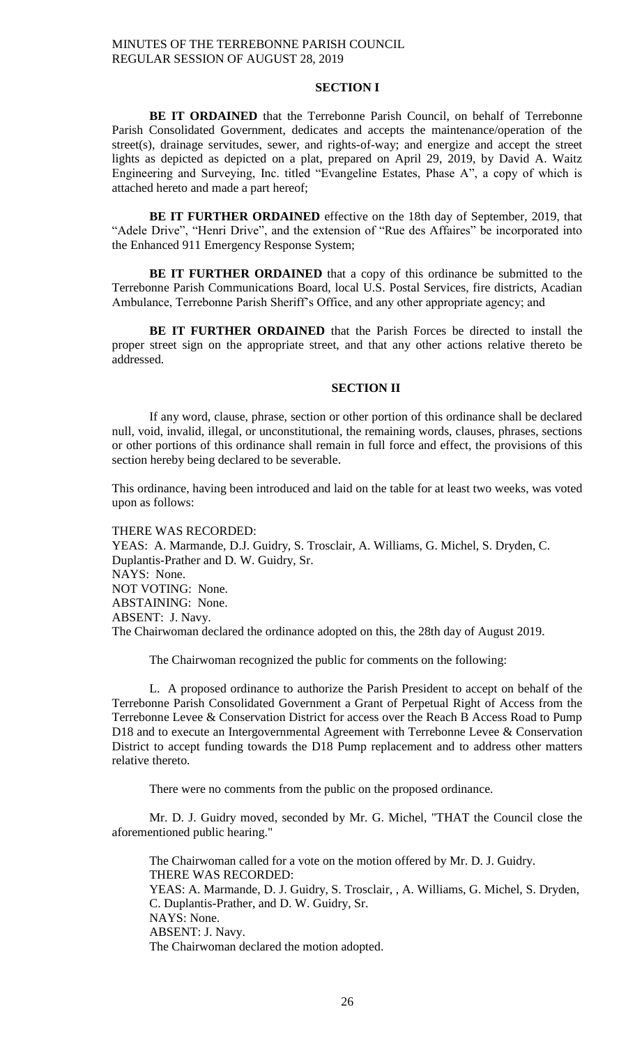## **SECTION I**

**BE IT ORDAINED** that the Terrebonne Parish Council, on behalf of Terrebonne Parish Consolidated Government, dedicates and accepts the maintenance/operation of the street(s), drainage servitudes, sewer, and rights-of-way; and energize and accept the street lights as depicted as depicted on a plat, prepared on April 29, 2019, by David A. Waitz Engineering and Surveying, Inc. titled "Evangeline Estates, Phase A", a copy of which is attached hereto and made a part hereof;

**BE IT FURTHER ORDAINED** effective on the 18th day of September, 2019, that "Adele Drive", "Henri Drive", and the extension of "Rue des Affaires" be incorporated into the Enhanced 911 Emergency Response System;

BE IT FURTHER ORDAINED that a copy of this ordinance be submitted to the Terrebonne Parish Communications Board, local U.S. Postal Services, fire districts, Acadian Ambulance, Terrebonne Parish Sheriff's Office, and any other appropriate agency; and

**BE IT FURTHER ORDAINED** that the Parish Forces be directed to install the proper street sign on the appropriate street, and that any other actions relative thereto be addressed.

## **SECTION II**

If any word, clause, phrase, section or other portion of this ordinance shall be declared null, void, invalid, illegal, or unconstitutional, the remaining words, clauses, phrases, sections or other portions of this ordinance shall remain in full force and effect, the provisions of this section hereby being declared to be severable.

This ordinance, having been introduced and laid on the table for at least two weeks, was voted upon as follows:

THERE WAS RECORDED: YEAS: A. Marmande, D.J. Guidry, S. Trosclair, A. Williams, G. Michel, S. Dryden, C. Duplantis-Prather and D. W. Guidry, Sr. NAYS: None. NOT VOTING: None. ABSTAINING: None. ABSENT: J. Navy. The Chairwoman declared the ordinance adopted on this, the 28th day of August 2019.

The Chairwoman recognized the public for comments on the following:

L. A proposed ordinance to authorize the Parish President to accept on behalf of the Terrebonne Parish Consolidated Government a Grant of Perpetual Right of Access from the Terrebonne Levee & Conservation District for access over the Reach B Access Road to Pump D18 and to execute an Intergovernmental Agreement with Terrebonne Levee & Conservation District to accept funding towards the D18 Pump replacement and to address other matters relative thereto.

There were no comments from the public on the proposed ordinance.

Mr. D. J. Guidry moved, seconded by Mr. G. Michel, "THAT the Council close the aforementioned public hearing."

The Chairwoman called for a vote on the motion offered by Mr. D. J. Guidry. THERE WAS RECORDED: YEAS: A. Marmande, D. J. Guidry, S. Trosclair, , A. Williams, G. Michel, S. Dryden, C. Duplantis-Prather, and D. W. Guidry, Sr. NAYS: None. ABSENT: J. Navy. The Chairwoman declared the motion adopted.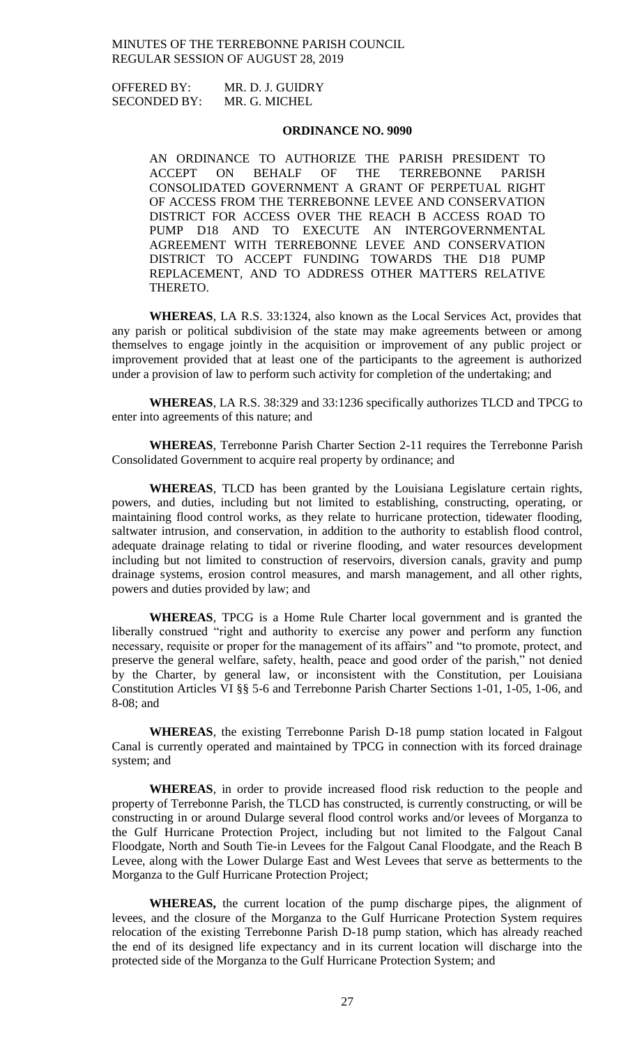OFFERED BY: MR. D. J. GUIDRY SECONDED BY: MR. G. MICHEL

#### **ORDINANCE NO. 9090**

AN ORDINANCE TO AUTHORIZE THE PARISH PRESIDENT TO ACCEPT ON BEHALF OF THE TERREBONNE PARISH CONSOLIDATED GOVERNMENT A GRANT OF PERPETUAL RIGHT OF ACCESS FROM THE TERREBONNE LEVEE AND CONSERVATION DISTRICT FOR ACCESS OVER THE REACH B ACCESS ROAD TO PUMP D18 AND TO EXECUTE AN INTERGOVERNMENTAL AGREEMENT WITH TERREBONNE LEVEE AND CONSERVATION DISTRICT TO ACCEPT FUNDING TOWARDS THE D18 PUMP REPLACEMENT, AND TO ADDRESS OTHER MATTERS RELATIVE THERETO.

**WHEREAS**, LA R.S. 33:1324, also known as the Local Services Act, provides that any parish or political subdivision of the state may make agreements between or among themselves to engage jointly in the acquisition or improvement of any public project or improvement provided that at least one of the participants to the agreement is authorized under a provision of law to perform such activity for completion of the undertaking; and

**WHEREAS**, LA R.S. 38:329 and 33:1236 specifically authorizes TLCD and TPCG to enter into agreements of this nature; and

**WHEREAS**, Terrebonne Parish Charter Section 2-11 requires the Terrebonne Parish Consolidated Government to acquire real property by ordinance; and

**WHEREAS**, TLCD has been granted by the Louisiana Legislature certain rights, powers, and duties, including but not limited to establishing, constructing, operating, or maintaining flood control works, as they relate to hurricane protection, tidewater flooding, saltwater intrusion, and conservation, in addition to the authority to establish flood control, adequate drainage relating to tidal or riverine flooding, and water resources development including but not limited to construction of reservoirs, diversion canals, gravity and pump drainage systems, erosion control measures, and marsh management, and all other rights, powers and duties provided by law; and

**WHEREAS**, TPCG is a Home Rule Charter local government and is granted the liberally construed "right and authority to exercise any power and perform any function necessary, requisite or proper for the management of its affairs" and "to promote, protect, and preserve the general welfare, safety, health, peace and good order of the parish," not denied by the Charter, by general law, or inconsistent with the Constitution, per Louisiana Constitution Articles VI §§ 5-6 and Terrebonne Parish Charter Sections 1-01, 1-05, 1-06, and 8-08; and

**WHEREAS**, the existing Terrebonne Parish D-18 pump station located in Falgout Canal is currently operated and maintained by TPCG in connection with its forced drainage system; and

**WHEREAS**, in order to provide increased flood risk reduction to the people and property of Terrebonne Parish, the TLCD has constructed, is currently constructing, or will be constructing in or around Dularge several flood control works and/or levees of Morganza to the Gulf Hurricane Protection Project, including but not limited to the Falgout Canal Floodgate, North and South Tie-in Levees for the Falgout Canal Floodgate, and the Reach B Levee, along with the Lower Dularge East and West Levees that serve as betterments to the Morganza to the Gulf Hurricane Protection Project;

**WHEREAS,** the current location of the pump discharge pipes, the alignment of levees, and the closure of the Morganza to the Gulf Hurricane Protection System requires relocation of the existing Terrebonne Parish D-18 pump station, which has already reached the end of its designed life expectancy and in its current location will discharge into the protected side of the Morganza to the Gulf Hurricane Protection System; and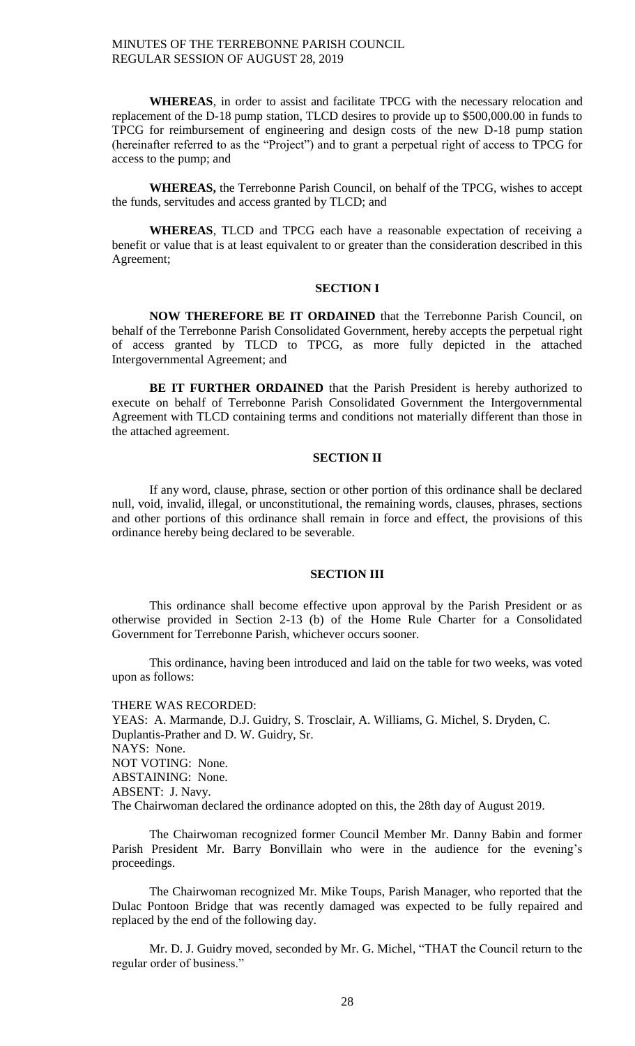**WHEREAS**, in order to assist and facilitate TPCG with the necessary relocation and replacement of the D-18 pump station, TLCD desires to provide up to \$500,000.00 in funds to TPCG for reimbursement of engineering and design costs of the new D-18 pump station (hereinafter referred to as the "Project") and to grant a perpetual right of access to TPCG for access to the pump; and

**WHEREAS,** the Terrebonne Parish Council, on behalf of the TPCG, wishes to accept the funds, servitudes and access granted by TLCD; and

**WHEREAS**, TLCD and TPCG each have a reasonable expectation of receiving a benefit or value that is at least equivalent to or greater than the consideration described in this Agreement;

## **SECTION I**

**NOW THEREFORE BE IT ORDAINED** that the Terrebonne Parish Council, on behalf of the Terrebonne Parish Consolidated Government, hereby accepts the perpetual right of access granted by TLCD to TPCG, as more fully depicted in the attached Intergovernmental Agreement; and

**BE IT FURTHER ORDAINED** that the Parish President is hereby authorized to execute on behalf of Terrebonne Parish Consolidated Government the Intergovernmental Agreement with TLCD containing terms and conditions not materially different than those in the attached agreement.

## **SECTION II**

If any word, clause, phrase, section or other portion of this ordinance shall be declared null, void, invalid, illegal, or unconstitutional, the remaining words, clauses, phrases, sections and other portions of this ordinance shall remain in force and effect, the provisions of this ordinance hereby being declared to be severable.

### **SECTION III**

This ordinance shall become effective upon approval by the Parish President or as otherwise provided in Section 2-13 (b) of the Home Rule Charter for a Consolidated Government for Terrebonne Parish, whichever occurs sooner.

This ordinance, having been introduced and laid on the table for two weeks, was voted upon as follows:

THERE WAS RECORDED:

YEAS: A. Marmande, D.J. Guidry, S. Trosclair, A. Williams, G. Michel, S. Dryden, C. Duplantis-Prather and D. W. Guidry, Sr. NAYS: None. NOT VOTING: None. ABSTAINING: None. ABSENT: J. Navy. The Chairwoman declared the ordinance adopted on this, the 28th day of August 2019.

The Chairwoman recognized former Council Member Mr. Danny Babin and former Parish President Mr. Barry Bonvillain who were in the audience for the evening's proceedings.

The Chairwoman recognized Mr. Mike Toups, Parish Manager, who reported that the Dulac Pontoon Bridge that was recently damaged was expected to be fully repaired and replaced by the end of the following day.

Mr. D. J. Guidry moved, seconded by Mr. G. Michel, "THAT the Council return to the regular order of business."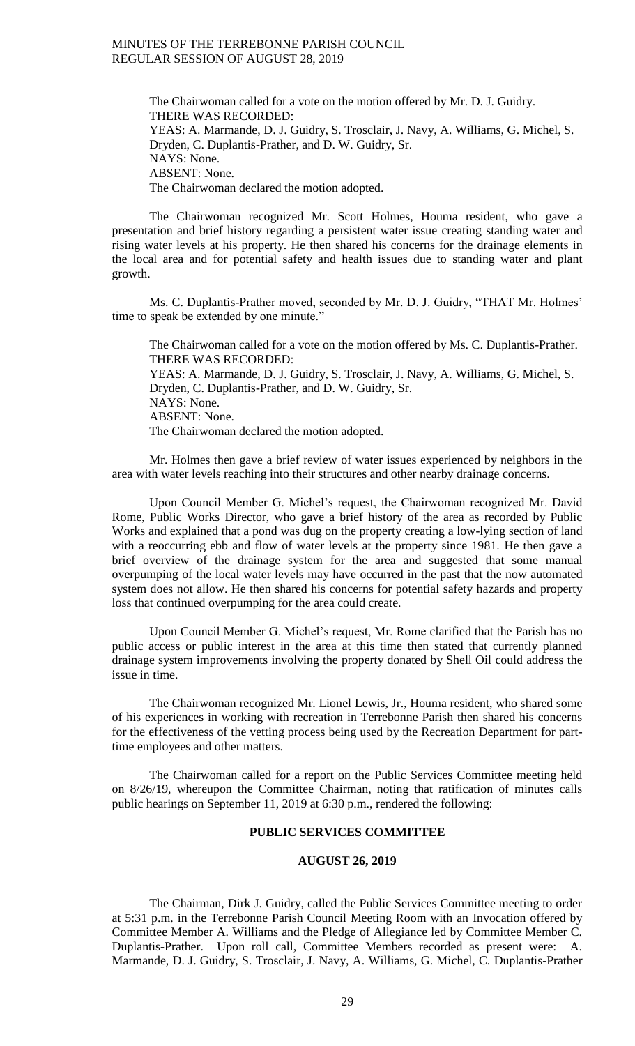The Chairwoman called for a vote on the motion offered by Mr. D. J. Guidry. THERE WAS RECORDED: YEAS: A. Marmande, D. J. Guidry, S. Trosclair, J. Navy, A. Williams, G. Michel, S. Dryden, C. Duplantis-Prather, and D. W. Guidry, Sr. NAYS: None. ABSENT: None. The Chairwoman declared the motion adopted.

The Chairwoman recognized Mr. Scott Holmes, Houma resident, who gave a presentation and brief history regarding a persistent water issue creating standing water and rising water levels at his property. He then shared his concerns for the drainage elements in the local area and for potential safety and health issues due to standing water and plant growth.

Ms. C. Duplantis-Prather moved, seconded by Mr. D. J. Guidry, "THAT Mr. Holmes' time to speak be extended by one minute."

The Chairwoman called for a vote on the motion offered by Ms. C. Duplantis-Prather. THERE WAS RECORDED: YEAS: A. Marmande, D. J. Guidry, S. Trosclair, J. Navy, A. Williams, G. Michel, S. Dryden, C. Duplantis-Prather, and D. W. Guidry, Sr. NAYS: None. ABSENT: None. The Chairwoman declared the motion adopted.

Mr. Holmes then gave a brief review of water issues experienced by neighbors in the area with water levels reaching into their structures and other nearby drainage concerns.

Upon Council Member G. Michel's request, the Chairwoman recognized Mr. David Rome, Public Works Director, who gave a brief history of the area as recorded by Public Works and explained that a pond was dug on the property creating a low-lying section of land with a reoccurring ebb and flow of water levels at the property since 1981. He then gave a brief overview of the drainage system for the area and suggested that some manual overpumping of the local water levels may have occurred in the past that the now automated system does not allow. He then shared his concerns for potential safety hazards and property loss that continued overpumping for the area could create.

Upon Council Member G. Michel's request, Mr. Rome clarified that the Parish has no public access or public interest in the area at this time then stated that currently planned drainage system improvements involving the property donated by Shell Oil could address the issue in time.

The Chairwoman recognized Mr. Lionel Lewis, Jr., Houma resident, who shared some of his experiences in working with recreation in Terrebonne Parish then shared his concerns for the effectiveness of the vetting process being used by the Recreation Department for parttime employees and other matters.

The Chairwoman called for a report on the Public Services Committee meeting held on 8/26/19, whereupon the Committee Chairman, noting that ratification of minutes calls public hearings on September 11, 2019 at 6:30 p.m., rendered the following:

## **PUBLIC SERVICES COMMITTEE**

#### **AUGUST 26, 2019**

The Chairman, Dirk J. Guidry, called the Public Services Committee meeting to order at 5:31 p.m. in the Terrebonne Parish Council Meeting Room with an Invocation offered by Committee Member A. Williams and the Pledge of Allegiance led by Committee Member C. Duplantis-Prather. Upon roll call, Committee Members recorded as present were: A. Marmande, D. J. Guidry, S. Trosclair, J. Navy, A. Williams, G. Michel, C. Duplantis-Prather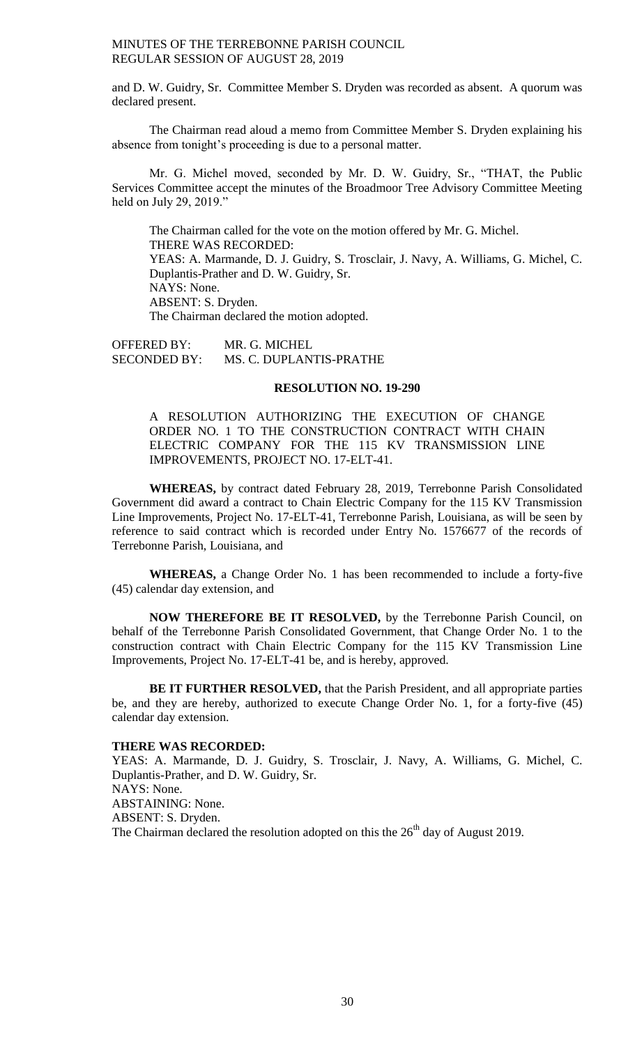and D. W. Guidry, Sr. Committee Member S. Dryden was recorded as absent. A quorum was declared present.

The Chairman read aloud a memo from Committee Member S. Dryden explaining his absence from tonight's proceeding is due to a personal matter.

Mr. G. Michel moved, seconded by Mr. D. W. Guidry, Sr., "THAT, the Public Services Committee accept the minutes of the Broadmoor Tree Advisory Committee Meeting held on July 29, 2019."

The Chairman called for the vote on the motion offered by Mr. G. Michel. THERE WAS RECORDED: YEAS: A. Marmande, D. J. Guidry, S. Trosclair, J. Navy, A. Williams, G. Michel, C. Duplantis-Prather and D. W. Guidry, Sr. NAYS: None. ABSENT: S. Dryden. The Chairman declared the motion adopted.

OFFERED BY: MR. G. MICHEL SECONDED BY: MS. C. DUPLANTIS-PRATHE

#### **RESOLUTION NO. 19-290**

A RESOLUTION AUTHORIZING THE EXECUTION OF CHANGE ORDER NO. 1 TO THE CONSTRUCTION CONTRACT WITH CHAIN ELECTRIC COMPANY FOR THE 115 KV TRANSMISSION LINE IMPROVEMENTS, PROJECT NO. 17-ELT-41.

**WHEREAS,** by contract dated February 28, 2019, Terrebonne Parish Consolidated Government did award a contract to Chain Electric Company for the 115 KV Transmission Line Improvements, Project No. 17-ELT-41, Terrebonne Parish, Louisiana, as will be seen by reference to said contract which is recorded under Entry No. 1576677 of the records of Terrebonne Parish, Louisiana, and

**WHEREAS,** a Change Order No. 1 has been recommended to include a forty-five (45) calendar day extension, and

**NOW THEREFORE BE IT RESOLVED,** by the Terrebonne Parish Council, on behalf of the Terrebonne Parish Consolidated Government, that Change Order No. 1 to the construction contract with Chain Electric Company for the 115 KV Transmission Line Improvements, Project No. 17-ELT-41 be, and is hereby, approved.

**BE IT FURTHER RESOLVED,** that the Parish President, and all appropriate parties be, and they are hereby, authorized to execute Change Order No. 1, for a forty-five (45) calendar day extension.

#### **THERE WAS RECORDED:**

YEAS: A. Marmande, D. J. Guidry, S. Trosclair, J. Navy, A. Williams, G. Michel, C. Duplantis-Prather, and D. W. Guidry, Sr. NAYS: None. ABSTAINING: None. ABSENT: S. Dryden. The Chairman declared the resolution adopted on this the  $26<sup>th</sup>$  day of August 2019.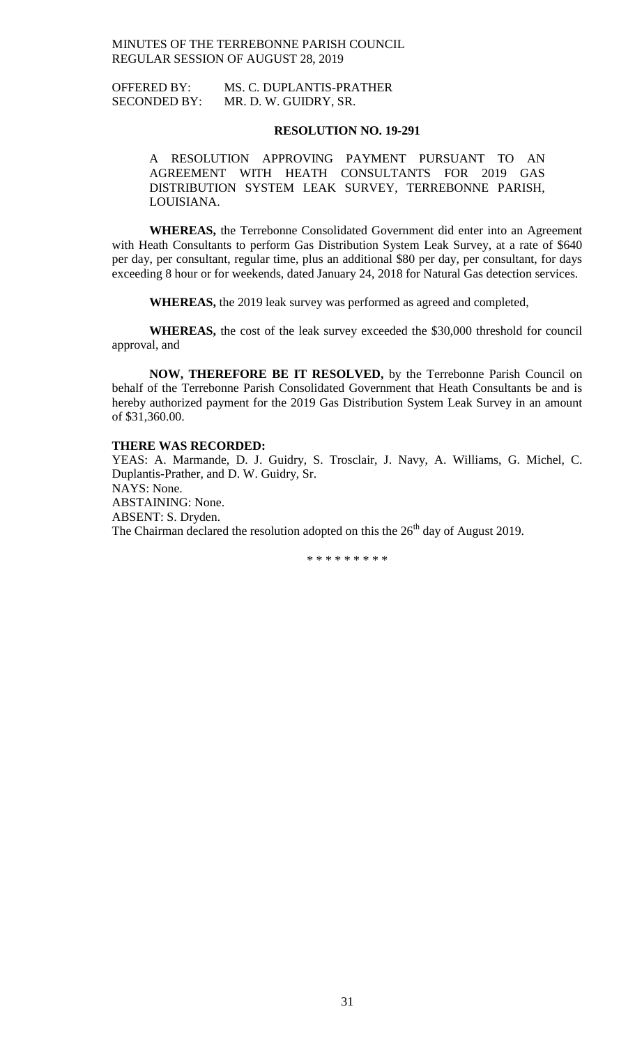OFFERED BY: MS. C. DUPLANTIS-PRATHER SECONDED BY: MR. D. W. GUIDRY, SR.

## **RESOLUTION NO. 19-291**

A RESOLUTION APPROVING PAYMENT PURSUANT TO AN AGREEMENT WITH HEATH CONSULTANTS FOR 2019 GAS DISTRIBUTION SYSTEM LEAK SURVEY, TERREBONNE PARISH, LOUISIANA.

**WHEREAS,** the Terrebonne Consolidated Government did enter into an Agreement with Heath Consultants to perform Gas Distribution System Leak Survey, at a rate of \$640 per day, per consultant, regular time, plus an additional \$80 per day, per consultant, for days exceeding 8 hour or for weekends, dated January 24, 2018 for Natural Gas detection services.

**WHEREAS,** the 2019 leak survey was performed as agreed and completed,

**WHEREAS,** the cost of the leak survey exceeded the \$30,000 threshold for council approval, and

**NOW, THEREFORE BE IT RESOLVED,** by the Terrebonne Parish Council on behalf of the Terrebonne Parish Consolidated Government that Heath Consultants be and is hereby authorized payment for the 2019 Gas Distribution System Leak Survey in an amount of \$31,360.00.

#### **THERE WAS RECORDED:**

YEAS: A. Marmande, D. J. Guidry, S. Trosclair, J. Navy, A. Williams, G. Michel, C. Duplantis-Prather, and D. W. Guidry, Sr. NAYS: None. ABSTAINING: None. ABSENT: S. Dryden. The Chairman declared the resolution adopted on this the  $26<sup>th</sup>$  day of August 2019.

\* \* \* \* \* \* \* \* \*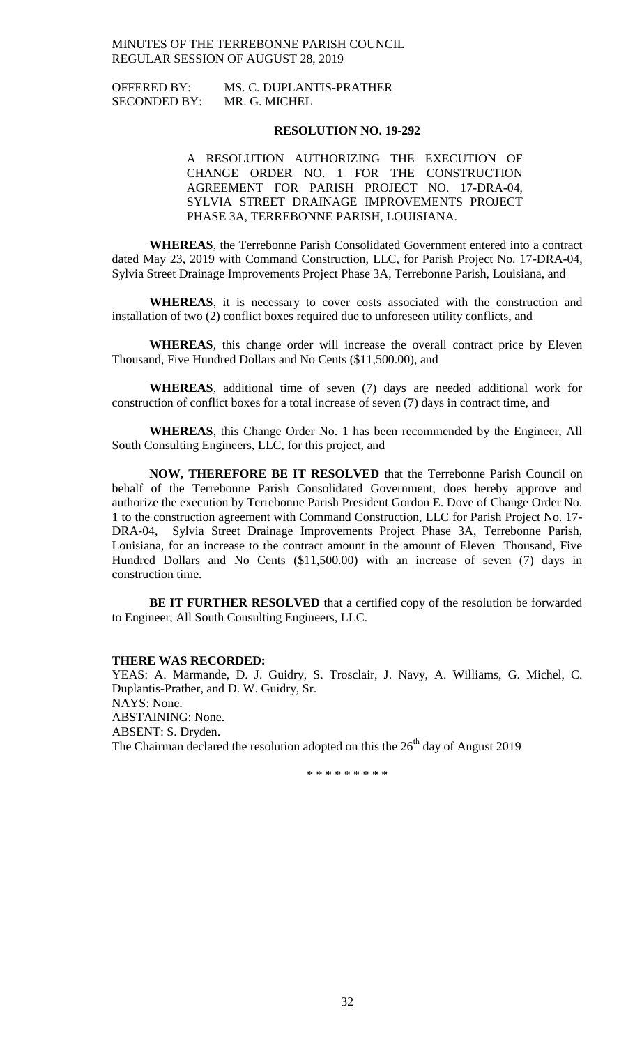## OFFERED BY: MS. C. DUPLANTIS-PRATHER SECONDED BY: MR. G. MICHEL

## **RESOLUTION NO. 19-292**

A RESOLUTION AUTHORIZING THE EXECUTION OF CHANGE ORDER NO. 1 FOR THE CONSTRUCTION AGREEMENT FOR PARISH PROJECT NO. 17-DRA-04, SYLVIA STREET DRAINAGE IMPROVEMENTS PROJECT PHASE 3A, TERREBONNE PARISH, LOUISIANA.

**WHEREAS**, the Terrebonne Parish Consolidated Government entered into a contract dated May 23, 2019 with Command Construction, LLC, for Parish Project No. 17-DRA-04, Sylvia Street Drainage Improvements Project Phase 3A, Terrebonne Parish, Louisiana, and

**WHEREAS**, it is necessary to cover costs associated with the construction and installation of two (2) conflict boxes required due to unforeseen utility conflicts, and

**WHEREAS**, this change order will increase the overall contract price by Eleven Thousand, Five Hundred Dollars and No Cents (\$11,500.00), and

**WHEREAS**, additional time of seven (7) days are needed additional work for construction of conflict boxes for a total increase of seven (7) days in contract time, and

**WHEREAS**, this Change Order No. 1 has been recommended by the Engineer, All South Consulting Engineers, LLC, for this project, and

**NOW, THEREFORE BE IT RESOLVED** that the Terrebonne Parish Council on behalf of the Terrebonne Parish Consolidated Government, does hereby approve and authorize the execution by Terrebonne Parish President Gordon E. Dove of Change Order No. 1 to the construction agreement with Command Construction, LLC for Parish Project No. 17- DRA-04, Sylvia Street Drainage Improvements Project Phase 3A, Terrebonne Parish, Louisiana, for an increase to the contract amount in the amount of Eleven Thousand, Five Hundred Dollars and No Cents (\$11,500.00) with an increase of seven (7) days in construction time.

**BE IT FURTHER RESOLVED** that a certified copy of the resolution be forwarded to Engineer, All South Consulting Engineers, LLC.

#### **THERE WAS RECORDED:**

YEAS: A. Marmande, D. J. Guidry, S. Trosclair, J. Navy, A. Williams, G. Michel, C. Duplantis-Prather, and D. W. Guidry, Sr. NAYS: None. ABSTAINING: None. ABSENT: S. Dryden. The Chairman declared the resolution adopted on this the  $26<sup>th</sup>$  day of August 2019

\* \* \* \* \* \* \* \* \*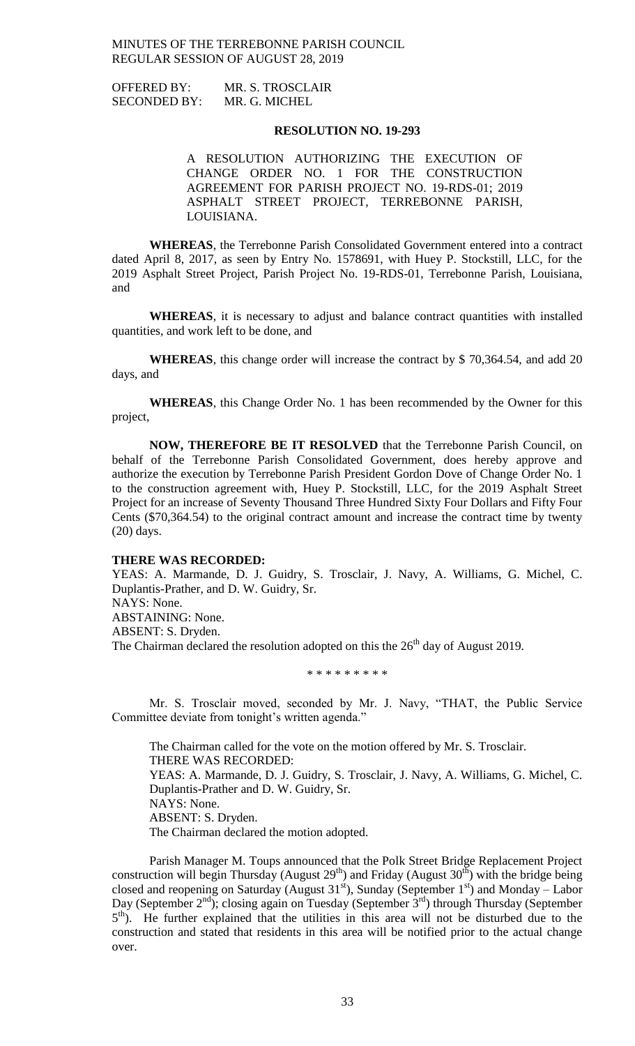| <b>OFFERED BY:</b>  | MR. S. TROSCLAIR |
|---------------------|------------------|
| <b>SECONDED BY:</b> | MR. G. MICHEL    |

#### **RESOLUTION NO. 19-293**

A RESOLUTION AUTHORIZING THE EXECUTION OF CHANGE ORDER NO. 1 FOR THE CONSTRUCTION AGREEMENT FOR PARISH PROJECT NO. 19-RDS-01; 2019 ASPHALT STREET PROJECT, TERREBONNE PARISH, LOUISIANA.

**WHEREAS**, the Terrebonne Parish Consolidated Government entered into a contract dated April 8, 2017, as seen by Entry No. 1578691, with Huey P. Stockstill, LLC, for the 2019 Asphalt Street Project, Parish Project No. 19-RDS-01, Terrebonne Parish, Louisiana, and

**WHEREAS**, it is necessary to adjust and balance contract quantities with installed quantities, and work left to be done, and

**WHEREAS**, this change order will increase the contract by \$ 70,364.54, and add 20 days, and

**WHEREAS**, this Change Order No. 1 has been recommended by the Owner for this project,

**NOW, THEREFORE BE IT RESOLVED** that the Terrebonne Parish Council, on behalf of the Terrebonne Parish Consolidated Government, does hereby approve and authorize the execution by Terrebonne Parish President Gordon Dove of Change Order No. 1 to the construction agreement with, Huey P. Stockstill, LLC, for the 2019 Asphalt Street Project for an increase of Seventy Thousand Three Hundred Sixty Four Dollars and Fifty Four Cents (\$70,364.54) to the original contract amount and increase the contract time by twenty (20) days.

#### **THERE WAS RECORDED:**

YEAS: A. Marmande, D. J. Guidry, S. Trosclair, J. Navy, A. Williams, G. Michel, C. Duplantis-Prather, and D. W. Guidry, Sr. NAYS: None. ABSTAINING: None. ABSENT: S. Dryden. The Chairman declared the resolution adopted on this the  $26<sup>th</sup>$  day of August 2019.

\* \* \* \* \* \* \* \* \*

Mr. S. Trosclair moved, seconded by Mr. J. Navy, "THAT, the Public Service Committee deviate from tonight's written agenda."

The Chairman called for the vote on the motion offered by Mr. S. Trosclair. THERE WAS RECORDED: YEAS: A. Marmande, D. J. Guidry, S. Trosclair, J. Navy, A. Williams, G. Michel, C. Duplantis-Prather and D. W. Guidry, Sr. NAYS: None. ABSENT: S. Dryden. The Chairman declared the motion adopted.

Parish Manager M. Toups announced that the Polk Street Bridge Replacement Project construction will begin Thursday (August  $29<sup>th</sup>$ ) and Friday (August  $30<sup>th</sup>$ ) with the bridge being closed and reopening on Saturday (August  $31<sup>st</sup>$ ), Sunday (September  $1<sup>st</sup>$ ) and Monday – Labor Day (September  $2^{nd}$ ); closing again on Tuesday (September  $3^{rd}$ ) through Thursday (September 5<sup>th</sup>). He further explained that the utilities in this area will not be disturbed due to the construction and stated that residents in this area will be notified prior to the actual change over.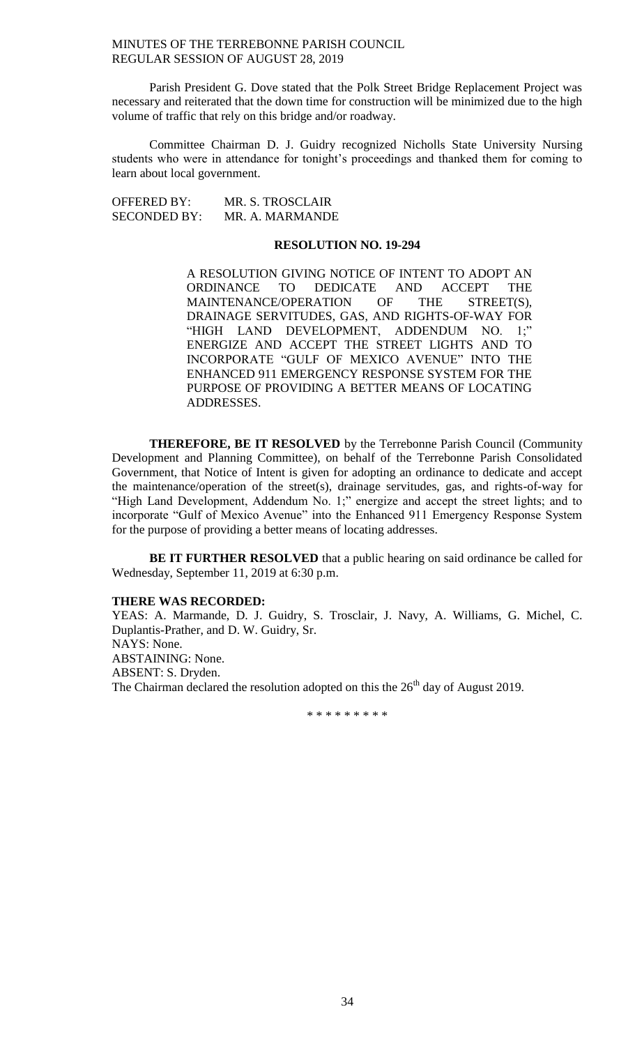Parish President G. Dove stated that the Polk Street Bridge Replacement Project was necessary and reiterated that the down time for construction will be minimized due to the high volume of traffic that rely on this bridge and/or roadway.

Committee Chairman D. J. Guidry recognized Nicholls State University Nursing students who were in attendance for tonight's proceedings and thanked them for coming to learn about local government.

OFFERED BY: MR. S. TROSCLAIR SECONDED BY: MR. A. MARMANDE

## **RESOLUTION NO. 19-294**

A RESOLUTION GIVING NOTICE OF INTENT TO ADOPT AN ORDINANCE TO DEDICATE AND ACCEPT THE MAINTENANCE/OPERATION OF THE STREET(S), DRAINAGE SERVITUDES, GAS, AND RIGHTS-OF-WAY FOR "HIGH LAND DEVELOPMENT, ADDENDUM NO. 1;" ENERGIZE AND ACCEPT THE STREET LIGHTS AND TO INCORPORATE "GULF OF MEXICO AVENUE" INTO THE ENHANCED 911 EMERGENCY RESPONSE SYSTEM FOR THE PURPOSE OF PROVIDING A BETTER MEANS OF LOCATING ADDRESSES.

**THEREFORE, BE IT RESOLVED** by the Terrebonne Parish Council (Community Development and Planning Committee), on behalf of the Terrebonne Parish Consolidated Government, that Notice of Intent is given for adopting an ordinance to dedicate and accept the maintenance/operation of the street(s), drainage servitudes, gas, and rights-of-way for "High Land Development, Addendum No. 1;" energize and accept the street lights; and to incorporate "Gulf of Mexico Avenue" into the Enhanced 911 Emergency Response System for the purpose of providing a better means of locating addresses.

**BE IT FURTHER RESOLVED** that a public hearing on said ordinance be called for Wednesday, September 11, 2019 at 6:30 p.m.

## **THERE WAS RECORDED:**

YEAS: A. Marmande, D. J. Guidry, S. Trosclair, J. Navy, A. Williams, G. Michel, C. Duplantis-Prather, and D. W. Guidry, Sr. NAYS: None. ABSTAINING: None. ABSENT: S. Dryden. The Chairman declared the resolution adopted on this the  $26<sup>th</sup>$  day of August 2019.

\* \* \* \* \* \* \* \* \*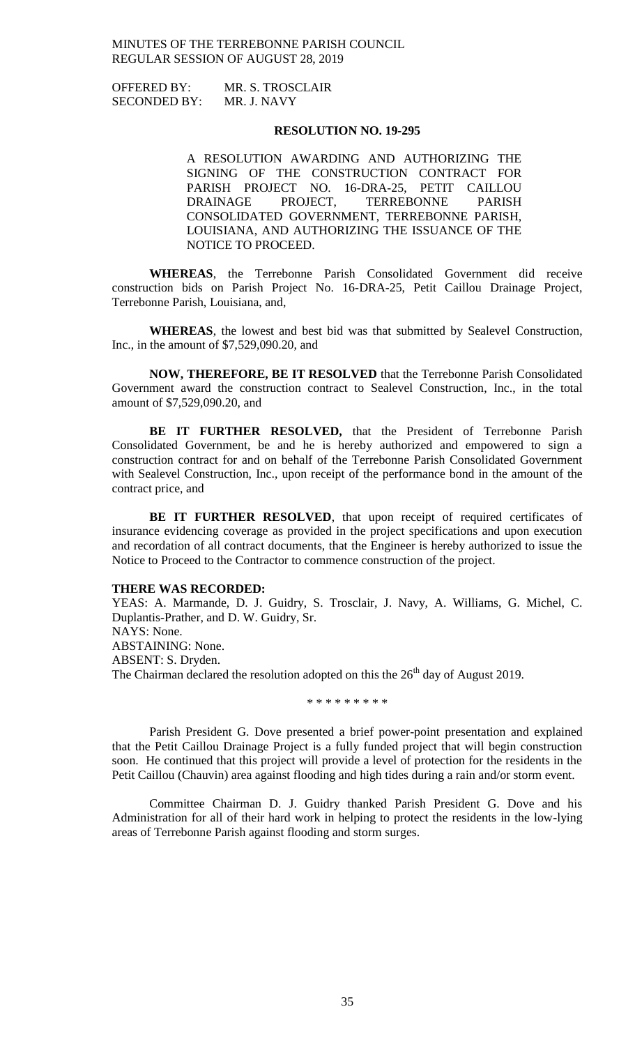| <b>OFFERED BY:</b>  | MR. S. TROSCLAIR |
|---------------------|------------------|
| <b>SECONDED BY:</b> | MR. J. NAVY      |

#### **RESOLUTION NO. 19-295**

A RESOLUTION AWARDING AND AUTHORIZING THE SIGNING OF THE CONSTRUCTION CONTRACT FOR PARISH PROJECT NO. 16-DRA-25, PETIT CAILLOU DRAINAGE PROJECT, TERREBONNE PARISH CONSOLIDATED GOVERNMENT, TERREBONNE PARISH, LOUISIANA, AND AUTHORIZING THE ISSUANCE OF THE NOTICE TO PROCEED.

**WHEREAS**, the Terrebonne Parish Consolidated Government did receive construction bids on Parish Project No. 16-DRA-25, Petit Caillou Drainage Project, Terrebonne Parish, Louisiana, and,

**WHEREAS**, the lowest and best bid was that submitted by Sealevel Construction, Inc., in the amount of \$7,529,090.20, and

**NOW, THEREFORE, BE IT RESOLVED** that the Terrebonne Parish Consolidated Government award the construction contract to Sealevel Construction, Inc., in the total amount of \$7,529,090.20, and

**BE IT FURTHER RESOLVED,** that the President of Terrebonne Parish Consolidated Government, be and he is hereby authorized and empowered to sign a construction contract for and on behalf of the Terrebonne Parish Consolidated Government with Sealevel Construction, Inc., upon receipt of the performance bond in the amount of the contract price, and

BE IT FURTHER RESOLVED, that upon receipt of required certificates of insurance evidencing coverage as provided in the project specifications and upon execution and recordation of all contract documents, that the Engineer is hereby authorized to issue the Notice to Proceed to the Contractor to commence construction of the project.

#### **THERE WAS RECORDED:**

YEAS: A. Marmande, D. J. Guidry, S. Trosclair, J. Navy, A. Williams, G. Michel, C. Duplantis-Prather, and D. W. Guidry, Sr. NAYS: None. ABSTAINING: None. ABSENT: S. Dryden. The Chairman declared the resolution adopted on this the  $26<sup>th</sup>$  day of August 2019.

\* \* \* \* \* \* \* \* \*

Parish President G. Dove presented a brief power-point presentation and explained that the Petit Caillou Drainage Project is a fully funded project that will begin construction soon. He continued that this project will provide a level of protection for the residents in the Petit Caillou (Chauvin) area against flooding and high tides during a rain and/or storm event.

Committee Chairman D. J. Guidry thanked Parish President G. Dove and his Administration for all of their hard work in helping to protect the residents in the low-lying areas of Terrebonne Parish against flooding and storm surges.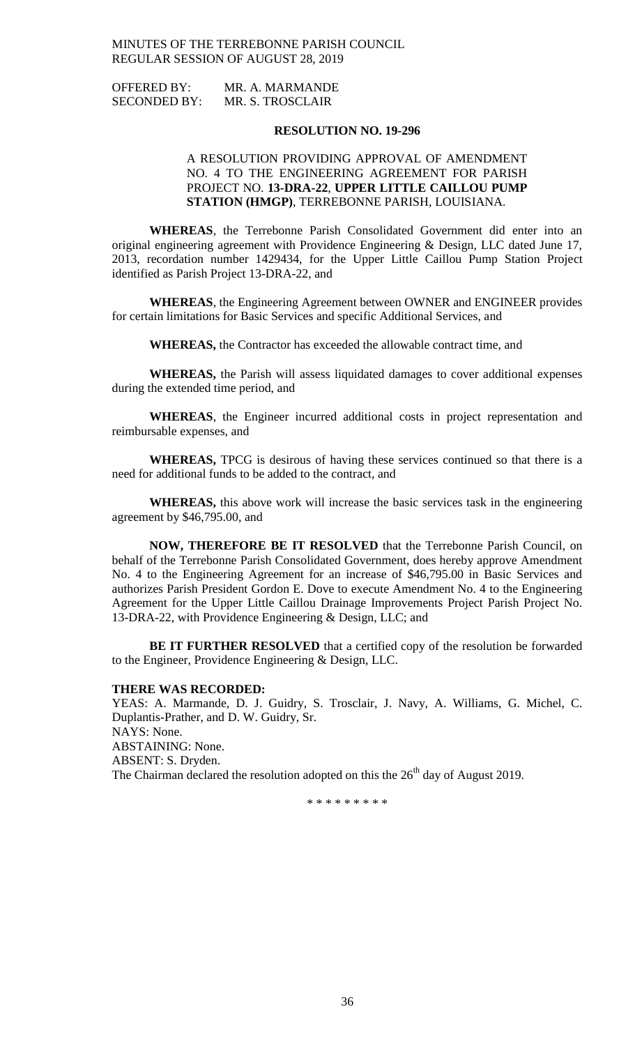| <b>OFFERED BY:</b>  | MR. A. MARMANDE  |
|---------------------|------------------|
| <b>SECONDED BY:</b> | MR. S. TROSCLAIR |

#### **RESOLUTION NO. 19-296**

## A RESOLUTION PROVIDING APPROVAL OF AMENDMENT NO. 4 TO THE ENGINEERING AGREEMENT FOR PARISH PROJECT NO. **13-DRA-22**, **UPPER LITTLE CAILLOU PUMP STATION (HMGP)**, TERREBONNE PARISH, LOUISIANA.

**WHEREAS**, the Terrebonne Parish Consolidated Government did enter into an original engineering agreement with Providence Engineering & Design, LLC dated June 17, 2013, recordation number 1429434, for the Upper Little Caillou Pump Station Project identified as Parish Project 13-DRA-22, and

**WHEREAS**, the Engineering Agreement between OWNER and ENGINEER provides for certain limitations for Basic Services and specific Additional Services, and

**WHEREAS,** the Contractor has exceeded the allowable contract time, and

**WHEREAS,** the Parish will assess liquidated damages to cover additional expenses during the extended time period, and

**WHEREAS**, the Engineer incurred additional costs in project representation and reimbursable expenses, and

**WHEREAS,** TPCG is desirous of having these services continued so that there is a need for additional funds to be added to the contract, and

**WHEREAS,** this above work will increase the basic services task in the engineering agreement by \$46,795.00, and

**NOW, THEREFORE BE IT RESOLVED** that the Terrebonne Parish Council, on behalf of the Terrebonne Parish Consolidated Government, does hereby approve Amendment No. 4 to the Engineering Agreement for an increase of \$46,795.00 in Basic Services and authorizes Parish President Gordon E. Dove to execute Amendment No. 4 to the Engineering Agreement for the Upper Little Caillou Drainage Improvements Project Parish Project No. 13-DRA-22, with Providence Engineering & Design, LLC; and

**BE IT FURTHER RESOLVED** that a certified copy of the resolution be forwarded to the Engineer, Providence Engineering & Design, LLC.

#### **THERE WAS RECORDED:**

YEAS: A. Marmande, D. J. Guidry, S. Trosclair, J. Navy, A. Williams, G. Michel, C. Duplantis-Prather, and D. W. Guidry, Sr. NAYS: None. ABSTAINING: None. ABSENT: S. Dryden. The Chairman declared the resolution adopted on this the  $26<sup>th</sup>$  day of August 2019.

\* \* \* \* \* \* \* \* \*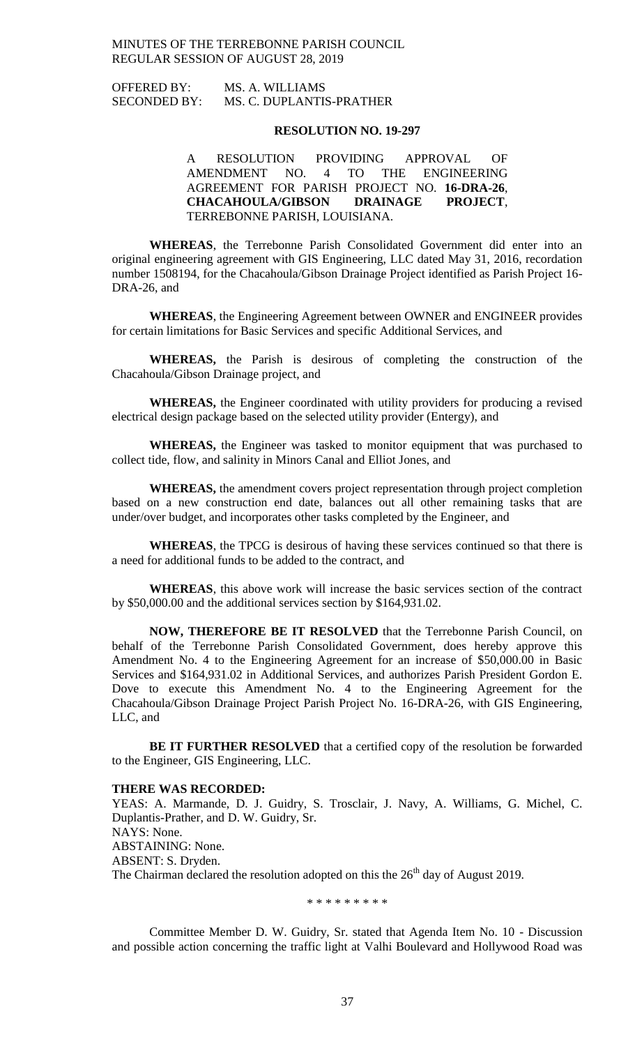| <b>OFFERED BY:</b>  | MS. A. WILLIAMS          |
|---------------------|--------------------------|
| <b>SECONDED BY:</b> | MS. C. DUPLANTIS-PRATHER |

#### **RESOLUTION NO. 19-297**

A RESOLUTION PROVIDING APPROVAL OF AMENDMENT NO. 4 TO THE ENGINEERING AGREEMENT FOR PARISH PROJECT NO. **16-DRA-26**, **CHACAHOULA/GIBSON DRAINAGE PROJECT**, TERREBONNE PARISH, LOUISIANA.

**WHEREAS**, the Terrebonne Parish Consolidated Government did enter into an original engineering agreement with GIS Engineering, LLC dated May 31, 2016, recordation number 1508194, for the Chacahoula/Gibson Drainage Project identified as Parish Project 16- DRA-26, and

**WHEREAS**, the Engineering Agreement between OWNER and ENGINEER provides for certain limitations for Basic Services and specific Additional Services, and

**WHEREAS,** the Parish is desirous of completing the construction of the Chacahoula/Gibson Drainage project, and

**WHEREAS,** the Engineer coordinated with utility providers for producing a revised electrical design package based on the selected utility provider (Entergy), and

**WHEREAS,** the Engineer was tasked to monitor equipment that was purchased to collect tide, flow, and salinity in Minors Canal and Elliot Jones, and

**WHEREAS,** the amendment covers project representation through project completion based on a new construction end date, balances out all other remaining tasks that are under/over budget, and incorporates other tasks completed by the Engineer, and

**WHEREAS**, the TPCG is desirous of having these services continued so that there is a need for additional funds to be added to the contract, and

**WHEREAS**, this above work will increase the basic services section of the contract by \$50,000.00 and the additional services section by \$164,931.02.

**NOW, THEREFORE BE IT RESOLVED** that the Terrebonne Parish Council, on behalf of the Terrebonne Parish Consolidated Government, does hereby approve this Amendment No. 4 to the Engineering Agreement for an increase of \$50,000.00 in Basic Services and \$164,931.02 in Additional Services, and authorizes Parish President Gordon E. Dove to execute this Amendment No. 4 to the Engineering Agreement for the Chacahoula/Gibson Drainage Project Parish Project No. 16-DRA-26, with GIS Engineering, LLC, and

**BE IT FURTHER RESOLVED** that a certified copy of the resolution be forwarded to the Engineer, GIS Engineering, LLC.

#### **THERE WAS RECORDED:**

YEAS: A. Marmande, D. J. Guidry, S. Trosclair, J. Navy, A. Williams, G. Michel, C. Duplantis-Prather, and D. W. Guidry, Sr. NAYS: None. ABSTAINING: None. ABSENT: S. Dryden. The Chairman declared the resolution adopted on this the  $26<sup>th</sup>$  day of August 2019.

\* \* \* \* \* \* \* \* \*

Committee Member D. W. Guidry, Sr. stated that Agenda Item No. 10 - Discussion and possible action concerning the traffic light at Valhi Boulevard and Hollywood Road was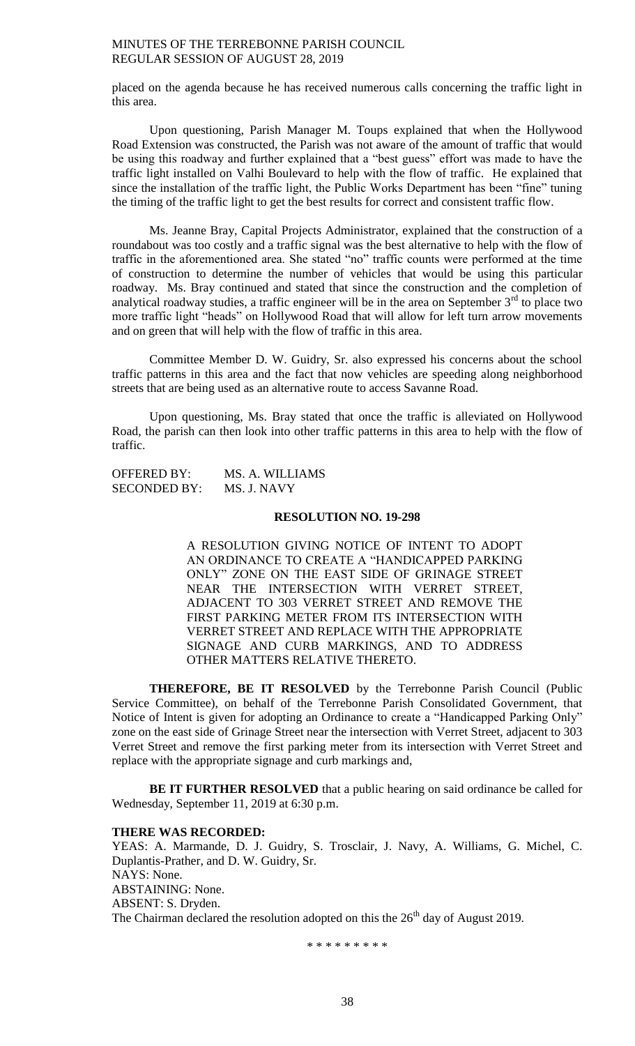placed on the agenda because he has received numerous calls concerning the traffic light in this area.

Upon questioning, Parish Manager M. Toups explained that when the Hollywood Road Extension was constructed, the Parish was not aware of the amount of traffic that would be using this roadway and further explained that a "best guess" effort was made to have the traffic light installed on Valhi Boulevard to help with the flow of traffic. He explained that since the installation of the traffic light, the Public Works Department has been "fine" tuning the timing of the traffic light to get the best results for correct and consistent traffic flow.

Ms. Jeanne Bray, Capital Projects Administrator, explained that the construction of a roundabout was too costly and a traffic signal was the best alternative to help with the flow of traffic in the aforementioned area. She stated "no" traffic counts were performed at the time of construction to determine the number of vehicles that would be using this particular roadway. Ms. Bray continued and stated that since the construction and the completion of analytical roadway studies, a traffic engineer will be in the area on September  $3<sup>rd</sup>$  to place two more traffic light "heads" on Hollywood Road that will allow for left turn arrow movements and on green that will help with the flow of traffic in this area.

Committee Member D. W. Guidry, Sr. also expressed his concerns about the school traffic patterns in this area and the fact that now vehicles are speeding along neighborhood streets that are being used as an alternative route to access Savanne Road.

Upon questioning, Ms. Bray stated that once the traffic is alleviated on Hollywood Road, the parish can then look into other traffic patterns in this area to help with the flow of traffic.

OFFERED BY: MS. A. WILLIAMS SECONDED BY: MS. J. NAVY

## **RESOLUTION NO. 19-298**

A RESOLUTION GIVING NOTICE OF INTENT TO ADOPT AN ORDINANCE TO CREATE A "HANDICAPPED PARKING ONLY" ZONE ON THE EAST SIDE OF GRINAGE STREET NEAR THE INTERSECTION WITH VERRET STREET, ADJACENT TO 303 VERRET STREET AND REMOVE THE FIRST PARKING METER FROM ITS INTERSECTION WITH VERRET STREET AND REPLACE WITH THE APPROPRIATE SIGNAGE AND CURB MARKINGS, AND TO ADDRESS OTHER MATTERS RELATIVE THERETO.

**THEREFORE, BE IT RESOLVED** by the Terrebonne Parish Council (Public Service Committee), on behalf of the Terrebonne Parish Consolidated Government, that Notice of Intent is given for adopting an Ordinance to create a "Handicapped Parking Only" zone on the east side of Grinage Street near the intersection with Verret Street, adjacent to 303 Verret Street and remove the first parking meter from its intersection with Verret Street and replace with the appropriate signage and curb markings and,

**BE IT FURTHER RESOLVED** that a public hearing on said ordinance be called for Wednesday, September 11, 2019 at 6:30 p.m.

#### **THERE WAS RECORDED:**

YEAS: A. Marmande, D. J. Guidry, S. Trosclair, J. Navy, A. Williams, G. Michel, C. Duplantis-Prather, and D. W. Guidry, Sr. NAYS: None. ABSTAINING: None. ABSENT: S. Dryden. The Chairman declared the resolution adopted on this the  $26<sup>th</sup>$  day of August 2019.

\* \* \* \* \* \* \* \* \*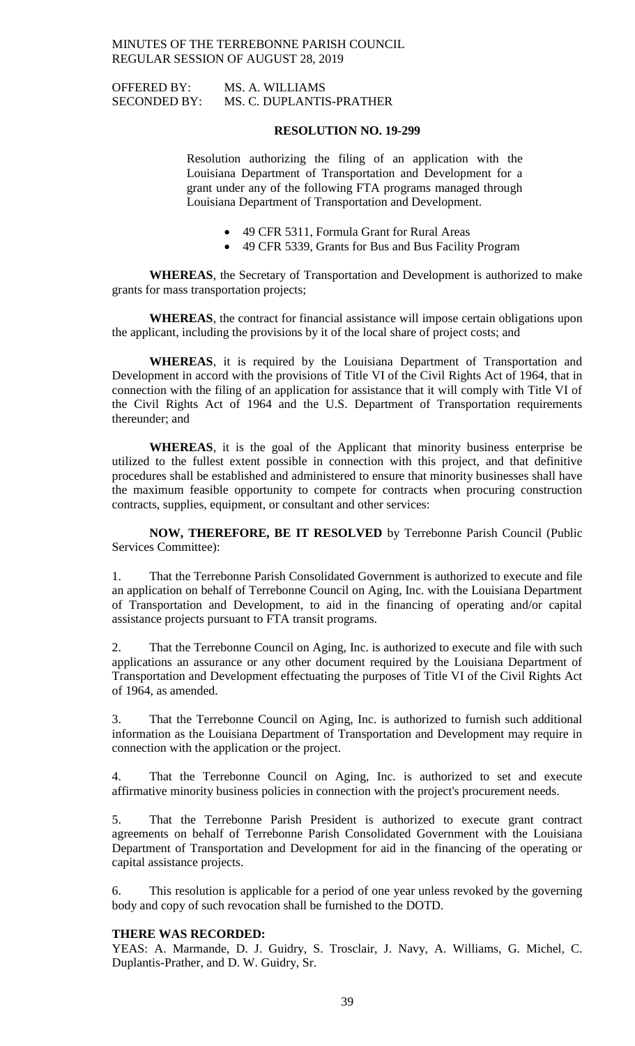OFFERED BY: MS. A. WILLIAMS SECONDED BY: MS. C. DUPLANTIS-PRATHER

## **RESOLUTION NO. 19-299**

Resolution authorizing the filing of an application with the Louisiana Department of Transportation and Development for a grant under any of the following FTA programs managed through Louisiana Department of Transportation and Development.

- 49 CFR 5311, Formula Grant for Rural Areas
- 49 CFR 5339, Grants for Bus and Bus Facility Program

**WHEREAS**, the Secretary of Transportation and Development is authorized to make grants for mass transportation projects;

**WHEREAS**, the contract for financial assistance will impose certain obligations upon the applicant, including the provisions by it of the local share of project costs; and

**WHEREAS**, it is required by the Louisiana Department of Transportation and Development in accord with the provisions of Title VI of the Civil Rights Act of 1964, that in connection with the filing of an application for assistance that it will comply with Title VI of the Civil Rights Act of 1964 and the U.S. Department of Transportation requirements thereunder; and

**WHEREAS**, it is the goal of the Applicant that minority business enterprise be utilized to the fullest extent possible in connection with this project, and that definitive procedures shall be established and administered to ensure that minority businesses shall have the maximum feasible opportunity to compete for contracts when procuring construction contracts, supplies, equipment, or consultant and other services:

**NOW, THEREFORE, BE IT RESOLVED** by Terrebonne Parish Council (Public Services Committee):

1. That the Terrebonne Parish Consolidated Government is authorized to execute and file an application on behalf of Terrebonne Council on Aging, Inc. with the Louisiana Department of Transportation and Development, to aid in the financing of operating and/or capital assistance projects pursuant to FTA transit programs.

2. That the Terrebonne Council on Aging, Inc. is authorized to execute and file with such applications an assurance or any other document required by the Louisiana Department of Transportation and Development effectuating the purposes of Title VI of the Civil Rights Act of 1964, as amended.

3. That the Terrebonne Council on Aging, Inc. is authorized to furnish such additional information as the Louisiana Department of Transportation and Development may require in connection with the application or the project.

4. That the Terrebonne Council on Aging, Inc. is authorized to set and execute affirmative minority business policies in connection with the project's procurement needs.

5. That the Terrebonne Parish President is authorized to execute grant contract agreements on behalf of Terrebonne Parish Consolidated Government with the Louisiana Department of Transportation and Development for aid in the financing of the operating or capital assistance projects.

6. This resolution is applicable for a period of one year unless revoked by the governing body and copy of such revocation shall be furnished to the DOTD.

#### **THERE WAS RECORDED:**

YEAS: A. Marmande, D. J. Guidry, S. Trosclair, J. Navy, A. Williams, G. Michel, C. Duplantis-Prather, and D. W. Guidry, Sr.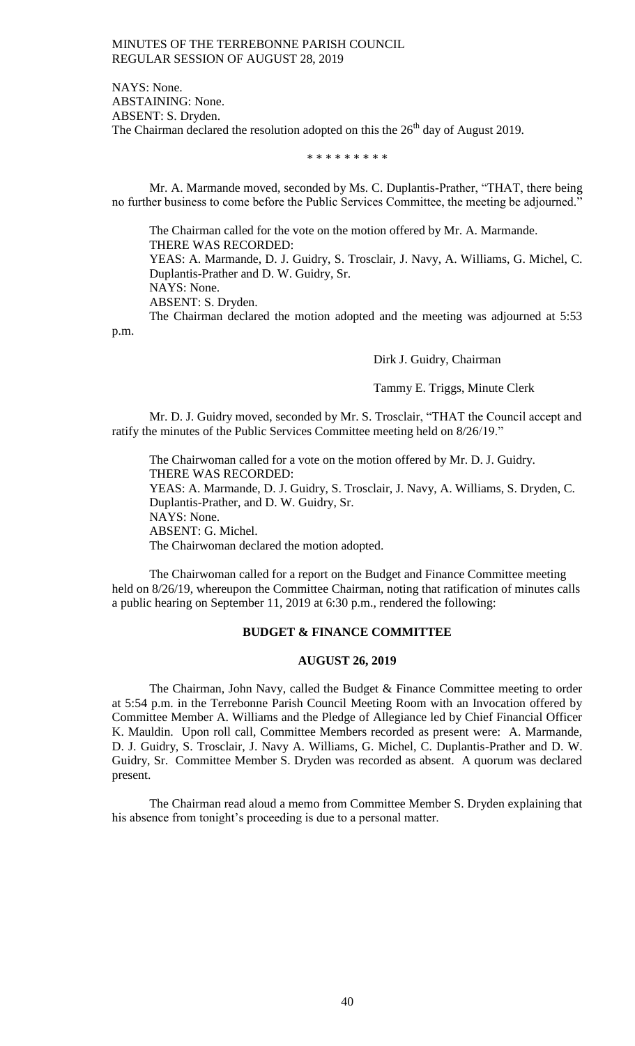NAYS: None. ABSTAINING: None. ABSENT: S. Dryden. The Chairman declared the resolution adopted on this the  $26<sup>th</sup>$  day of August 2019.

\* \* \* \* \* \* \* \* \*

Mr. A. Marmande moved, seconded by Ms. C. Duplantis-Prather, "THAT, there being no further business to come before the Public Services Committee, the meeting be adjourned."

The Chairman called for the vote on the motion offered by Mr. A. Marmande. THERE WAS RECORDED: YEAS: A. Marmande, D. J. Guidry, S. Trosclair, J. Navy, A. Williams, G. Michel, C.

Duplantis-Prather and D. W. Guidry, Sr.

NAYS: None.

ABSENT: S. Dryden.

The Chairman declared the motion adopted and the meeting was adjourned at 5:53 p.m.

Dirk J. Guidry, Chairman

Tammy E. Triggs, Minute Clerk

Mr. D. J. Guidry moved, seconded by Mr. S. Trosclair, "THAT the Council accept and ratify the minutes of the Public Services Committee meeting held on 8/26/19."

The Chairwoman called for a vote on the motion offered by Mr. D. J. Guidry. THERE WAS RECORDED: YEAS: A. Marmande, D. J. Guidry, S. Trosclair, J. Navy, A. Williams, S. Dryden, C. Duplantis-Prather, and D. W. Guidry, Sr. NAYS: None. ABSENT: G. Michel. The Chairwoman declared the motion adopted.

The Chairwoman called for a report on the Budget and Finance Committee meeting held on  $8/26/19$ , whereupon the Committee Chairman, noting that ratification of minutes calls a public hearing on September 11, 2019 at 6:30 p.m., rendered the following:

## **BUDGET & FINANCE COMMITTEE**

#### **AUGUST 26, 2019**

The Chairman, John Navy, called the Budget & Finance Committee meeting to order at 5:54 p.m. in the Terrebonne Parish Council Meeting Room with an Invocation offered by Committee Member A. Williams and the Pledge of Allegiance led by Chief Financial Officer K. Mauldin. Upon roll call, Committee Members recorded as present were: A. Marmande, D. J. Guidry, S. Trosclair, J. Navy A. Williams, G. Michel, C. Duplantis-Prather and D. W. Guidry, Sr. Committee Member S. Dryden was recorded as absent. A quorum was declared present.

The Chairman read aloud a memo from Committee Member S. Dryden explaining that his absence from tonight's proceeding is due to a personal matter.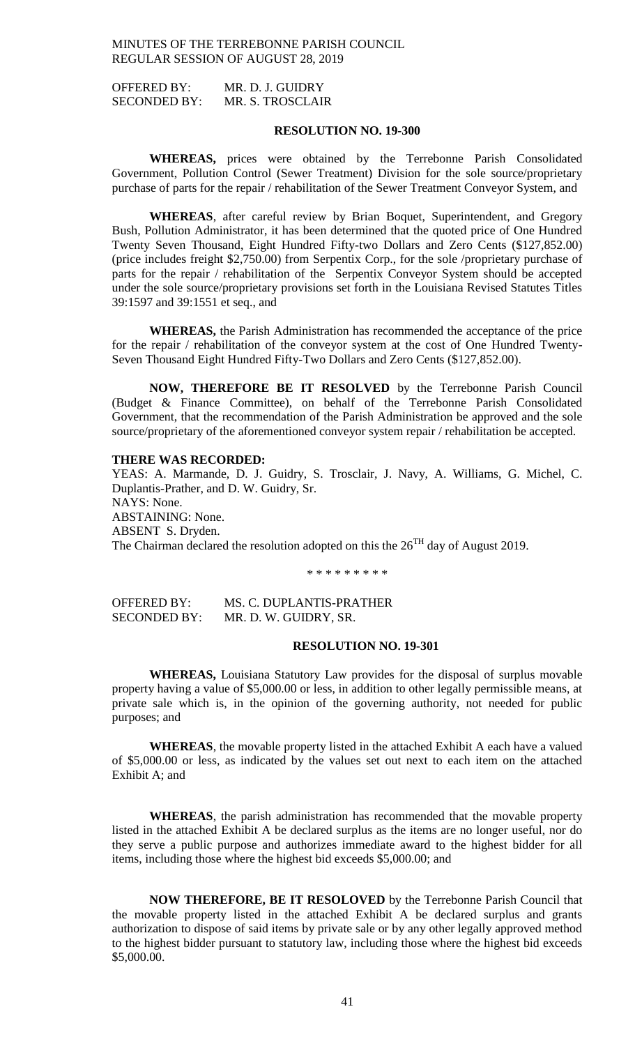OFFERED BY: MR. D. J. GUIDRY SECONDED BY: MR. S. TROSCLAIR

## **RESOLUTION NO. 19-300**

**WHEREAS,** prices were obtained by the Terrebonne Parish Consolidated Government, Pollution Control (Sewer Treatment) Division for the sole source/proprietary purchase of parts for the repair / rehabilitation of the Sewer Treatment Conveyor System, and

**WHEREAS**, after careful review by Brian Boquet, Superintendent, and Gregory Bush, Pollution Administrator, it has been determined that the quoted price of One Hundred Twenty Seven Thousand, Eight Hundred Fifty-two Dollars and Zero Cents (\$127,852.00) (price includes freight \$2,750.00) from Serpentix Corp., for the sole /proprietary purchase of parts for the repair / rehabilitation of the Serpentix Conveyor System should be accepted under the sole source/proprietary provisions set forth in the Louisiana Revised Statutes Titles 39:1597 and 39:1551 et seq., and

**WHEREAS,** the Parish Administration has recommended the acceptance of the price for the repair / rehabilitation of the conveyor system at the cost of One Hundred Twenty-Seven Thousand Eight Hundred Fifty-Two Dollars and Zero Cents (\$127,852.00).

**NOW, THEREFORE BE IT RESOLVED** by the Terrebonne Parish Council (Budget & Finance Committee), on behalf of the Terrebonne Parish Consolidated Government, that the recommendation of the Parish Administration be approved and the sole source/proprietary of the aforementioned conveyor system repair / rehabilitation be accepted.

### **THERE WAS RECORDED:**

YEAS: A. Marmande, D. J. Guidry, S. Trosclair, J. Navy, A. Williams, G. Michel, C. Duplantis-Prather, and D. W. Guidry, Sr. NAYS: None. ABSTAINING: None. ABSENT S. Dryden. The Chairman declared the resolution adopted on this the  $26<sup>TH</sup>$  day of August 2019.

\* \* \* \* \* \* \* \* \*

OFFERED BY: MS. C. DUPLANTIS-PRATHER SECONDED BY: MR. D. W. GUIDRY, SR.

#### **RESOLUTION NO. 19-301**

**WHEREAS,** Louisiana Statutory Law provides for the disposal of surplus movable property having a value of \$5,000.00 or less, in addition to other legally permissible means, at private sale which is, in the opinion of the governing authority, not needed for public purposes; and

**WHEREAS**, the movable property listed in the attached Exhibit A each have a valued of \$5,000.00 or less, as indicated by the values set out next to each item on the attached Exhibit A; and

**WHEREAS**, the parish administration has recommended that the movable property listed in the attached Exhibit A be declared surplus as the items are no longer useful, nor do they serve a public purpose and authorizes immediate award to the highest bidder for all items, including those where the highest bid exceeds \$5,000.00; and

**NOW THEREFORE, BE IT RESOLOVED** by the Terrebonne Parish Council that the movable property listed in the attached Exhibit A be declared surplus and grants authorization to dispose of said items by private sale or by any other legally approved method to the highest bidder pursuant to statutory law, including those where the highest bid exceeds \$5,000.00.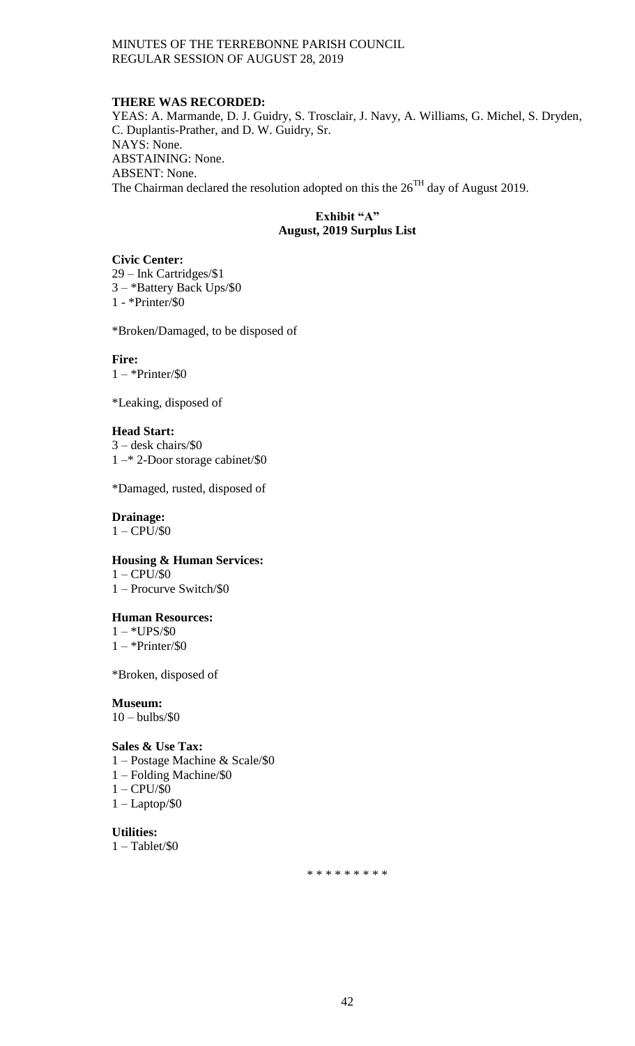## **THERE WAS RECORDED:**

YEAS: A. Marmande, D. J. Guidry, S. Trosclair, J. Navy, A. Williams, G. Michel, S. Dryden, C. Duplantis-Prather, and D. W. Guidry, Sr. NAYS: None. ABSTAINING: None. ABSENT: None. The Chairman declared the resolution adopted on this the  $26<sup>TH</sup>$  day of August 2019.

## **Exhibit "A" August, 2019 Surplus List**

## **Civic Center:**

29 – Ink Cartridges/\$1 3 – \*Battery Back Ups/\$0 1 - \*Printer/\$0

\*Broken/Damaged, to be disposed of

## **Fire:**

 $1 - *Printer/\$0$ 

\*Leaking, disposed of

## **Head Start:**

3 – desk chairs/\$0 1 –\* 2-Door storage cabinet/\$0

\*Damaged, rusted, disposed of

## **Drainage:**

 $1 - CPU/\$0$ 

## **Housing & Human Services:**

 $1 - CPU/S0$ 1 – Procurve Switch/\$0

#### **Human Resources:**

 $1 - *UPS/S0$  $1 - *Printer/S0$ 

\*Broken, disposed of

**Museum:**

# $10 - \text{bulbs}/\$0$

## **Sales & Use Tax:**

- 1 Postage Machine & Scale/\$0
- 1 Folding Machine/\$0
- 1 CPU/\$0
- 1 Laptop/\$0

**Utilities:**  $1 - \text{Tablet}/\$0$ 

\* \* \* \* \* \* \* \* \*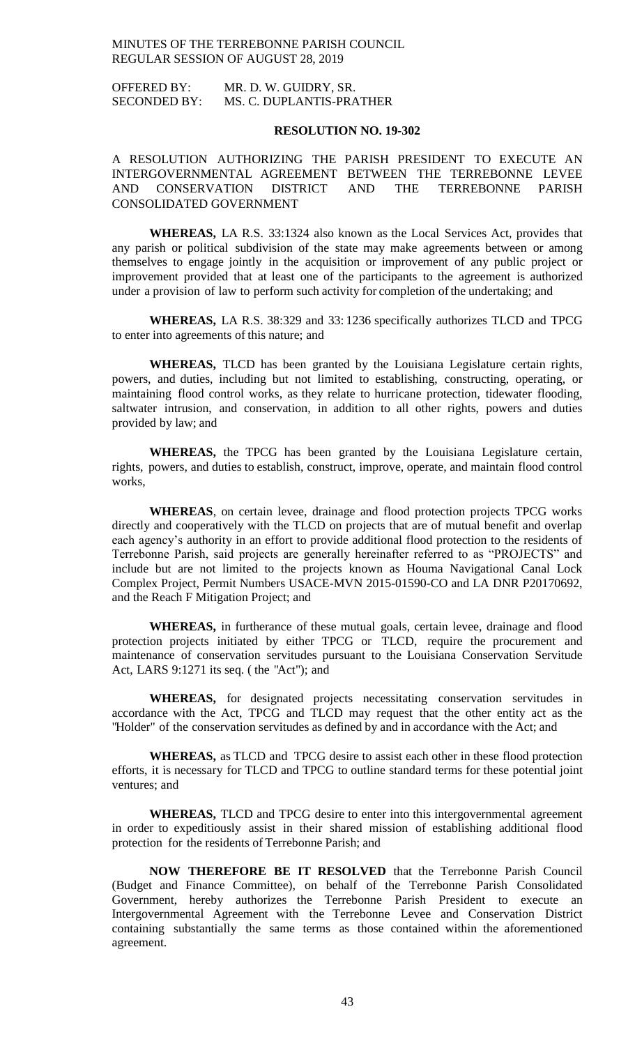OFFERED BY: MR. D. W. GUIDRY, SR. SECONDED BY: MS. C. DUPLANTIS-PRATHER

### **RESOLUTION NO. 19-302**

## A RESOLUTION AUTHORIZING THE PARISH PRESIDENT TO EXECUTE AN INTERGOVERNMENTAL AGREEMENT BETWEEN THE TERREBONNE LEVEE AND CONSERVATION DISTRICT AND THE TERREBONNE PARISH CONSOLIDATED GOVERNMENT

**WHEREAS,** LA R.S. 33:1324 also known as the Local Services Act, provides that any parish or political subdivision of the state may make agreements between or among themselves to engage jointly in the acquisition or improvement of any public project or improvement provided that at least one of the participants to the agreement is authorized under a provision of law to perform such activity for completion of the undertaking; and

**WHEREAS,** LA R.S. 38:329 and 33: 1236 specifically authorizes TLCD and TPCG to enter into agreements of this nature; and

**WHEREAS,** TLCD has been granted by the Louisiana Legislature certain rights, powers, and duties, including but not limited to establishing, constructing, operating, or maintaining flood control works, as they relate to hurricane protection, tidewater flooding, saltwater intrusion, and conservation, in addition to all other rights, powers and duties provided by law; and

**WHEREAS,** the TPCG has been granted by the Louisiana Legislature certain, rights, powers, and duties to establish, construct, improve, operate, and maintain flood control works,

**WHEREAS**, on certain levee, drainage and flood protection projects TPCG works directly and cooperatively with the TLCD on projects that are of mutual benefit and overlap each agency's authority in an effort to provide additional flood protection to the residents of Terrebonne Parish, said projects are generally hereinafter referred to as "PROJECTS" and include but are not limited to the projects known as Houma Navigational Canal Lock Complex Project, Permit Numbers USACE-MVN 2015-01590-CO and LA DNR P20170692, and the Reach F Mitigation Project; and

**WHEREAS,** in furtherance of these mutual goals, certain levee, drainage and flood protection projects initiated by either TPCG or TLCD, require the procurement and maintenance of conservation servitudes pursuant to the Louisiana Conservation Servitude Act, LARS 9:1271 its seq. ( the "Act"); and

**WHEREAS,** for designated projects necessitating conservation servitudes in accordance with the Act, TPCG and TLCD may request that the other entity act as the "Holder" of the conservation servitudes as defined by and in accordance with the Act; and

**WHEREAS,** as TLCD and TPCG desire to assist each other in these flood protection efforts, it is necessary for TLCD and TPCG to outline standard terms for these potential joint ventures; and

**WHEREAS,** TLCD and TPCG desire to enter into this intergovernmental agreement in order to expeditiously assist in their shared mission of establishing additional flood protection for the residents of Terrebonne Parish; and

**NOW THEREFORE BE IT RESOLVED** that the Terrebonne Parish Council (Budget and Finance Committee), on behalf of the Terrebonne Parish Consolidated Government, hereby authorizes the Terrebonne Parish President to execute an Intergovernmental Agreement with the Terrebonne Levee and Conservation District containing substantially the same terms as those contained within the aforementioned agreement.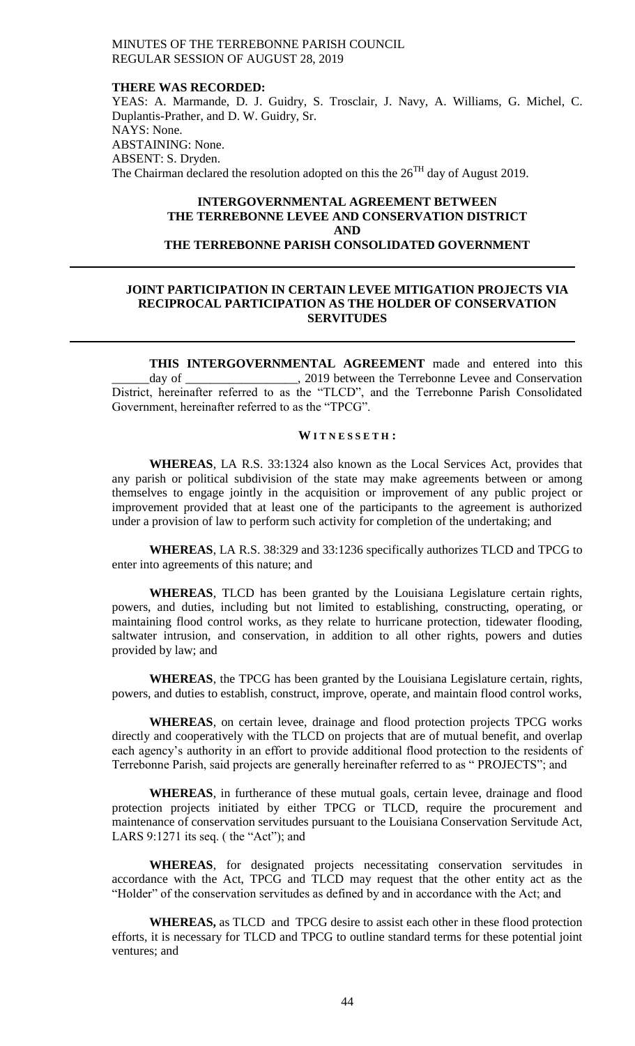#### **THERE WAS RECORDED:**

YEAS: A. Marmande, D. J. Guidry, S. Trosclair, J. Navy, A. Williams, G. Michel, C. Duplantis-Prather, and D. W. Guidry, Sr. NAYS: None. ABSTAINING: None. ABSENT: S. Dryden. The Chairman declared the resolution adopted on this the  $26<sup>TH</sup>$  day of August 2019.

## **INTERGOVERNMENTAL AGREEMENT BETWEEN THE TERREBONNE LEVEE AND CONSERVATION DISTRICT AND THE TERREBONNE PARISH CONSOLIDATED GOVERNMENT**

## **JOINT PARTICIPATION IN CERTAIN LEVEE MITIGATION PROJECTS VIA RECIPROCAL PARTICIPATION AS THE HOLDER OF CONSERVATION SERVITUDES**

**THIS INTERGOVERNMENTAL AGREEMENT** made and entered into this \_\_\_\_\_\_day of \_\_\_\_\_\_\_\_\_\_\_\_\_\_\_\_\_\_, 2019 between the Terrebonne Levee and Conservation District, hereinafter referred to as the "TLCD", and the Terrebonne Parish Consolidated Government, hereinafter referred to as the "TPCG".

#### **W I T N E S S E T H :**

**WHEREAS**, LA R.S. 33:1324 also known as the Local Services Act, provides that any parish or political subdivision of the state may make agreements between or among themselves to engage jointly in the acquisition or improvement of any public project or improvement provided that at least one of the participants to the agreement is authorized under a provision of law to perform such activity for completion of the undertaking; and

**WHEREAS**, LA R.S. 38:329 and 33:1236 specifically authorizes TLCD and TPCG to enter into agreements of this nature; and

**WHEREAS**, TLCD has been granted by the Louisiana Legislature certain rights, powers, and duties, including but not limited to establishing, constructing, operating, or maintaining flood control works, as they relate to hurricane protection, tidewater flooding, saltwater intrusion, and conservation, in addition to all other rights, powers and duties provided by law; and

**WHEREAS**, the TPCG has been granted by the Louisiana Legislature certain, rights, powers, and duties to establish, construct, improve, operate, and maintain flood control works,

**WHEREAS**, on certain levee, drainage and flood protection projects TPCG works directly and cooperatively with the TLCD on projects that are of mutual benefit, and overlap each agency's authority in an effort to provide additional flood protection to the residents of Terrebonne Parish, said projects are generally hereinafter referred to as " PROJECTS"; and

**WHEREAS**, in furtherance of these mutual goals, certain levee, drainage and flood protection projects initiated by either TPCG or TLCD, require the procurement and maintenance of conservation servitudes pursuant to the Louisiana Conservation Servitude Act, LARS 9:1271 its seq. (the "Act"); and

**WHEREAS**, for designated projects necessitating conservation servitudes in accordance with the Act, TPCG and TLCD may request that the other entity act as the "Holder" of the conservation servitudes as defined by and in accordance with the Act; and

**WHEREAS,** as TLCD and TPCG desire to assist each other in these flood protection efforts, it is necessary for TLCD and TPCG to outline standard terms for these potential joint ventures; and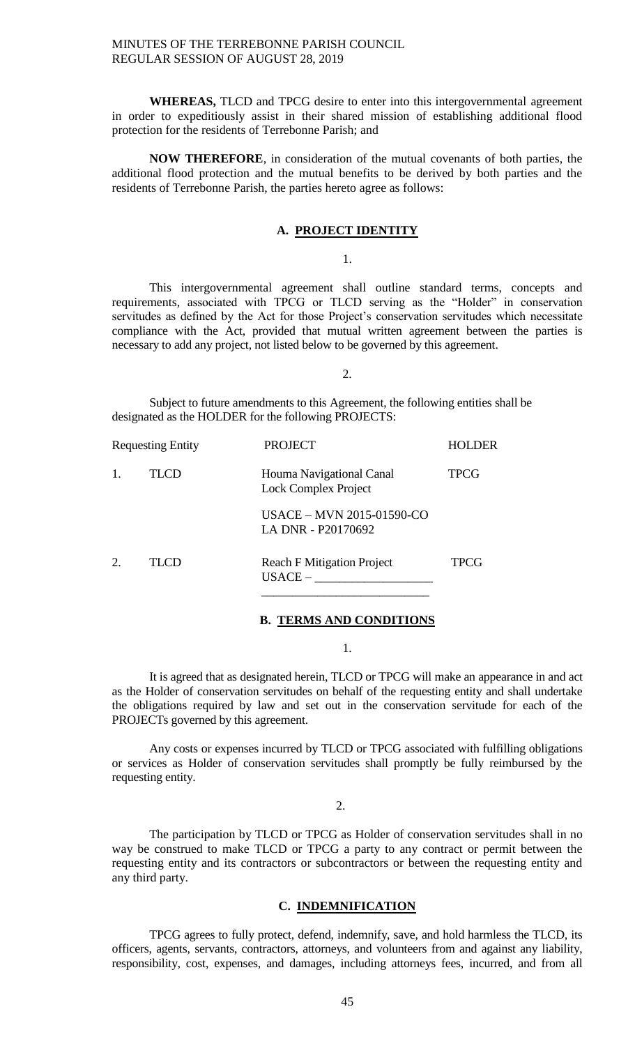**WHEREAS,** TLCD and TPCG desire to enter into this intergovernmental agreement in order to expeditiously assist in their shared mission of establishing additional flood protection for the residents of Terrebonne Parish; and

**NOW THEREFORE**, in consideration of the mutual covenants of both parties, the additional flood protection and the mutual benefits to be derived by both parties and the residents of Terrebonne Parish, the parties hereto agree as follows:

#### **A. PROJECT IDENTITY**

1.

This intergovernmental agreement shall outline standard terms, concepts and requirements, associated with TPCG or TLCD serving as the "Holder" in conservation servitudes as defined by the Act for those Project's conservation servitudes which necessitate compliance with the Act, provided that mutual written agreement between the parties is necessary to add any project, not listed below to be governed by this agreement.

2.

Subject to future amendments to this Agreement, the following entities shall be designated as the HOLDER for the following PROJECTS:

|    | <b>Requesting Entity</b> | <b>PROJECT</b>                                          | <b>HOLDER</b> |
|----|--------------------------|---------------------------------------------------------|---------------|
|    | TLCD                     | Houma Navigational Canal<br><b>Lock Complex Project</b> | TPCG          |
|    |                          | <b>USACE - MVN 2015-01590-CO</b><br>LA DNR - P20170692  |               |
| 2. | TLCD                     | <b>Reach F Mitigation Project</b><br>$USACE -$          | <b>TPCG</b>   |
|    |                          |                                                         |               |

#### **B. TERMS AND CONDITIONS**

1.

It is agreed that as designated herein, TLCD or TPCG will make an appearance in and act as the Holder of conservation servitudes on behalf of the requesting entity and shall undertake the obligations required by law and set out in the conservation servitude for each of the PROJECTs governed by this agreement.

Any costs or expenses incurred by TLCD or TPCG associated with fulfilling obligations or services as Holder of conservation servitudes shall promptly be fully reimbursed by the requesting entity.

 $\mathcal{D}$ 

The participation by TLCD or TPCG as Holder of conservation servitudes shall in no way be construed to make TLCD or TPCG a party to any contract or permit between the requesting entity and its contractors or subcontractors or between the requesting entity and any third party.

#### **C. INDEMNIFICATION**

TPCG agrees to fully protect, defend, indemnify, save, and hold harmless the TLCD, its officers, agents, servants, contractors, attorneys, and volunteers from and against any liability, responsibility, cost, expenses, and damages, including attorneys fees, incurred, and from all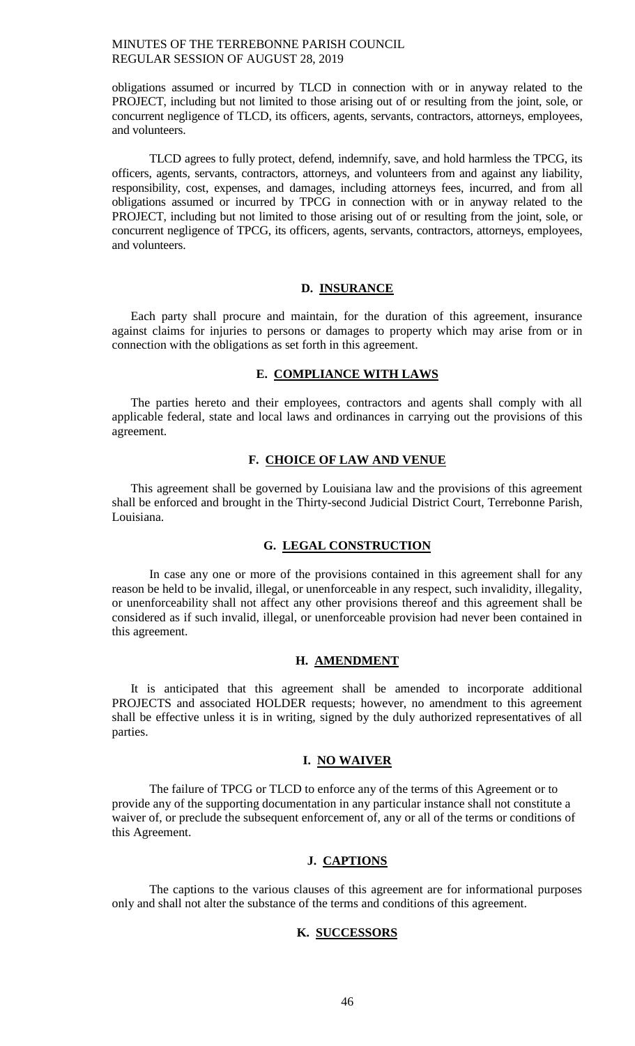obligations assumed or incurred by TLCD in connection with or in anyway related to the PROJECT, including but not limited to those arising out of or resulting from the joint, sole, or concurrent negligence of TLCD, its officers, agents, servants, contractors, attorneys, employees, and volunteers.

TLCD agrees to fully protect, defend, indemnify, save, and hold harmless the TPCG, its officers, agents, servants, contractors, attorneys, and volunteers from and against any liability, responsibility, cost, expenses, and damages, including attorneys fees, incurred, and from all obligations assumed or incurred by TPCG in connection with or in anyway related to the PROJECT, including but not limited to those arising out of or resulting from the joint, sole, or concurrent negligence of TPCG, its officers, agents, servants, contractors, attorneys, employees, and volunteers.

## **D. INSURANCE**

Each party shall procure and maintain, for the duration of this agreement, insurance against claims for injuries to persons or damages to property which may arise from or in connection with the obligations as set forth in this agreement.

## **E. COMPLIANCE WITH LAWS**

The parties hereto and their employees, contractors and agents shall comply with all applicable federal, state and local laws and ordinances in carrying out the provisions of this agreement.

### **F. CHOICE OF LAW AND VENUE**

This agreement shall be governed by Louisiana law and the provisions of this agreement shall be enforced and brought in the Thirty-second Judicial District Court, Terrebonne Parish, Louisiana.

## **G. LEGAL CONSTRUCTION**

In case any one or more of the provisions contained in this agreement shall for any reason be held to be invalid, illegal, or unenforceable in any respect, such invalidity, illegality, or unenforceability shall not affect any other provisions thereof and this agreement shall be considered as if such invalid, illegal, or unenforceable provision had never been contained in this agreement.

## **H. AMENDMENT**

It is anticipated that this agreement shall be amended to incorporate additional PROJECTS and associated HOLDER requests; however, no amendment to this agreement shall be effective unless it is in writing, signed by the duly authorized representatives of all parties.

## **I. NO WAIVER**

The failure of TPCG or TLCD to enforce any of the terms of this Agreement or to provide any of the supporting documentation in any particular instance shall not constitute a waiver of, or preclude the subsequent enforcement of, any or all of the terms or conditions of this Agreement.

## **J. CAPTIONS**

The captions to the various clauses of this agreement are for informational purposes only and shall not alter the substance of the terms and conditions of this agreement.

## **K. SUCCESSORS**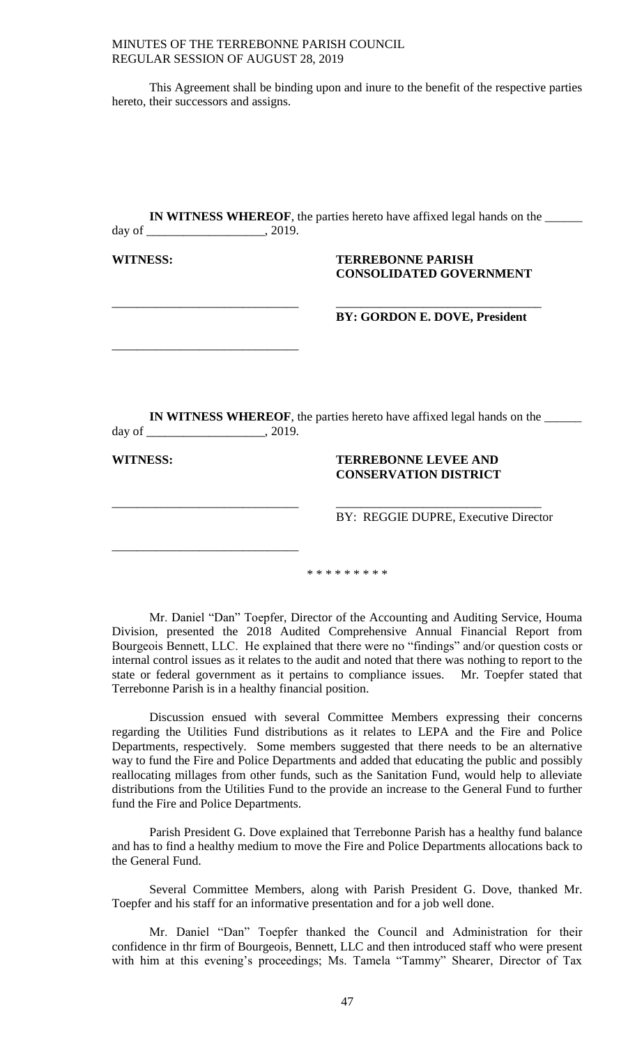| MINUTES OF THE TERREBONNE PARISH COUNCIL |
|------------------------------------------|
| REGULAR SESSION OF AUGUST 28, 2019       |

This Agreement shall be binding upon and inure to the benefit of the respective parties hereto, their successors and assigns.

| <b>WITNESS:</b> | <b>TERREBONNE PARISH</b>                                                               |
|-----------------|----------------------------------------------------------------------------------------|
|                 | <b>CONSOLIDATED GOVERNMENT</b>                                                         |
|                 | BY: GORDON E. DOVE, President                                                          |
|                 |                                                                                        |
|                 |                                                                                        |
|                 |                                                                                        |
|                 |                                                                                        |
|                 |                                                                                        |
|                 | <b>IN WITNESS WHEREOF</b> , the parties here to have affixed legal hands on the ______ |
| <b>WITNESS:</b> | <b>TERREBONNE LEVEE AND</b>                                                            |
|                 | <b>CONSERVATION DISTRICT</b>                                                           |

Mr. Daniel "Dan" Toepfer, Director of the Accounting and Auditing Service, Houma Division, presented the 2018 Audited Comprehensive Annual Financial Report from Bourgeois Bennett, LLC. He explained that there were no "findings" and/or question costs or internal control issues as it relates to the audit and noted that there was nothing to report to the state or federal government as it pertains to compliance issues. Mr. Toepfer stated that Terrebonne Parish is in a healthy financial position.

Discussion ensued with several Committee Members expressing their concerns regarding the Utilities Fund distributions as it relates to LEPA and the Fire and Police Departments, respectively. Some members suggested that there needs to be an alternative way to fund the Fire and Police Departments and added that educating the public and possibly reallocating millages from other funds, such as the Sanitation Fund, would help to alleviate distributions from the Utilities Fund to the provide an increase to the General Fund to further fund the Fire and Police Departments.

Parish President G. Dove explained that Terrebonne Parish has a healthy fund balance and has to find a healthy medium to move the Fire and Police Departments allocations back to the General Fund.

Several Committee Members, along with Parish President G. Dove, thanked Mr. Toepfer and his staff for an informative presentation and for a job well done.

Mr. Daniel "Dan" Toepfer thanked the Council and Administration for their confidence in thr firm of Bourgeois, Bennett, LLC and then introduced staff who were present with him at this evening's proceedings; Ms. Tamela "Tammy" Shearer, Director of Tax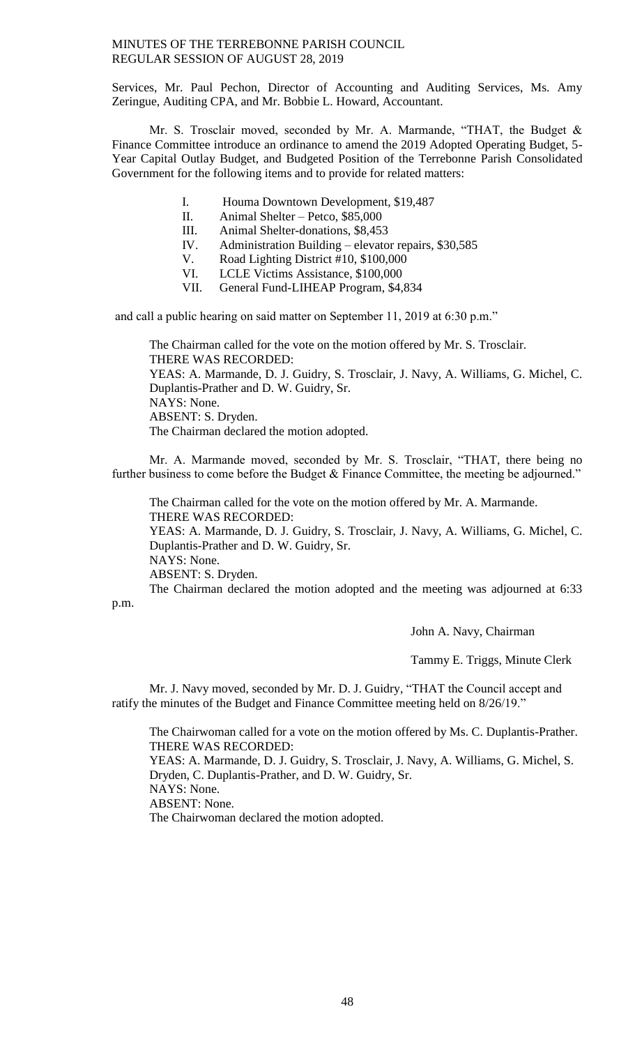Services, Mr. Paul Pechon, Director of Accounting and Auditing Services, Ms. Amy Zeringue, Auditing CPA, and Mr. Bobbie L. Howard, Accountant.

Mr. S. Trosclair moved, seconded by Mr. A. Marmande, "THAT, the Budget & Finance Committee introduce an ordinance to amend the 2019 Adopted Operating Budget, 5- Year Capital Outlay Budget, and Budgeted Position of the Terrebonne Parish Consolidated Government for the following items and to provide for related matters:

- I. Houma Downtown Development, \$19,487
- II. Animal Shelter Petco, \$85,000
- III. Animal Shelter-donations, \$8,453
- IV. Administration Building elevator repairs, \$30,585
- V. Road Lighting District #10, \$100,000
- VI. LCLE Victims Assistance, \$100,000
- VII. General Fund-LIHEAP Program, \$4,834

and call a public hearing on said matter on September 11, 2019 at 6:30 p.m."

The Chairman called for the vote on the motion offered by Mr. S. Trosclair. THERE WAS RECORDED: YEAS: A. Marmande, D. J. Guidry, S. Trosclair, J. Navy, A. Williams, G. Michel, C. Duplantis-Prather and D. W. Guidry, Sr. NAYS: None. ABSENT: S. Dryden. The Chairman declared the motion adopted.

Mr. A. Marmande moved, seconded by Mr. S. Trosclair, "THAT, there being no further business to come before the Budget & Finance Committee, the meeting be adjourned."

The Chairman called for the vote on the motion offered by Mr. A. Marmande. THERE WAS RECORDED: YEAS: A. Marmande, D. J. Guidry, S. Trosclair, J. Navy, A. Williams, G. Michel, C. Duplantis-Prather and D. W. Guidry, Sr. NAYS: None. ABSENT: S. Dryden. The Chairman declared the motion adopted and the meeting was adjourned at 6:33

p.m.

John A. Navy, Chairman

Tammy E. Triggs, Minute Clerk

Mr. J. Navy moved, seconded by Mr. D. J. Guidry, "THAT the Council accept and ratify the minutes of the Budget and Finance Committee meeting held on 8/26/19."

The Chairwoman called for a vote on the motion offered by Ms. C. Duplantis-Prather. THERE WAS RECORDED: YEAS: A. Marmande, D. J. Guidry, S. Trosclair, J. Navy, A. Williams, G. Michel, S. Dryden, C. Duplantis-Prather, and D. W. Guidry, Sr. NAYS: None. ABSENT: None. The Chairwoman declared the motion adopted.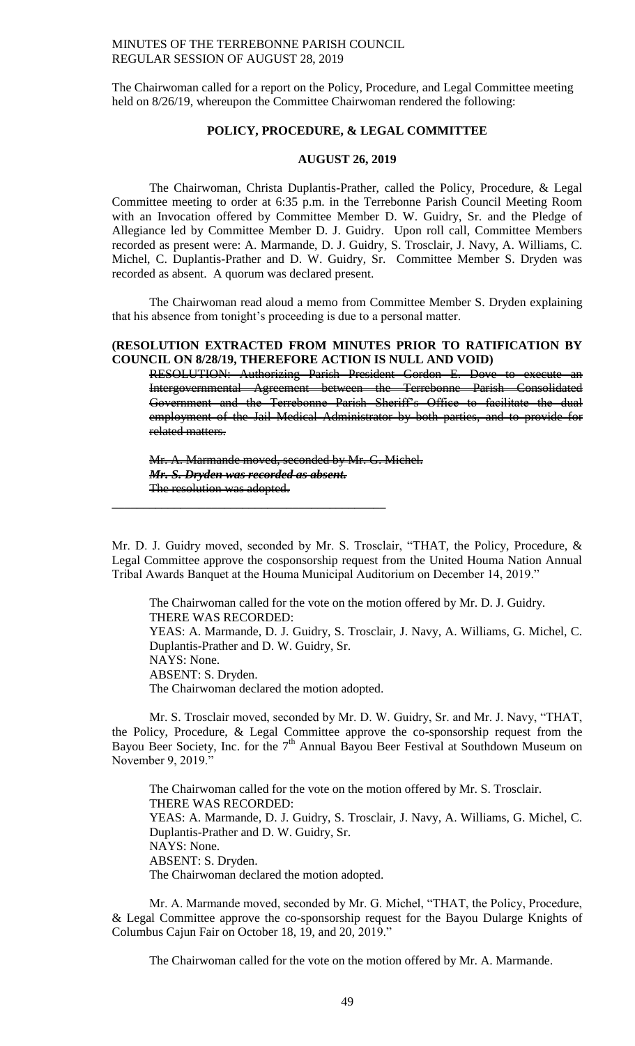The Chairwoman called for a report on the Policy, Procedure, and Legal Committee meeting held on 8/26/19, whereupon the Committee Chairwoman rendered the following:

## **POLICY, PROCEDURE, & LEGAL COMMITTEE**

#### **AUGUST 26, 2019**

The Chairwoman, Christa Duplantis-Prather, called the Policy, Procedure, & Legal Committee meeting to order at 6:35 p.m. in the Terrebonne Parish Council Meeting Room with an Invocation offered by Committee Member D. W. Guidry, Sr. and the Pledge of Allegiance led by Committee Member D. J. Guidry. Upon roll call, Committee Members recorded as present were: A. Marmande, D. J. Guidry, S. Trosclair, J. Navy, A. Williams, C. Michel, C. Duplantis-Prather and D. W. Guidry, Sr. Committee Member S. Dryden was recorded as absent. A quorum was declared present.

The Chairwoman read aloud a memo from Committee Member S. Dryden explaining that his absence from tonight's proceeding is due to a personal matter.

#### **(RESOLUTION EXTRACTED FROM MINUTES PRIOR TO RATIFICATION BY COUNCIL ON 8/28/19, THEREFORE ACTION IS NULL AND VOID)**

RESOLUTION: Authorizing Parish President Gordon E. Dove to execute an Intergovernmental Agreement between the Terrebonne Parish Consolidated Government and the Terrebonne Parish Sheriff's Office to facilitate the dual employment of the Jail Medical Administrator by both parties, and to provide for related matters.

Mr. A. Marmande moved, seconded by Mr. G. Michel. *Mr. S. Dryden was recorded as absent.* The resolution was adopted.

**\_\_\_\_\_\_\_\_\_\_\_\_\_\_\_\_\_\_\_\_\_\_\_\_\_\_\_\_\_\_\_\_\_\_\_\_\_\_\_\_\_\_\_\_**

Mr. D. J. Guidry moved, seconded by Mr. S. Trosclair, "THAT, the Policy, Procedure, & Legal Committee approve the cosponsorship request from the United Houma Nation Annual Tribal Awards Banquet at the Houma Municipal Auditorium on December 14, 2019."

The Chairwoman called for the vote on the motion offered by Mr. D. J. Guidry. THERE WAS RECORDED: YEAS: A. Marmande, D. J. Guidry, S. Trosclair, J. Navy, A. Williams, G. Michel, C. Duplantis-Prather and D. W. Guidry, Sr. NAYS: None. ABSENT: S. Dryden. The Chairwoman declared the motion adopted.

Mr. S. Trosclair moved, seconded by Mr. D. W. Guidry, Sr. and Mr. J. Navy, "THAT, the Policy, Procedure, & Legal Committee approve the co-sponsorship request from the Bayou Beer Society, Inc. for the  $7<sup>th</sup>$  Annual Bayou Beer Festival at Southdown Museum on November 9, 2019."

The Chairwoman called for the vote on the motion offered by Mr. S. Trosclair. THERE WAS RECORDED: YEAS: A. Marmande, D. J. Guidry, S. Trosclair, J. Navy, A. Williams, G. Michel, C. Duplantis-Prather and D. W. Guidry, Sr. NAYS: None. ABSENT: S. Dryden. The Chairwoman declared the motion adopted.

Mr. A. Marmande moved, seconded by Mr. G. Michel, "THAT, the Policy, Procedure, & Legal Committee approve the co-sponsorship request for the Bayou Dularge Knights of Columbus Cajun Fair on October 18, 19, and 20, 2019."

The Chairwoman called for the vote on the motion offered by Mr. A. Marmande.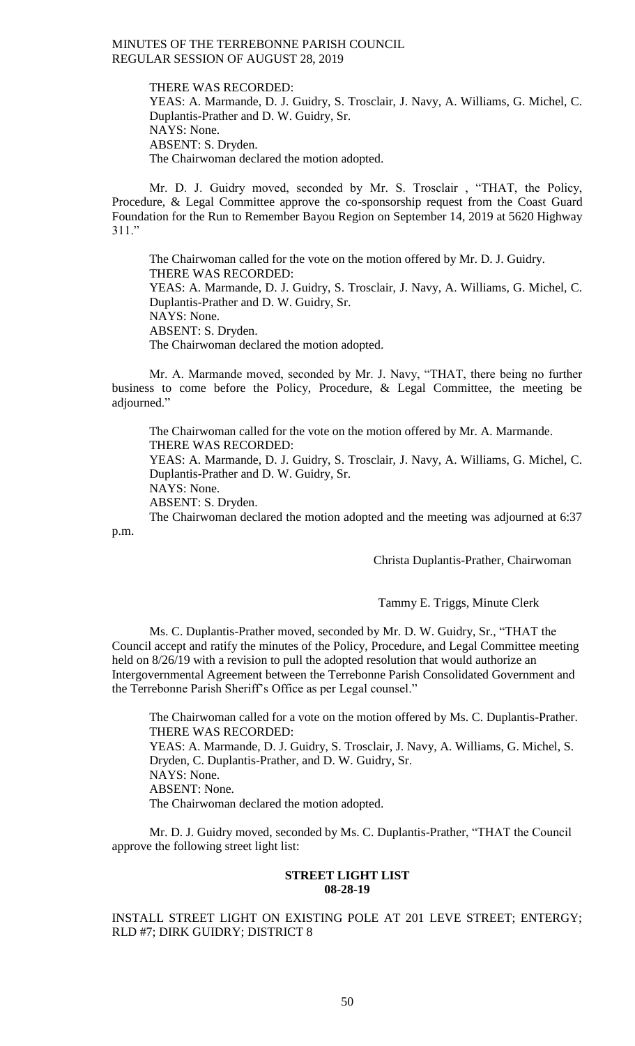THERE WAS RECORDED: YEAS: A. Marmande, D. J. Guidry, S. Trosclair, J. Navy, A. Williams, G. Michel, C. Duplantis-Prather and D. W. Guidry, Sr. NAYS: None. ABSENT: S. Dryden. The Chairwoman declared the motion adopted.

Mr. D. J. Guidry moved, seconded by Mr. S. Trosclair , "THAT, the Policy, Procedure, & Legal Committee approve the co-sponsorship request from the Coast Guard Foundation for the Run to Remember Bayou Region on September 14, 2019 at 5620 Highway 311."

The Chairwoman called for the vote on the motion offered by Mr. D. J. Guidry. THERE WAS RECORDED: YEAS: A. Marmande, D. J. Guidry, S. Trosclair, J. Navy, A. Williams, G. Michel, C. Duplantis-Prather and D. W. Guidry, Sr. NAYS: None. ABSENT: S. Dryden. The Chairwoman declared the motion adopted.

Mr. A. Marmande moved, seconded by Mr. J. Navy, "THAT, there being no further business to come before the Policy, Procedure, & Legal Committee, the meeting be adjourned."

The Chairwoman called for the vote on the motion offered by Mr. A. Marmande. THERE WAS RECORDED: YEAS: A. Marmande, D. J. Guidry, S. Trosclair, J. Navy, A. Williams, G. Michel, C. Duplantis-Prather and D. W. Guidry, Sr.

NAYS: None.

ABSENT: S. Dryden.

The Chairwoman declared the motion adopted and the meeting was adjourned at 6:37 p.m.

Christa Duplantis-Prather, Chairwoman

Tammy E. Triggs, Minute Clerk

Ms. C. Duplantis-Prather moved, seconded by Mr. D. W. Guidry, Sr., "THAT the Council accept and ratify the minutes of the Policy, Procedure, and Legal Committee meeting held on 8/26/19 with a revision to pull the adopted resolution that would authorize an Intergovernmental Agreement between the Terrebonne Parish Consolidated Government and the Terrebonne Parish Sheriff's Office as per Legal counsel."

The Chairwoman called for a vote on the motion offered by Ms. C. Duplantis-Prather. THERE WAS RECORDED: YEAS: A. Marmande, D. J. Guidry, S. Trosclair, J. Navy, A. Williams, G. Michel, S. Dryden, C. Duplantis-Prather, and D. W. Guidry, Sr. NAYS: None. ABSENT: None. The Chairwoman declared the motion adopted.

Mr. D. J. Guidry moved, seconded by Ms. C. Duplantis-Prather, "THAT the Council approve the following street light list:

### **STREET LIGHT LIST 08-28-19**

INSTALL STREET LIGHT ON EXISTING POLE AT 201 LEVE STREET; ENTERGY; RLD #7; DIRK GUIDRY; DISTRICT 8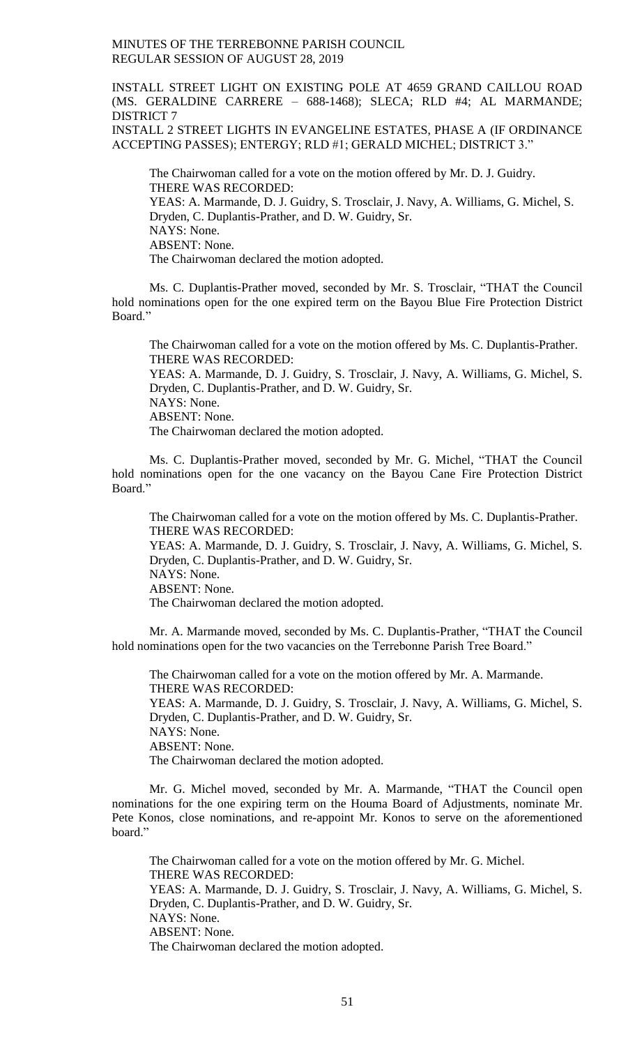INSTALL STREET LIGHT ON EXISTING POLE AT 4659 GRAND CAILLOU ROAD (MS. GERALDINE CARRERE – 688-1468); SLECA; RLD #4; AL MARMANDE; DISTRICT 7

INSTALL 2 STREET LIGHTS IN EVANGELINE ESTATES, PHASE A (IF ORDINANCE ACCEPTING PASSES); ENTERGY; RLD #1; GERALD MICHEL; DISTRICT 3."

The Chairwoman called for a vote on the motion offered by Mr. D. J. Guidry. THERE WAS RECORDED: YEAS: A. Marmande, D. J. Guidry, S. Trosclair, J. Navy, A. Williams, G. Michel, S. Dryden, C. Duplantis-Prather, and D. W. Guidry, Sr. NAYS: None. ABSENT: None. The Chairwoman declared the motion adopted.

Ms. C. Duplantis-Prather moved, seconded by Mr. S. Trosclair, "THAT the Council hold nominations open for the one expired term on the Bayou Blue Fire Protection District Board."

The Chairwoman called for a vote on the motion offered by Ms. C. Duplantis-Prather. THERE WAS RECORDED: YEAS: A. Marmande, D. J. Guidry, S. Trosclair, J. Navy, A. Williams, G. Michel, S. Dryden, C. Duplantis-Prather, and D. W. Guidry, Sr. NAYS: None. ABSENT: None. The Chairwoman declared the motion adopted.

Ms. C. Duplantis-Prather moved, seconded by Mr. G. Michel, "THAT the Council hold nominations open for the one vacancy on the Bayou Cane Fire Protection District Board."

The Chairwoman called for a vote on the motion offered by Ms. C. Duplantis-Prather. THERE WAS RECORDED: YEAS: A. Marmande, D. J. Guidry, S. Trosclair, J. Navy, A. Williams, G. Michel, S. Dryden, C. Duplantis-Prather, and D. W. Guidry, Sr. NAYS: None. ABSENT: None. The Chairwoman declared the motion adopted.

Mr. A. Marmande moved, seconded by Ms. C. Duplantis-Prather, "THAT the Council hold nominations open for the two vacancies on the Terrebonne Parish Tree Board."

The Chairwoman called for a vote on the motion offered by Mr. A. Marmande. THERE WAS RECORDED: YEAS: A. Marmande, D. J. Guidry, S. Trosclair, J. Navy, A. Williams, G. Michel, S. Dryden, C. Duplantis-Prather, and D. W. Guidry, Sr. NAYS: None. ABSENT: None. The Chairwoman declared the motion adopted.

Mr. G. Michel moved, seconded by Mr. A. Marmande, "THAT the Council open nominations for the one expiring term on the Houma Board of Adjustments, nominate Mr. Pete Konos, close nominations, and re-appoint Mr. Konos to serve on the aforementioned board."

The Chairwoman called for a vote on the motion offered by Mr. G. Michel. THERE WAS RECORDED: YEAS: A. Marmande, D. J. Guidry, S. Trosclair, J. Navy, A. Williams, G. Michel, S. Dryden, C. Duplantis-Prather, and D. W. Guidry, Sr. NAYS: None. ABSENT: None. The Chairwoman declared the motion adopted.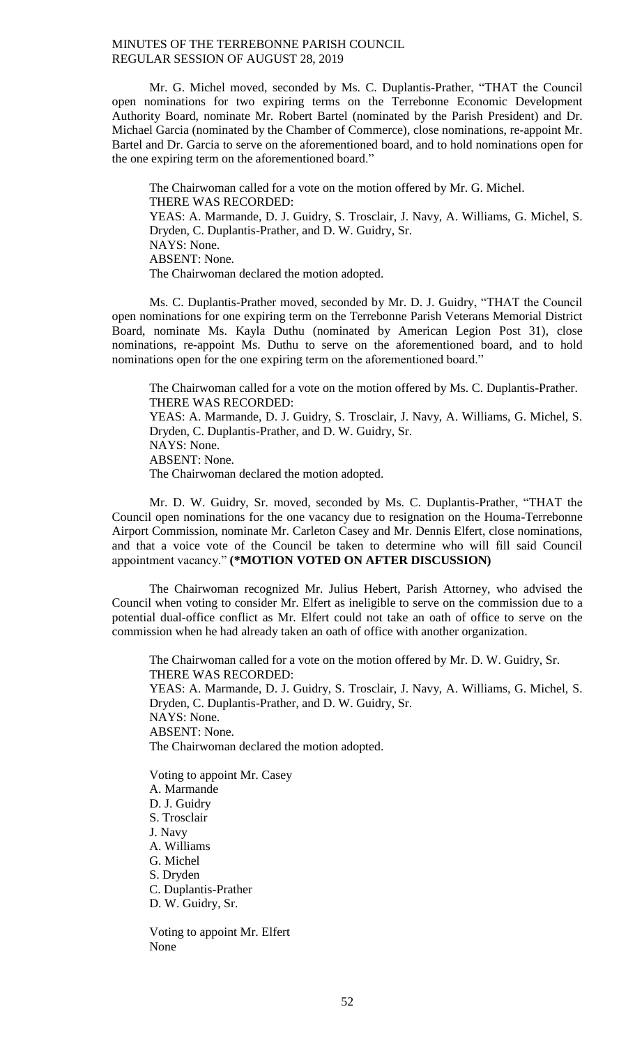Mr. G. Michel moved, seconded by Ms. C. Duplantis-Prather, "THAT the Council open nominations for two expiring terms on the Terrebonne Economic Development Authority Board, nominate Mr. Robert Bartel (nominated by the Parish President) and Dr. Michael Garcia (nominated by the Chamber of Commerce), close nominations, re-appoint Mr. Bartel and Dr. Garcia to serve on the aforementioned board, and to hold nominations open for the one expiring term on the aforementioned board."

The Chairwoman called for a vote on the motion offered by Mr. G. Michel. THERE WAS RECORDED: YEAS: A. Marmande, D. J. Guidry, S. Trosclair, J. Navy, A. Williams, G. Michel, S. Dryden, C. Duplantis-Prather, and D. W. Guidry, Sr. NAYS: None. ABSENT: None. The Chairwoman declared the motion adopted.

Ms. C. Duplantis-Prather moved, seconded by Mr. D. J. Guidry, "THAT the Council open nominations for one expiring term on the Terrebonne Parish Veterans Memorial District Board, nominate Ms. Kayla Duthu (nominated by American Legion Post 31), close nominations, re-appoint Ms. Duthu to serve on the aforementioned board, and to hold nominations open for the one expiring term on the aforementioned board."

The Chairwoman called for a vote on the motion offered by Ms. C. Duplantis-Prather. THERE WAS RECORDED: YEAS: A. Marmande, D. J. Guidry, S. Trosclair, J. Navy, A. Williams, G. Michel, S. Dryden, C. Duplantis-Prather, and D. W. Guidry, Sr. NAYS: None. ABSENT: None.

The Chairwoman declared the motion adopted.

Mr. D. W. Guidry, Sr. moved, seconded by Ms. C. Duplantis-Prather, "THAT the Council open nominations for the one vacancy due to resignation on the Houma-Terrebonne Airport Commission, nominate Mr. Carleton Casey and Mr. Dennis Elfert, close nominations, and that a voice vote of the Council be taken to determine who will fill said Council appointment vacancy." **(\*MOTION VOTED ON AFTER DISCUSSION)**

The Chairwoman recognized Mr. Julius Hebert, Parish Attorney, who advised the Council when voting to consider Mr. Elfert as ineligible to serve on the commission due to a potential dual-office conflict as Mr. Elfert could not take an oath of office to serve on the commission when he had already taken an oath of office with another organization.

The Chairwoman called for a vote on the motion offered by Mr. D. W. Guidry, Sr. THERE WAS RECORDED: YEAS: A. Marmande, D. J. Guidry, S. Trosclair, J. Navy, A. Williams, G. Michel, S. Dryden, C. Duplantis-Prather, and D. W. Guidry, Sr. NAYS: None. ABSENT: None. The Chairwoman declared the motion adopted.

Voting to appoint Mr. Casey A. Marmande D. J. Guidry S. Trosclair J. Navy A. Williams G. Michel S. Dryden C. Duplantis-Prather D. W. Guidry, Sr.

Voting to appoint Mr. Elfert None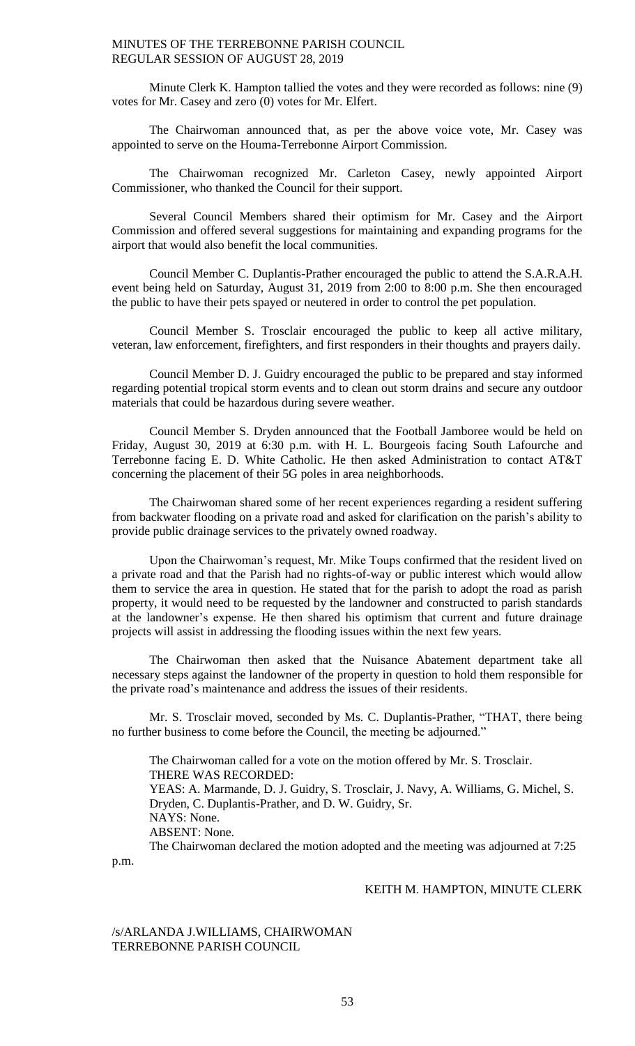Minute Clerk K. Hampton tallied the votes and they were recorded as follows: nine (9) votes for Mr. Casey and zero (0) votes for Mr. Elfert.

The Chairwoman announced that, as per the above voice vote, Mr. Casey was appointed to serve on the Houma-Terrebonne Airport Commission.

The Chairwoman recognized Mr. Carleton Casey, newly appointed Airport Commissioner, who thanked the Council for their support.

Several Council Members shared their optimism for Mr. Casey and the Airport Commission and offered several suggestions for maintaining and expanding programs for the airport that would also benefit the local communities.

Council Member C. Duplantis-Prather encouraged the public to attend the S.A.R.A.H. event being held on Saturday, August 31, 2019 from 2:00 to 8:00 p.m. She then encouraged the public to have their pets spayed or neutered in order to control the pet population.

Council Member S. Trosclair encouraged the public to keep all active military, veteran, law enforcement, firefighters, and first responders in their thoughts and prayers daily.

Council Member D. J. Guidry encouraged the public to be prepared and stay informed regarding potential tropical storm events and to clean out storm drains and secure any outdoor materials that could be hazardous during severe weather.

Council Member S. Dryden announced that the Football Jamboree would be held on Friday, August 30, 2019 at 6:30 p.m. with H. L. Bourgeois facing South Lafourche and Terrebonne facing E. D. White Catholic. He then asked Administration to contact AT&T concerning the placement of their 5G poles in area neighborhoods.

The Chairwoman shared some of her recent experiences regarding a resident suffering from backwater flooding on a private road and asked for clarification on the parish's ability to provide public drainage services to the privately owned roadway.

Upon the Chairwoman's request, Mr. Mike Toups confirmed that the resident lived on a private road and that the Parish had no rights-of-way or public interest which would allow them to service the area in question. He stated that for the parish to adopt the road as parish property, it would need to be requested by the landowner and constructed to parish standards at the landowner's expense. He then shared his optimism that current and future drainage projects will assist in addressing the flooding issues within the next few years.

The Chairwoman then asked that the Nuisance Abatement department take all necessary steps against the landowner of the property in question to hold them responsible for the private road's maintenance and address the issues of their residents.

Mr. S. Trosclair moved, seconded by Ms. C. Duplantis-Prather, "THAT, there being no further business to come before the Council, the meeting be adjourned."

The Chairwoman called for a vote on the motion offered by Mr. S. Trosclair. THERE WAS RECORDED: YEAS: A. Marmande, D. J. Guidry, S. Trosclair, J. Navy, A. Williams, G. Michel, S. Dryden, C. Duplantis-Prather, and D. W. Guidry, Sr. NAYS: None. ABSENT: None. The Chairwoman declared the motion adopted and the meeting was adjourned at 7:25

p.m.

## KEITH M. HAMPTON, MINUTE CLERK

## /s/ARLANDA J.WILLIAMS, CHAIRWOMAN TERREBONNE PARISH COUNCIL